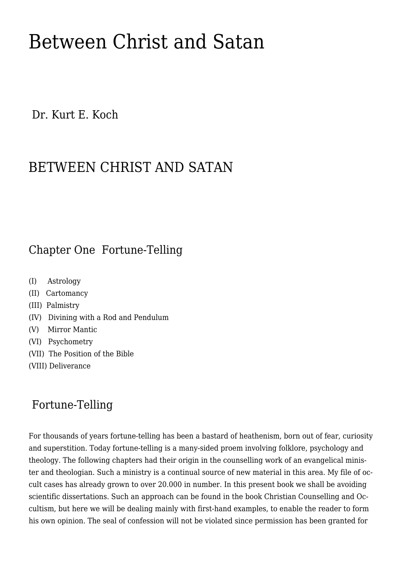# [Between Christ and Satan](https://horst-koch.de/fortune-telling/)

Dr. Kurt E. Koch

#### BETWEEN CHRIST AND SATAN

#### Chapter One Fortune-Telling

- (I) Astrology
- (II) Cartomancy
- (III) Palmistry
- (IV) Divining with a Rod and Pendulum
- (V) Mirror Mantic
- (VI) Psychometry
- (VII) The Position of the Bible
- (VIII) Deliverance

#### Fortune-Telling

For thousands of years fortune-telling has been a bastard of heathenism, born out of fear, curiosity and superstition. Today fortune-telling is a many-sided proem involving folklore, psychology and theology. The following chapters had their origin in the counselling work of an evangelical minister and theologian. Such a ministry is a continual source of new material in this area. My file of occult cases has already grown to over 20.000 in number. In this present book we shall be avoiding scientific dissertations. Such an approach can be found in the book Christian Counselling and Occultism, but here we will be dealing mainly with first-hand examples, to enable the reader to form his own opinion. The seal of confession will not be violated since permission has been granted for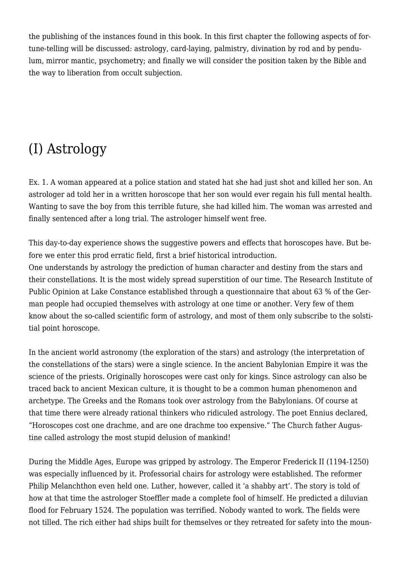the publishing of the instances found in this book. In this first chapter the following aspects of fortune-telling will be discussed: astrology, card-laying, palmistry, divination by rod and by pendulum, mirror mantic, psychometry; and finally we will consider the position taken by the Bible and the way to liberation from occult subjection.

## (I) Astrology

Ex. 1. A woman appeared at a police station and stated hat she had just shot and killed her son. An astrologer ad told her in a written horoscope that her son would ever regain his full mental health. Wanting to save the boy from this terrible future, she had killed him. The woman was arrested and finally sentenced after a long trial. The astrologer himself went free.

This day-to-day experience shows the suggestive powers and effects that horoscopes have. But before we enter this prod erratic field, first a brief historical introduction.

One understands by astrology the prediction of human character and destiny from the stars and their constellations. It is the most widely spread superstition of our time. The Research Institute of Public Opinion at Lake Constance established through a questionnaire that about 63 % of the German people had occupied themselves with astrology at one time or another. Very few of them know about the so-called scientific form of astrology, and most of them only subscribe to the solstitial point horoscope.

In the ancient world astronomy (the exploration of the stars) and astrology (the interpretation of the constellations of the stars) were a single science. In the ancient Babylonian Empire it was the science of the priests. Originally horoscopes were cast only for kings. Since astrology can also be traced back to ancient Mexican culture, it is thought to be a common human phenomenon and archetype. The Greeks and the Romans took over astrology from the Babylonians. Of course at that time there were already rational thinkers who ridiculed astrology. The poet Ennius declared, "Horoscopes cost one drachme, and are one drachme too expensive." The Church father Augustine called astrology the most stupid delusion of mankind!

During the Middle Ages, Europe was gripped by astrology. The Emperor Frederick II (1194-1250) was especially influenced by it. Professorial chairs for astrology were established. The reformer Philip Melanchthon even held one. Luther, however, called it 'a shabby art'. The story is told of how at that time the astrologer Stoeffler made a complete fool of himself. He predicted a diluvian flood for February 1524. The population was terrified. Nobody wanted to work. The fields were not tilled. The rich either had ships built for themselves or they retreated for safety into the moun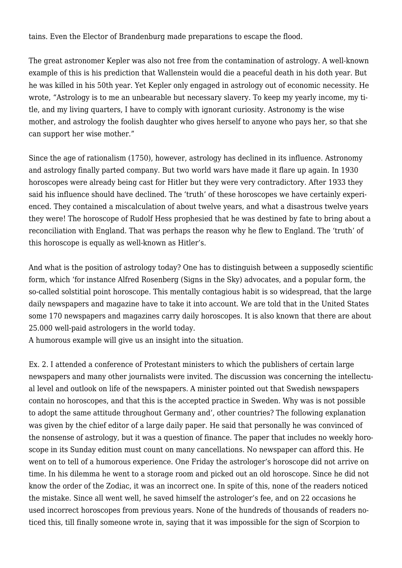tains. Even the Elector of Brandenburg made preparations to escape the flood.

The great astronomer Kepler was also not free from the contamination of astrology. A well-known example of this is his prediction that Wallenstein would die a peaceful death in his doth year. But he was killed in his 50th year. Yet Kepler only engaged in astrology out of economic necessity. He wrote, "Astrology is to me an unbearable but necessary slavery. To keep my yearly income, my title, and my living quarters, I have to comply with ignorant curiosity. Astronomy is the wise mother, and astrology the foolish daughter who gives herself to anyone who pays her, so that she can support her wise mother."

Since the age of rationalism (1750), however, astrology has declined in its influence. Astronomy and astrology finally parted company. But two world wars have made it flare up again. In 1930 horoscopes were already being cast for Hitler but they were very contradictory. After 1933 they said his influence should have declined. The 'truth' of these horoscopes we have certainly experienced. They contained a miscalculation of about twelve years, and what a disastrous twelve years they were! The horoscope of Rudolf Hess prophesied that he was destined by fate to bring about a reconciliation with England. That was perhaps the reason why he flew to England. The 'truth' of this horoscope is equally as well-known as Hitler's.

And what is the position of astrology today? One has to distinguish between a supposedly scientific form, which 'for instance Alfred Rosenberg (Signs in the Sky) advocates, and a popular form, the so-called solstitial point horoscope. This mentally contagious habit is so widespread, that the large daily newspapers and magazine have to take it into account. We are told that in the United States some 170 newspapers and magazines carry daily horoscopes. It is also known that there are about 25.000 well-paid astrologers in the world today.

A humorous example will give us an insight into the situation.

Ex. 2. I attended a conference of Protestant ministers to which the publishers of certain large newspapers and many other journalists were invited. The discussion was concerning the intellectual level and outlook on life of the newspapers. A minister pointed out that Swedish newspapers contain no horoscopes, and that this is the accepted practice in Sweden. Why was is not possible to adopt the same attitude throughout Germany and', other countries? The following explanation was given by the chief editor of a large daily paper. He said that personally he was convinced of the nonsense of astrology, but it was a question of finance. The paper that includes no weekly horoscope in its Sunday edition must count on many cancellations. No newspaper can afford this. He went on to tell of a humorous experience. One Friday the astrologer's horoscope did not arrive on time. In his dilemma he went to a storage room and picked out an old horoscope. Since he did not know the order of the Zodiac, it was an incorrect one. In spite of this, none of the readers noticed the mistake. Since all went well, he saved himself the astrologer's fee, and on 22 occasions he used incorrect horoscopes from previous years. None of the hundreds of thousands of readers noticed this, till finally someone wrote in, saying that it was impossible for the sign of Scorpion to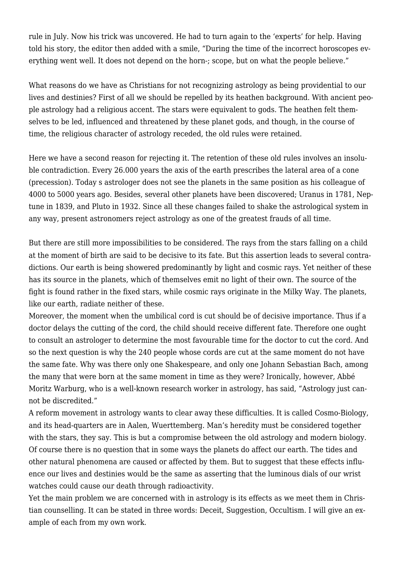rule in July. Now his trick was uncovered. He had to turn again to the 'experts' for help. Having told his story, the editor then added with a smile, "During the time of the incorrect horoscopes everything went well. It does not depend on the horn-; scope, but on what the people believe."

What reasons do we have as Christians for not recognizing astrology as being providential to our lives and destinies? First of all we should be repelled by its heathen background. With ancient people astrology had a religious accent. The stars were equivalent to gods. The heathen felt themselves to be led, influenced and threatened by these planet gods, and though, in the course of time, the religious character of astrology receded, the old rules were retained.

Here we have a second reason for rejecting it. The retention of these old rules involves an insoluble contradiction. Every 26.000 years the axis of the earth prescribes the lateral area of a cone (precession). Today s astrologer does not see the planets in the same position as his colleague of 4000 to 5000 years ago. Besides, several other planets have been discovered; Uranus in 1781, Neptune in 1839, and Pluto in 1932. Since all these changes failed to shake the astrological system in any way, present astronomers reject astrology as one of the greatest frauds of all time.

But there are still more impossibilities to be considered. The rays from the stars falling on a child at the moment of birth are said to be decisive to its fate. But this assertion leads to several contradictions. Our earth is being showered predominantly by light and cosmic rays. Yet neither of these has its source in the planets, which of themselves emit no light of their own. The source of the fight is found rather in the fixed stars, while cosmic rays originate in the Milky Way. The planets, like our earth, radiate neither of these.

Moreover, the moment when the umbilical cord is cut should be of decisive importance. Thus if a doctor delays the cutting of the cord, the child should receive different fate. Therefore one ought to consult an astrologer to determine the most favourable time for the doctor to cut the cord. And so the next question is why the 240 people whose cords are cut at the same moment do not have the same fate. Why was there only one Shakespeare, and only one Johann Sebastian Bach, among the many that were born at the same moment in time as they were? Ironically, however, Abbé Moritz Warburg, who is a well-known research worker in astrology, has said, "Astrology just cannot be discredited."

A reform movement in astrology wants to clear away these difficulties. It is called Cosmo-Biology, and its head-quarters are in Aalen, Wuerttemberg. Man's heredity must be considered together with the stars, they say. This is but a compromise between the old astrology and modern biology. Of course there is no question that in some ways the planets do affect our earth. The tides and other natural phenomena are caused or affected by them. But to suggest that these effects influence our lives and destinies would be the same as asserting that the luminous dials of our wrist watches could cause our death through radioactivity.

Yet the main problem we are concerned with in astrology is its effects as we meet them in Christian counselling. It can be stated in three words: Deceit, Suggestion, Occultism. I will give an example of each from my own work.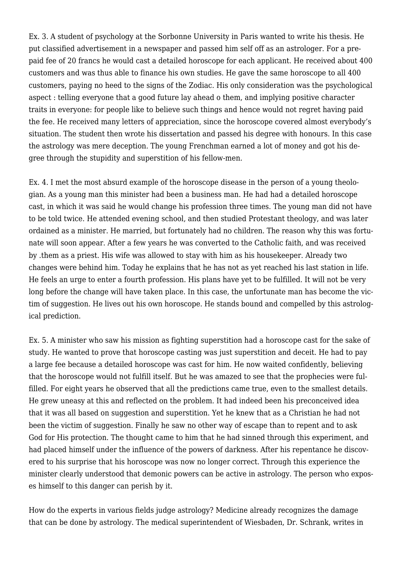Ex. 3. A student of psychology at the Sorbonne University in Paris wanted to write his thesis. He put classified advertisement in a newspaper and passed him self off as an astrologer. For a prepaid fee of 20 francs he would cast a detailed horoscope for each applicant. He received about 400 customers and was thus able to finance his own studies. He gave the same horoscope to all 400 customers, paying no heed to the signs of the Zodiac. His only consideration was the psychological aspect : telling everyone that a good future lay ahead o them, and implying positive character traits in everyone: for people like to believe such things and hence would not regret having paid the fee. He received many letters of appreciation, since the horoscope covered almost everybody's situation. The student then wrote his dissertation and passed his degree with honours. In this case the astrology was mere deception. The young Frenchman earned a lot of money and got his degree through the stupidity and superstition of his fellow-men.

Ex. 4. I met the most absurd example of the horoscope disease in the person of a young theologian. As a young man this minister had been a business man. He had had a detailed horoscope cast, in which it was said he would change his profession three times. The young man did not have to be told twice. He attended evening school, and then studied Protestant theology, and was later ordained as a minister. He married, but fortunately had no children. The reason why this was fortunate will soon appear. After a few years he was converted to the Catholic faith, and was received by .them as a priest. His wife was allowed to stay with him as his housekeeper. Already two changes were behind him. Today he explains that he has not as yet reached his last station in life. He feels an urge to enter a fourth profession. His plans have yet to be fulfilled. It will not be very long before the change will have taken place. In this case, the unfortunate man has become the victim of suggestion. He lives out his own horoscope. He stands bound and compelled by this astrological prediction.

Ex. 5. A minister who saw his mission as fighting superstition had a horoscope cast for the sake of study. He wanted to prove that horoscope casting was just superstition and deceit. He had to pay a large fee because a detailed horoscope was cast for him. He now waited confidently, believing that the horoscope would not fulfill itself. But he was amazed to see that the prophecies were fulfilled. For eight years he observed that all the predictions came true, even to the smallest details. He grew uneasy at this and reflected on the problem. It had indeed been his preconceived idea that it was all based on suggestion and superstition. Yet he knew that as a Christian he had not been the victim of suggestion. Finally he saw no other way of escape than to repent and to ask God for His protection. The thought came to him that he had sinned through this experiment, and had placed himself under the influence of the powers of darkness. After his repentance he discovered to his surprise that his horoscope was now no longer correct. Through this experience the minister clearly understood that demonic powers can be active in astrology. The person who exposes himself to this danger can perish by it.

How do the experts in various fields judge astrology? Medicine already recognizes the damage that can be done by astrology. The medical superintendent of Wiesbaden, Dr. Schrank, writes in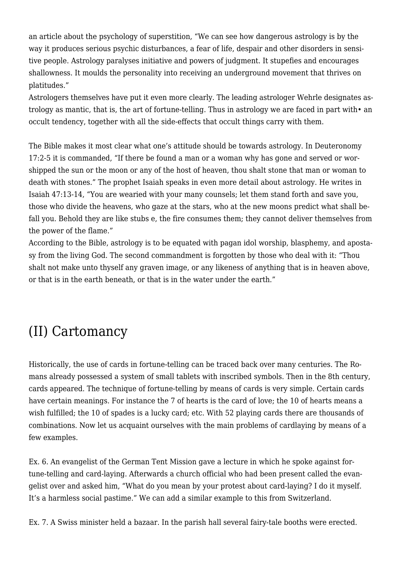an article about the psychology of superstition, "We can see how dangerous astrology is by the way it produces serious psychic disturbances, a fear of life, despair and other disorders in sensitive people. Astrology paralyses initiative and powers of judgment. It stupefies and encourages shallowness. It moulds the personality into receiving an underground movement that thrives on platitudes."

Astrologers themselves have put it even more clearly. The leading astrologer Wehrle designates astrology as mantic, that is, the art of fortune-telling. Thus in astrology we are faced in part with• an occult tendency, together with all the side-effects that occult things carry with them.

The Bible makes it most clear what one's attitude should be towards astrology. In Deuteronomy 17:2-5 it is commanded, "If there be found a man or a woman why has gone and served or worshipped the sun or the moon or any of the host of heaven, thou shalt stone that man or woman to death with stones." The prophet Isaiah speaks in even more detail about astrology. He writes in Isaiah 47:13-14, "You are wearied with your many counsels; let them stand forth and save you, those who divide the heavens, who gaze at the stars, who at the new moons predict what shall befall you. Behold they are like stubs e, the fire consumes them; they cannot deliver themselves from the power of the flame."

According to the Bible, astrology is to be equated with pagan idol worship, blasphemy, and apostasy from the living God. The second commandment is forgotten by those who deal with it: "Thou shalt not make unto thyself any graven image, or any likeness of anything that is in heaven above, or that is in the earth beneath, or that is in the water under the earth."

## (II) Cartomancy

Historically, the use of cards in fortune-telling can be traced back over many centuries. The Romans already possessed a system of small tablets with inscribed symbols. Then in the 8th century, cards appeared. The technique of fortune-telling by means of cards is very simple. Certain cards have certain meanings. For instance the 7 of hearts is the card of love; the 10 of hearts means a wish fulfilled; the 10 of spades is a lucky card; etc. With 52 playing cards there are thousands of combinations. Now let us acquaint ourselves with the main problems of cardlaying by means of a few examples.

Ex. 6. An evangelist of the German Tent Mission gave a lecture in which he spoke against fortune-telling and card-laying. Afterwards a church official who had been present called the evangelist over and asked him, "What do you mean by your protest about card-laying? I do it myself. It's a harmless social pastime." We can add a similar example to this from Switzerland.

Ex. 7. A Swiss minister held a bazaar. In the parish hall several fairy-tale booths were erected.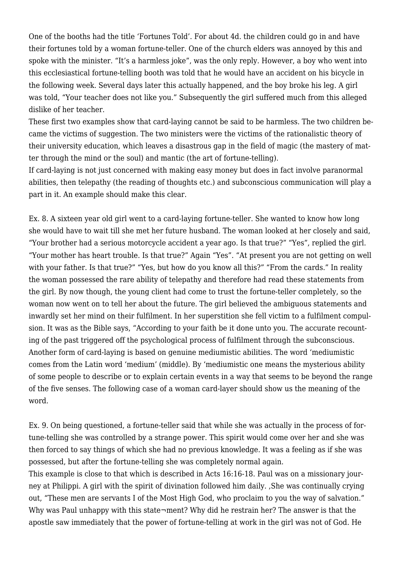One of the booths had the title 'Fortunes Told'. For about 4d. the children could go in and have their fortunes told by a woman fortune-teller. One of the church elders was annoyed by this and spoke with the minister. "It's a harmless joke", was the only reply. However, a boy who went into this ecclesiastical fortune-telling booth was told that he would have an accident on his bicycle in the following week. Several days later this actually happened, and the boy broke his leg. A girl was told, "Your teacher does not like you." Subsequently the girl suffered much from this alleged dislike of her teacher.

These first two examples show that card-laying cannot be said to be harmless. The two children became the victims of suggestion. The two ministers were the victims of the rationalistic theory of their university education, which leaves a disastrous gap in the field of magic (the mastery of matter through the mind or the soul) and mantic (the art of fortune-telling).

If card-laying is not just concerned with making easy money but does in fact involve paranormal abilities, then telepathy (the reading of thoughts etc.) and subconscious communication will play a part in it. An example should make this clear.

Ex. 8. A sixteen year old girl went to a card-laying fortune-teller. She wanted to know how long she would have to wait till she met her future husband. The woman looked at her closely and said, "Your brother had a serious motorcycle accident a year ago. Is that true?" "Yes", replied the girl. "Your mother has heart trouble. Is that true?" Again "Yes". "At present you are not getting on well with your father. Is that true?" "Yes, but how do you know all this?" "From the cards." In reality the woman possessed the rare ability of telepathy and therefore had read these statements from the girl. By now though, the young client had come to trust the fortune-teller completely, so the woman now went on to tell her about the future. The girl believed the ambiguous statements and inwardly set her mind on their fulfilment. In her superstition she fell victim to a fulfilment compulsion. It was as the Bible says, "According to your faith be it done unto you. The accurate recounting of the past triggered off the psychological process of fulfilment through the subconscious. Another form of card-laying is based on genuine mediumistic abilities. The word 'mediumistic comes from the Latin word 'medium' (middle). By 'mediumistic one means the mysterious ability of some people to describe or to explain certain events in a way that seems to be beyond the range of the five senses. The following case of a woman card-layer should show us the meaning of the word.

Ex. 9. On being questioned, a fortune-teller said that while she was actually in the process of fortune-telling she was controlled by a strange power. This spirit would come over her and she was then forced to say things of which she had no previous knowledge. It was a feeling as if she was possessed, but after the fortune-telling she was completely normal again.

This example is close to that which is described in Acts 16:16-18. Paul was on a missionary journey at Philippi. A girl with the spirit of divination followed him daily. ,She was continually crying out, "These men are servants I of the Most High God, who proclaim to you the way of salvation." Why was Paul unhappy with this state¬ment? Why did he restrain her? The answer is that the apostle saw immediately that the power of fortune-telling at work in the girl was not of God. He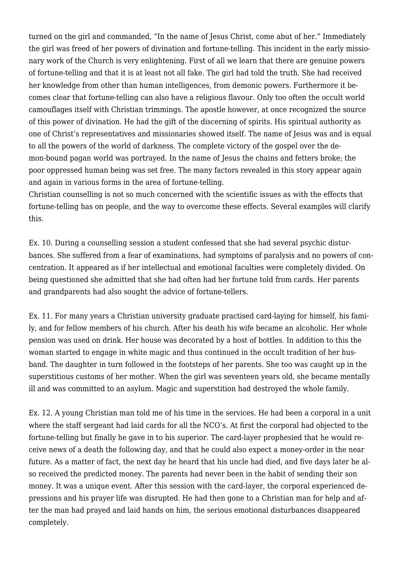turned on the girl and commanded, "In the name of Jesus Christ, come abut of her." Immediately the girl was freed of her powers of divination and fortune-telling. This incident in the early missionary work of the Church is very enlightening. First of all we learn that there are genuine powers of fortune-telling and that it is at least not all fake. The girl had told the truth. She had received her knowledge from other than human intelligences, from demonic powers. Furthermore it becomes clear that fortune-telling can also have a religious flavour. Only too often the occult world camouflages itself with Christian trimmings. The apostle however, at once recognized the source of this power of divination. He had the gift of the discerning of spirits. His spiritual authority as one of Christ's representatives and missionaries showed itself. The name of Jesus was and is equal to all the powers of the world of darkness. The complete victory of the gospel over the demon-bound pagan world was portrayed. In the name of Jesus the chains and fetters broke; the poor oppressed human being was set free. The many factors revealed in this story appear again and again in various forms in the area of fortune-telling.

Christian counselling is not so much concerned with the scientific issues as with the effects that fortune-telling has on people, and the way to overcome these effects. Several examples will clarify this.

Ex. 10. During a counselling session a student confessed that she had several psychic disturbances. She suffered from a fear of examinations, had symptoms of paralysis and no powers of concentration. It appeared as if her intellectual and emotional faculties were completely divided. On being questioned she admitted that she had often had her fortune told from cards. Her parents and grandparents had also sought the advice of fortune-tellers.

Ex. 11. For many years a Christian university graduate practised card-laying for himself, his family, and for fellow members of his church. After his death his wife became an alcoholic. Her whole pension was used on drink. Her house was decorated by a host of bottles. In addition to this the woman started to engage in white magic and thus continued in the occult tradition of her husband. The daughter in turn followed in the footsteps of her parents. She too was caught up in the superstitious customs of her mother. When the girl was seventeen years old, she became mentally ill and was committed to an asylum. Magic and superstition had destroyed the whole family.

Ex. 12. A young Christian man told me of his time in the services. He had been a corporal in a unit where the staff sergeant had laid cards for all the NCO's. At first the corporal had objected to the fortune-telling but finally he gave in to his superior. The card-layer prophesied that he would receive news of a death the following day, and that he could also expect a money-order in the near future. As a matter of fact, the next day he heard that his uncle had died, and five days later he also received the predicted money. The parents had never been in the habit of sending their son money. It was a unique event. After this session with the card-layer, the corporal experienced depressions and his prayer life was disrupted. He had then gone to a Christian man for help and after the man had prayed and laid hands on him, the serious emotional disturbances disappeared completely.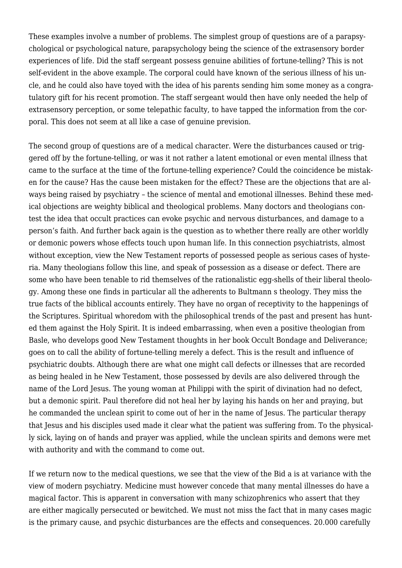These examples involve a number of problems. The simplest group of questions are of a parapsychological or psychological nature, parapsychology being the science of the extrasensory border experiences of life. Did the staff sergeant possess genuine abilities of fortune-telling? This is not self-evident in the above example. The corporal could have known of the serious illness of his uncle, and he could also have toyed with the idea of his parents sending him some money as a congratulatory gift for his recent promotion. The staff sergeant would then have only needed the help of extrasensory perception, or some telepathic faculty, to have tapped the information from the corporal. This does not seem at all like a case of genuine prevision.

The second group of questions are of a medical character. Were the disturbances caused or triggered off by the fortune-telling, or was it not rather a latent emotional or even mental illness that came to the surface at the time of the fortune-telling experience? Could the coincidence be mistaken for the cause? Has the cause been mistaken for the effect? These are the objections that are always being raised by psychiatry – the science of mental and emotional illnesses. Behind these medical objections are weighty biblical and theological problems. Many doctors and theologians contest the idea that occult practices can evoke psychic and nervous disturbances, and damage to a person's faith. And further back again is the question as to whether there really are other worldly or demonic powers whose effects touch upon human life. In this connection psychiatrists, almost without exception, view the New Testament reports of possessed people as serious cases of hysteria. Many theologians follow this line, and speak of possession as a disease or defect. There are some who have been tenable to rid themselves of the rationalistic egg-shells of their liberal theology. Among these one finds in particular all the adherents to Bultmann s theology. They miss the true facts of the biblical accounts entirely. They have no organ of receptivity to the happenings of the Scriptures. Spiritual whoredom with the philosophical trends of the past and present has hunted them against the Holy Spirit. It is indeed embarrassing, when even a positive theologian from Basle, who develops good New Testament thoughts in her book Occult Bondage and Deliverance; goes on to call the ability of fortune-telling merely a defect. This is the result and influence of psychiatric doubts. Although there are what one might call defects or illnesses that are recorded as being healed in he New Testament, those possessed by devils are also delivered through the name of the Lord Jesus. The young woman at Philippi with the spirit of divination had no defect, but a demonic spirit. Paul therefore did not heal her by laying his hands on her and praying, but he commanded the unclean spirit to come out of her in the name of Jesus. The particular therapy that Jesus and his disciples used made it clear what the patient was suffering from. To the physically sick, laying on of hands and prayer was applied, while the unclean spirits and demons were met with authority and with the command to come out.

If we return now to the medical questions, we see that the view of the Bid a is at variance with the view of modern psychiatry. Medicine must however concede that many mental illnesses do have a magical factor. This is apparent in conversation with many schizophrenics who assert that they are either magically persecuted or bewitched. We must not miss the fact that in many cases magic is the primary cause, and psychic disturbances are the effects and consequences. 20.000 carefully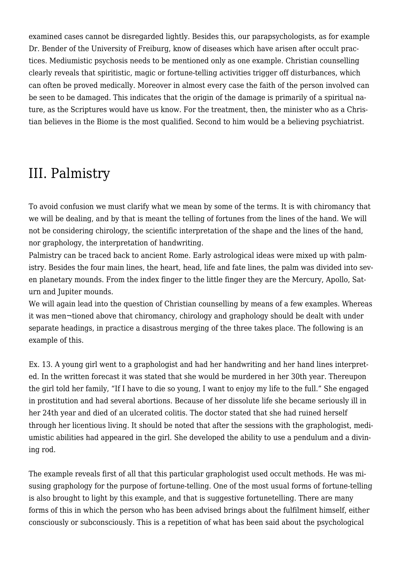examined cases cannot be disregarded lightly. Besides this, our parapsychologists, as for example Dr. Bender of the University of Freiburg, know of diseases which have arisen after occult practices. Mediumistic psychosis needs to be mentioned only as one example. Christian counselling clearly reveals that spiritistic, magic or fortune-telling activities trigger off disturbances, which can often be proved medically. Moreover in almost every case the faith of the person involved can be seen to be damaged. This indicates that the origin of the damage is primarily of a spiritual nature, as the Scriptures would have us know. For the treatment, then, the minister who as a Christian believes in the Biome is the most qualified. Second to him would be a believing psychiatrist.

#### III. Palmistry

To avoid confusion we must clarify what we mean by some of the terms. It is with chiromancy that we will be dealing, and by that is meant the telling of fortunes from the lines of the hand. We will not be considering chirology, the scientific interpretation of the shape and the lines of the hand, nor graphology, the interpretation of handwriting.

Palmistry can be traced back to ancient Rome. Early astrological ideas were mixed up with palmistry. Besides the four main lines, the heart, head, life and fate lines, the palm was divided into seven planetary mounds. From the index finger to the little finger they are the Mercury, Apollo, Saturn and Jupiter mounds.

We will again lead into the question of Christian counselling by means of a few examples. Whereas it was men¬tioned above that chiromancy, chirology and graphology should be dealt with under separate headings, in practice a disastrous merging of the three takes place. The following is an example of this.

Ex. 13. A young girl went to a graphologist and had her handwriting and her hand lines interpreted. In the written forecast it was stated that she would be murdered in her 30th year. Thereupon the girl told her family, "If I have to die so young, I want to enjoy my life to the full." She engaged in prostitution and had several abortions. Because of her dissolute life she became seriously ill in her 24th year and died of an ulcerated colitis. The doctor stated that she had ruined herself through her licentious living. It should be noted that after the sessions with the graphologist, mediumistic abilities had appeared in the girl. She developed the ability to use a pendulum and a divining rod.

The example reveals first of all that this particular graphologist used occult methods. He was misusing graphology for the purpose of fortune-telling. One of the most usual forms of fortune-telling is also brought to light by this example, and that is suggestive fortunetelling. There are many forms of this in which the person who has been advised brings about the fulfilment himself, either consciously or subconsciously. This is a repetition of what has been said about the psychological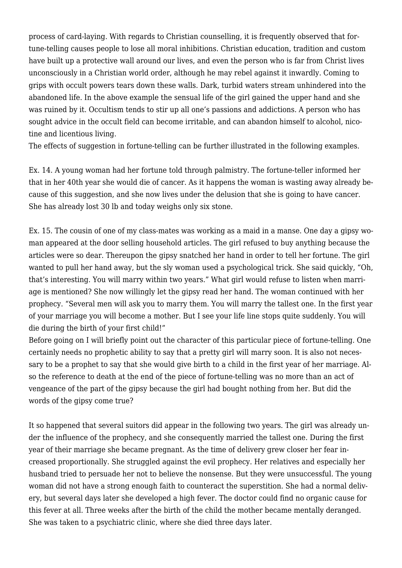process of card-laying. With regards to Christian counselling, it is frequently observed that fortune-telling causes people to lose all moral inhibitions. Christian education, tradition and custom have built up a protective wall around our lives, and even the person who is far from Christ lives unconsciously in a Christian world order, although he may rebel against it inwardly. Coming to grips with occult powers tears down these walls. Dark, turbid waters stream unhindered into the abandoned life. In the above example the sensual life of the girl gained the upper hand and she was ruined by it. Occultism tends to stir up all one's passions and addictions. A person who has sought advice in the occult field can become irritable, and can abandon himself to alcohol, nicotine and licentious living.

The effects of suggestion in fortune-telling can be further illustrated in the following examples.

Ex. 14. A young woman had her fortune told through palmistry. The fortune-teller informed her that in her 40th year she would die of cancer. As it happens the woman is wasting away already because of this suggestion, and she now lives under the delusion that she is going to have cancer. She has already lost 30 lb and today weighs only six stone.

Ex. 15. The cousin of one of my class-mates was working as a maid in a manse. One day a gipsy woman appeared at the door selling household articles. The girl refused to buy anything because the articles were so dear. Thereupon the gipsy snatched her hand in order to tell her fortune. The girl wanted to pull her hand away, but the sly woman used a psychological trick. She said quickly, "Oh, that's interesting. You will marry within two years." What girl would refuse to listen when marriage is mentioned? She now willingly let the gipsy read her hand. The woman continued with her prophecy. "Several men will ask you to marry them. You will marry the tallest one. In the first year of your marriage you will become a mother. But I see your life line stops quite suddenly. You will die during the birth of your first child!"

Before going on I will briefly point out the character of this particular piece of fortune-telling. One certainly needs no prophetic ability to say that a pretty girl will marry soon. It is also not necessary to be a prophet to say that she would give birth to a child in the first year of her marriage. Also the reference to death at the end of the piece of fortune-telling was no more than an act of vengeance of the part of the gipsy because the girl had bought nothing from her. But did the words of the gipsy come true?

It so happened that several suitors did appear in the following two years. The girl was already under the influence of the prophecy, and she consequently married the tallest one. During the first year of their marriage she became pregnant. As the time of delivery grew closer her fear increased proportionally. She struggled against the evil prophecy. Her relatives and especially her husband tried to persuade her not to believe the nonsense. But they were unsuccessful. The young woman did not have a strong enough faith to counteract the superstition. She had a normal delivery, but several days later she developed a high fever. The doctor could find no organic cause for this fever at all. Three weeks after the birth of the child the mother became mentally deranged. She was taken to a psychiatric clinic, where she died three days later.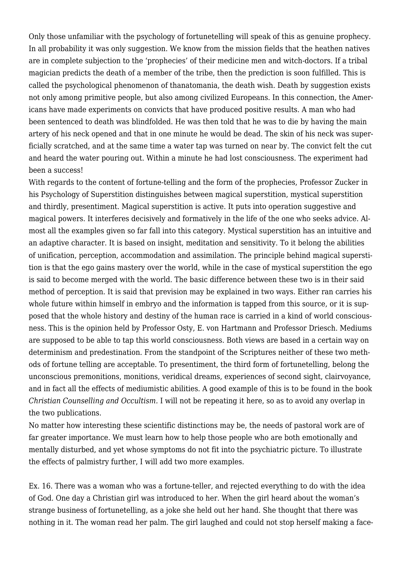Only those unfamiliar with the psychology of fortunetelling will speak of this as genuine prophecy. In all probability it was only suggestion. We know from the mission fields that the heathen natives are in complete subjection to the 'prophecies' of their medicine men and witch-doctors. If a tribal magician predicts the death of a member of the tribe, then the prediction is soon fulfilled. This is called the psychological phenomenon of thanatomania, the death wish. Death by suggestion exists not only among primitive people, but also among civilized Europeans. In this connection, the Americans have made experiments on convicts that have produced positive results. A man who had been sentenced to death was blindfolded. He was then told that he was to die by having the main artery of his neck opened and that in one minute he would be dead. The skin of his neck was superficially scratched, and at the same time a water tap was turned on near by. The convict felt the cut and heard the water pouring out. Within a minute he had lost consciousness. The experiment had been a success!

With regards to the content of fortune-telling and the form of the prophecies, Professor Zucker in his Psychology of Superstition distinguishes between magical superstition, mystical superstition and thirdly, presentiment. Magical superstition is active. It puts into operation suggestive and magical powers. It interferes decisively and formatively in the life of the one who seeks advice. Almost all the examples given so far fall into this category. Mystical superstition has an intuitive and an adaptive character. It is based on insight, meditation and sensitivity. To it belong the abilities of unification, perception, accommodation and assimilation. The principle behind magical superstition is that the ego gains mastery over the world, while in the case of mystical superstition the ego is said to become merged with the world. The basic difference between these two is in their said method of perception. It is said that prevision may be explained in two ways. Either ran carries his whole future within himself in embryo and the information is tapped from this source, or it is supposed that the whole history and destiny of the human race is carried in a kind of world consciousness. This is the opinion held by Professor Osty, E. von Hartmann and Professor Driesch. Mediums are supposed to be able to tap this world consciousness. Both views are based in a certain way on determinism and predestination. From the standpoint of the Scriptures neither of these two methods of fortune telling are acceptable. To presentiment, the third form of fortunetelling, belong the unconscious premonitions, monitions, veridical dreams, experiences of second sight, clairvoyance, and in fact all the effects of mediumistic abilities. A good example of this is to be found in the book *Christian Counselling and Occultism.* I will not be repeating it here, so as to avoid any overlap in the two publications.

No matter how interesting these scientific distinctions may be, the needs of pastoral work are of far greater importance. We must learn how to help those people who are both emotionally and mentally disturbed, and yet whose symptoms do not fit into the psychiatric picture. To illustrate the effects of palmistry further, I will add two more examples.

Ex. 16. There was a woman who was a fortune-teller, and rejected everything to do with the idea of God. One day a Christian girl was introduced to her. When the girl heard about the woman's strange business of fortunetelling, as a joke she held out her hand. She thought that there was nothing in it. The woman read her palm. The girl laughed and could not stop herself making a face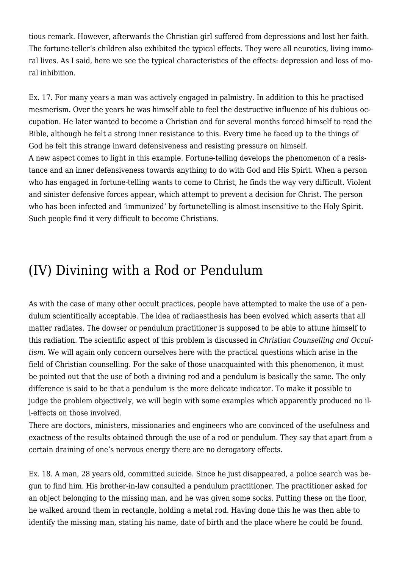tious remark. However, afterwards the Christian girl suffered from depressions and lost her faith. The fortune-teller's children also exhibited the typical effects. They were all neurotics, living immoral lives. As I said, here we see the typical characteristics of the effects: depression and loss of moral inhibition.

Ex. 17. For many years a man was actively engaged in palmistry. In addition to this he practised mesmerism. Over the years he was himself able to feel the destructive influence of his dubious occupation. He later wanted to become a Christian and for several months forced himself to read the Bible, although he felt a strong inner resistance to this. Every time he faced up to the things of God he felt this strange inward defensiveness and resisting pressure on himself. A new aspect comes to light in this example. Fortune-telling develops the phenomenon of a resistance and an inner defensiveness towards anything to do with God and His Spirit. When a person who has engaged in fortune-telling wants to come to Christ, he finds the way very difficult. Violent and sinister defensive forces appear, which attempt to prevent a decision for Christ. The person who has been infected and 'immunized' by fortunetelling is almost insensitive to the Holy Spirit. Such people find it very difficult to become Christians.

#### (IV) Divining with a Rod or Pendulum

As with the case of many other occult practices, people have attempted to make the use of a pendulum scientifically acceptable. The idea of radiaesthesis has been evolved which asserts that all matter radiates. The dowser or pendulum practitioner is supposed to be able to attune himself to this radiation. The scientific aspect of this problem is discussed in *Christian Counselling and Occultism*. We will again only concern ourselves here with the practical questions which arise in the field of Christian counselling. For the sake of those unacquainted with this phenomenon, it must be pointed out that the use of both a divining rod and a pendulum is basically the same. The only difference is said to be that a pendulum is the more delicate indicator. To make it possible to judge the problem objectively, we will begin with some examples which apparently produced no ill-effects on those involved.

There are doctors, ministers, missionaries and engineers who are convinced of the usefulness and exactness of the results obtained through the use of a rod or pendulum. They say that apart from a certain draining of one's nervous energy there are no derogatory effects.

Ex. 18. A man, 28 years old, committed suicide. Since he just disappeared, a police search was begun to find him. His brother-in-law consulted a pendulum practitioner. The practitioner asked for an object belonging to the missing man, and he was given some socks. Putting these on the floor, he walked around them in rectangle, holding a metal rod. Having done this he was then able to identify the missing man, stating his name, date of birth and the place where he could be found.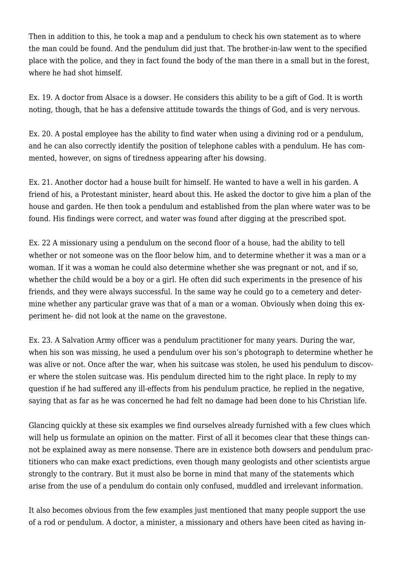Then in addition to this, he took a map and a pendulum to check his own statement as to where the man could be found. And the pendulum did just that. The brother-in-law went to the specified place with the police, and they in fact found the body of the man there in a small but in the forest, where he had shot himself.

Ex. 19. A doctor from Alsace is a dowser. He considers this ability to be a gift of God. It is worth noting, though, that he has a defensive attitude towards the things of God, and is very nervous.

Ex. 20. A postal employee has the ability to find water when using a divining rod or a pendulum, and he can also correctly identify the position of telephone cables with a pendulum. He has commented, however, on signs of tiredness appearing after his dowsing.

Ex. 21. Another doctor had a house built for himself. He wanted to have a well in his garden. A friend of his, a Protestant minister, heard about this. He asked the doctor to give him a plan of the house and garden. He then took a pendulum and established from the plan where water was to be found. His findings were correct, and water was found after digging at the prescribed spot.

Ex. 22 A missionary using a pendulum on the second floor of a house, had the ability to tell whether or not someone was on the floor below him, and to determine whether it was a man or a woman. If it was a woman he could also determine whether she was pregnant or not, and if so, whether the child would be a boy or a girl. He often did such experiments in the presence of his friends, and they were always successful. In the same way he could go to a cemetery and determine whether any particular grave was that of a man or a woman. Obviously when doing this experiment he- did not look at the name on the gravestone.

Ex. 23. A Salvation Army officer was a pendulum practitioner for many years. During the war, when his son was missing, he used a pendulum over his son's photograph to determine whether he was alive or not. Once after the war, when his suitcase was stolen, he used his pendulum to discover where the stolen suitcase was. His pendulum directed him to the right place. In reply to my question if he had suffered any ill-effects from his pendulum practice, he replied in the negative, saying that as far as he was concerned he had felt no damage had been done to his Christian life.

Glancing quickly at these six examples we find ourselves already furnished with a few clues which will help us formulate an opinion on the matter. First of all it becomes clear that these things cannot be explained away as mere nonsense. There are in existence both dowsers and pendulum practitioners who can make exact predictions, even though many geologists and other scientists argue strongly to the contrary. But it must also be borne in mind that many of the statements which arise from the use of a pendulum do contain only confused, muddled and irrelevant information.

It also becomes obvious from the few examples just mentioned that many people support the use of a rod or pendulum. A doctor, a minister, a missionary and others have been cited as having in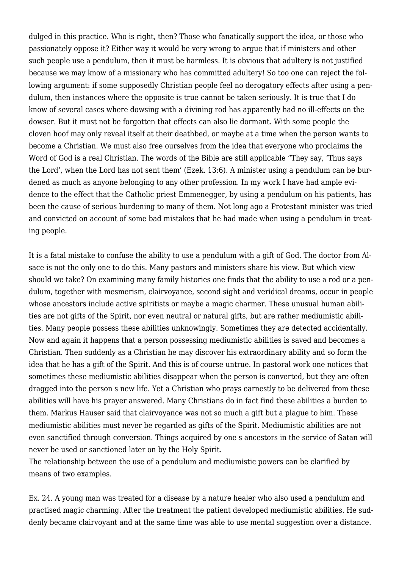dulged in this practice. Who is right, then? Those who fanatically support the idea, or those who passionately oppose it? Either way it would be very wrong to argue that if ministers and other such people use a pendulum, then it must be harmless. It is obvious that adultery is not justified because we may know of a missionary who has committed adultery! So too one can reject the following argument: if some supposedly Christian people feel no derogatory effects after using a pendulum, then instances where the opposite is true cannot be taken seriously. It is true that I do know of several cases where dowsing with a divining rod has apparently had no ill-effects on the dowser. But it must not be forgotten that effects can also lie dormant. With some people the cloven hoof may only reveal itself at their deathbed, or maybe at a time when the person wants to become a Christian. We must also free ourselves from the idea that everyone who proclaims the Word of God is a real Christian. The words of the Bible are still applicable "They say, 'Thus says the Lord', when the Lord has not sent them' (Ezek. 13:6). A minister using a pendulum can be burdened as much as anyone belonging to any other profession. In my work I have had ample evidence to the effect that the Catholic priest Emmenegger, by using a pendulum on his patients, has been the cause of serious burdening to many of them. Not long ago a Protestant minister was tried and convicted on account of some bad mistakes that he had made when using a pendulum in treating people.

It is a fatal mistake to confuse the ability to use a pendulum with a gift of God. The doctor from Alsace is not the only one to do this. Many pastors and ministers share his view. But which view should we take? On examining many family histories one finds that the ability to use a rod or a pendulum, together with mesmerism, clairvoyance, second sight and veridical dreams, occur in people whose ancestors include active spiritists or maybe a magic charmer. These unusual human abilities are not gifts of the Spirit, nor even neutral or natural gifts, but are rather mediumistic abilities. Many people possess these abilities unknowingly. Sometimes they are detected accidentally. Now and again it happens that a person possessing mediumistic abilities is saved and becomes a Christian. Then suddenly as a Christian he may discover his extraordinary ability and so form the idea that he has a gift of the Spirit. And this is of course untrue. In pastoral work one notices that sometimes these mediumistic abilities disappear when the person is converted, but they are often dragged into the person s new life. Yet a Christian who prays earnestly to be delivered from these abilities will have his prayer answered. Many Christians do in fact find these abilities a burden to them. Markus Hauser said that clairvoyance was not so much a gift but a plague to him. These mediumistic abilities must never be regarded as gifts of the Spirit. Mediumistic abilities are not even sanctified through conversion. Things acquired by one s ancestors in the service of Satan will never be used or sanctioned later on by the Holy Spirit.

The relationship between the use of a pendulum and mediumistic powers can be clarified by means of two examples.

Ex. 24. A young man was treated for a disease by a nature healer who also used a pendulum and practised magic charming. After the treatment the patient developed mediumistic abilities. He suddenly became clairvoyant and at the same time was able to use mental suggestion over a distance.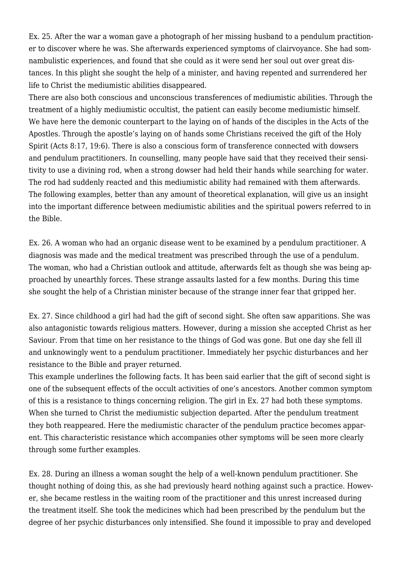Ex. 25. After the war a woman gave a photograph of her missing husband to a pendulum practitioner to discover where he was. She afterwards experienced symptoms of clairvoyance. She had somnambulistic experiences, and found that she could as it were send her soul out over great distances. In this plight she sought the help of a minister, and having repented and surrendered her life to Christ the mediumistic abilities disappeared.

There are also both conscious and unconscious transferences of mediumistic abilities. Through the treatment of a highly mediumistic occultist, the patient can easily become mediumistic himself. We have here the demonic counterpart to the laying on of hands of the disciples in the Acts of the Apostles. Through the apostle's laying on of hands some Christians received the gift of the Holy Spirit (Acts 8:17, 19:6). There is also a conscious form of transference connected with dowsers and pendulum practitioners. In counselling, many people have said that they received their sensitivity to use a divining rod, when a strong dowser had held their hands while searching for water. The rod had suddenly reacted and this mediumistic ability had remained with them afterwards. The following examples, better than any amount of theoretical explanation, will give us an insight into the important difference between mediumistic abilities and the spiritual powers referred to in the Bible.

Ex. 26. A woman who had an organic disease went to be examined by a pendulum practitioner. A diagnosis was made and the medical treatment was prescribed through the use of a pendulum. The woman, who had a Christian outlook and attitude, afterwards felt as though she was being approached by unearthly forces. These strange assaults lasted for a few months. During this time she sought the help of a Christian minister because of the strange inner fear that gripped her.

Ex. 27. Since childhood a girl had had the gift of second sight. She often saw apparitions. She was also antagonistic towards religious matters. However, during a mission she accepted Christ as her Saviour. From that time on her resistance to the things of God was gone. But one day she fell ill and unknowingly went to a pendulum practitioner. Immediately her psychic disturbances and her resistance to the Bible and prayer returned.

This example underlines the following facts. It has been said earlier that the gift of second sight is one of the subsequent effects of the occult activities of one's ancestors. Another common symptom of this is a resistance to things concerning religion. The girl in Ex. 27 had both these symptoms. When she turned to Christ the mediumistic subjection departed. After the pendulum treatment they both reappeared. Here the mediumistic character of the pendulum practice becomes apparent. This characteristic resistance which accompanies other symptoms will be seen more clearly through some further examples.

Ex. 28. During an illness a woman sought the help of a well-known pendulum practitioner. She thought nothing of doing this, as she had previously heard nothing against such a practice. However, she became restless in the waiting room of the practitioner and this unrest increased during the treatment itself. She took the medicines which had been prescribed by the pendulum but the degree of her psychic disturbances only intensified. She found it impossible to pray and developed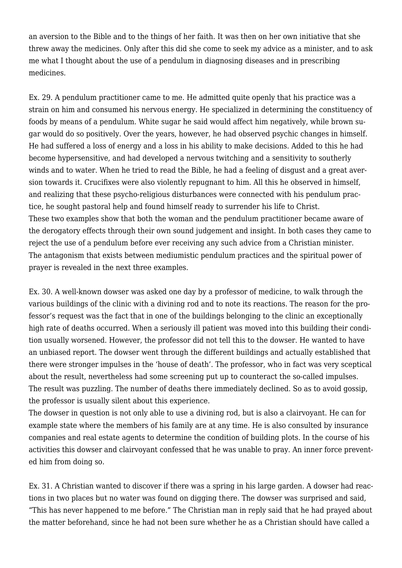an aversion to the Bible and to the things of her faith. It was then on her own initiative that she threw away the medicines. Only after this did she come to seek my advice as a minister, and to ask me what I thought about the use of a pendulum in diagnosing diseases and in prescribing medicines.

Ex. 29. A pendulum practitioner came to me. He admitted quite openly that his practice was a strain on him and consumed his nervous energy. He specialized in determining the constituency of foods by means of a pendulum. White sugar he said would affect him negatively, while brown sugar would do so positively. Over the years, however, he had observed psychic changes in himself. He had suffered a loss of energy and a loss in his ability to make decisions. Added to this he had become hypersensitive, and had developed a nervous twitching and a sensitivity to southerly winds and to water. When he tried to read the Bible, he had a feeling of disgust and a great aversion towards it. Crucifixes were also violently repugnant to him. All this he observed in himself, and realizing that these psycho-religious disturbances were connected with his pendulum practice, he sought pastoral help and found himself ready to surrender his life to Christ. These two examples show that both the woman and the pendulum practitioner became aware of the derogatory effects through their own sound judgement and insight. In both cases they came to reject the use of a pendulum before ever receiving any such advice from a Christian minister. The antagonism that exists between mediumistic pendulum practices and the spiritual power of prayer is revealed in the next three examples.

Ex. 30. A well-known dowser was asked one day by a professor of medicine, to walk through the various buildings of the clinic with a divining rod and to note its reactions. The reason for the professor's request was the fact that in one of the buildings belonging to the clinic an exceptionally high rate of deaths occurred. When a seriously ill patient was moved into this building their condition usually worsened. However, the professor did not tell this to the dowser. He wanted to have an unbiased report. The dowser went through the different buildings and actually established that there were stronger impulses in the 'house of death'. The professor, who in fact was very sceptical about the result, nevertheless had some screening put up to counteract the so-called impulses. The result was puzzling. The number of deaths there immediately declined. So as to avoid gossip, the professor is usually silent about this experience.

The dowser in question is not only able to use a divining rod, but is also a clairvoyant. He can for example state where the members of his family are at any time. He is also consulted by insurance companies and real estate agents to determine the condition of building plots. In the course of his activities this dowser and clairvoyant confessed that he was unable to pray. An inner force prevented him from doing so.

Ex. 31. A Christian wanted to discover if there was a spring in his large garden. A dowser had reactions in two places but no water was found on digging there. The dowser was surprised and said, "This has never happened to me before." The Christian man in reply said that he had prayed about the matter beforehand, since he had not been sure whether he as a Christian should have called a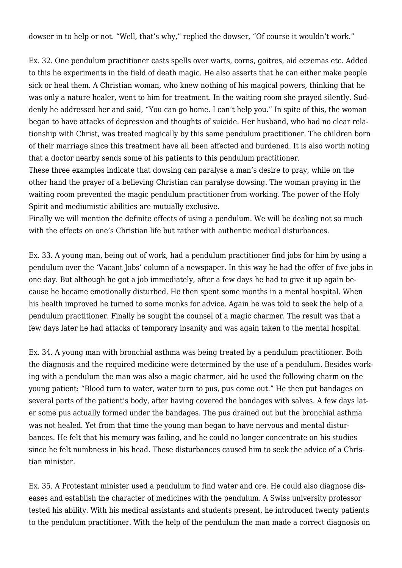dowser in to help or not. "Well, that's why," replied the dowser, "Of course it wouldn't work."

Ex. 32. One pendulum practitioner casts spells over warts, corns, goitres, aid eczemas etc. Added to this he experiments in the field of death magic. He also asserts that he can either make people sick or heal them. A Christian woman, who knew nothing of his magical powers, thinking that he was only a nature healer, went to him for treatment. In the waiting room she prayed silently. Suddenly he addressed her and said, "You can go home. I can't help you." In spite of this, the woman began to have attacks of depression and thoughts of suicide. Her husband, who had no clear relationship with Christ, was treated magically by this same pendulum practitioner. The children born of their marriage since this treatment have all been affected and burdened. It is also worth noting that a doctor nearby sends some of his patients to this pendulum practitioner.

These three examples indicate that dowsing can paralyse a man's desire to pray, while on the other hand the prayer of a believing Christian can paralyse dowsing. The woman praying in the waiting room prevented the magic pendulum practitioner from working. The power of the Holy Spirit and mediumistic abilities are mutually exclusive.

Finally we will mention the definite effects of using a pendulum. We will be dealing not so much with the effects on one's Christian life but rather with authentic medical disturbances.

Ex. 33. A young man, being out of work, had a pendulum practitioner find jobs for him by using a pendulum over the 'Vacant Jobs' column of a newspaper. In this way he had the offer of five jobs in one day. But although he got a job immediately, after a few days he had to give it up again because he became emotionally disturbed. He then spent some months in a mental hospital. When his health improved he turned to some monks for advice. Again he was told to seek the help of a pendulum practitioner. Finally he sought the counsel of a magic charmer. The result was that a few days later he had attacks of temporary insanity and was again taken to the mental hospital.

Ex. 34. A young man with bronchial asthma was being treated by a pendulum practitioner. Both the diagnosis and the required medicine were determined by the use of a pendulum. Besides working with a pendulum the man was also a magic charmer, aid he used the following charm on the young patient: "Blood turn to water, water turn to pus, pus come out." He then put bandages on several parts of the patient's body, after having covered the bandages with salves. A few days later some pus actually formed under the bandages. The pus drained out but the bronchial asthma was not healed. Yet from that time the young man began to have nervous and mental disturbances. He felt that his memory was failing, and he could no longer concentrate on his studies since he felt numbness in his head. These disturbances caused him to seek the advice of a Christian minister.

Ex. 35. A Protestant minister used a pendulum to find water and ore. He could also diagnose diseases and establish the character of medicines with the pendulum. A Swiss university professor tested his ability. With his medical assistants and students present, he introduced twenty patients to the pendulum practitioner. With the help of the pendulum the man made a correct diagnosis on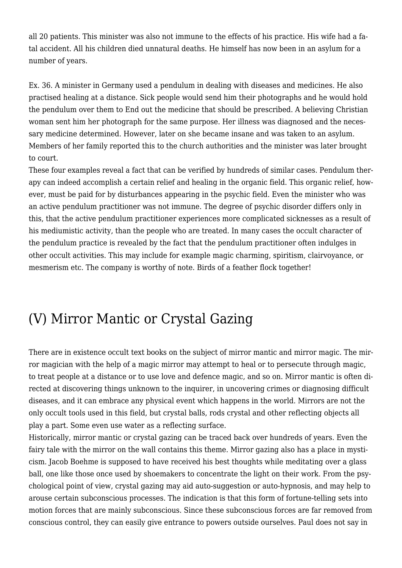all 20 patients. This minister was also not immune to the effects of his practice. His wife had a fatal accident. All his children died unnatural deaths. He himself has now been in an asylum for a number of years.

Ex. 36. A minister in Germany used a pendulum in dealing with diseases and medicines. He also practised healing at a distance. Sick people would send him their photographs and he would hold the pendulum over them to End out the medicine that should be prescribed. A believing Christian woman sent him her photograph for the same purpose. Her illness was diagnosed and the necessary medicine determined. However, later on she became insane and was taken to an asylum. Members of her family reported this to the church authorities and the minister was later brought to court.

These four examples reveal a fact that can be verified by hundreds of similar cases. Pendulum therapy can indeed accomplish a certain relief and healing in the organic field. This organic relief, however, must be paid for by disturbances appearing in the psychic field. Even the minister who was an active pendulum practitioner was not immune. The degree of psychic disorder differs only in this, that the active pendulum practitioner experiences more complicated sicknesses as a result of his mediumistic activity, than the people who are treated. In many cases the occult character of the pendulum practice is revealed by the fact that the pendulum practitioner often indulges in other occult activities. This may include for example magic charming, spiritism, clairvoyance, or mesmerism etc. The company is worthy of note. Birds of a feather flock together!

### (V) Mirror Mantic or Crystal Gazing

There are in existence occult text books on the subject of mirror mantic and mirror magic. The mirror magician with the help of a magic mirror may attempt to heal or to persecute through magic, to treat people at a distance or to use love and defence magic, and so on. Mirror mantic is often directed at discovering things unknown to the inquirer, in uncovering crimes or diagnosing difficult diseases, and it can embrace any physical event which happens in the world. Mirrors are not the only occult tools used in this field, but crystal balls, rods crystal and other reflecting objects all play a part. Some even use water as a reflecting surface.

Historically, mirror mantic or crystal gazing can be traced back over hundreds of years. Even the fairy tale with the mirror on the wall contains this theme. Mirror gazing also has a place in mysticism. Jacob Boehme is supposed to have received his best thoughts while meditating over a glass ball, one like those once used by shoemakers to concentrate the light on their work. From the psychological point of view, crystal gazing may aid auto-suggestion or auto-hypnosis, and may help to arouse certain subconscious processes. The indication is that this form of fortune-telling sets into motion forces that are mainly subconscious. Since these subconscious forces are far removed from conscious control, they can easily give entrance to powers outside ourselves. Paul does not say in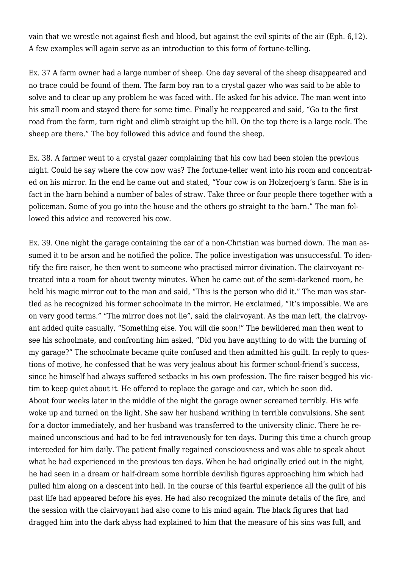vain that we wrestle not against flesh and blood, but against the evil spirits of the air (Eph. 6,12). A few examples will again serve as an introduction to this form of fortune-telling.

Ex. 37 A farm owner had a large number of sheep. One day several of the sheep disappeared and no trace could be found of them. The farm boy ran to a crystal gazer who was said to be able to solve and to clear up any problem he was faced with. He asked for his advice. The man went into his small room and stayed there for some time. Finally he reappeared and said, "Go to the first road from the farm, turn right and climb straight up the hill. On the top there is a large rock. The sheep are there." The boy followed this advice and found the sheep.

Ex. 38. A farmer went to a crystal gazer complaining that his cow had been stolen the previous night. Could he say where the cow now was? The fortune-teller went into his room and concentrated on his mirror. In the end he came out and stated, "Your cow is on Holzerjoerg's farm. She is in fact in the barn behind a number of bales of straw. Take three or four people there together with a policeman. Some of you go into the house and the others go straight to the barn." The man followed this advice and recovered his cow.

Ex. 39. One night the garage containing the car of a non-Christian was burned down. The man assumed it to be arson and he notified the police. The police investigation was unsuccessful. To identify the fire raiser, he then went to someone who practised mirror divination. The clairvoyant retreated into a room for about twenty minutes. When he came out of the semi-darkened room, he held his magic mirror out to the man and said, "This is the person who did it." The man was startled as he recognized his former schoolmate in the mirror. He exclaimed, "It's impossible. We are on very good terms." "The mirror does not lie", said the clairvoyant. As the man left, the clairvoyant added quite casually, "Something else. You will die soon!" The bewildered man then went to see his schoolmate, and confronting him asked, "Did you have anything to do with the burning of my garage?" The schoolmate became quite confused and then admitted his guilt. In reply to questions of motive, he confessed that he was very jealous about his former school-friend's success, since he himself had always suffered setbacks in his own profession. The fire raiser begged his victim to keep quiet about it. He offered to replace the garage and car, which he soon did. About four weeks later in the middle of the night the garage owner screamed terribly. His wife woke up and turned on the light. She saw her husband writhing in terrible convulsions. She sent for a doctor immediately, and her husband was transferred to the university clinic. There he remained unconscious and had to be fed intravenously for ten days. During this time a church group interceded for him daily. The patient finally regained consciousness and was able to speak about what he had experienced in the previous ten days. When he had originally cried out in the night, he had seen in a dream or half-dream some horrible devilish figures approaching him which had pulled him along on a descent into hell. In the course of this fearful experience all the guilt of his past life had appeared before his eyes. He had also recognized the minute details of the fire, and the session with the clairvoyant had also come to his mind again. The black figures that had dragged him into the dark abyss had explained to him that the measure of his sins was full, and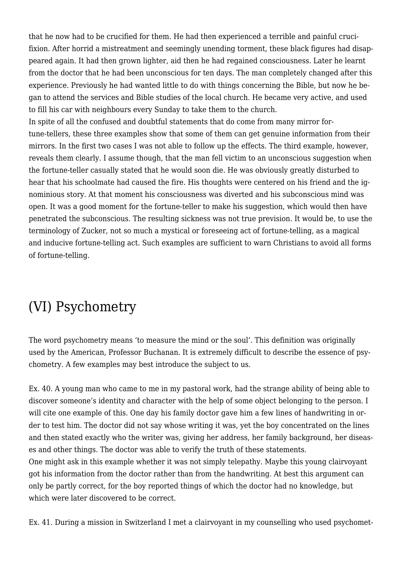that he now had to be crucified for them. He had then experienced a terrible and painful crucifixion. After horrid a mistreatment and seemingly unending torment, these black figures had disappeared again. It had then grown lighter, aid then he had regained consciousness. Later he learnt from the doctor that he had been unconscious for ten days. The man completely changed after this experience. Previously he had wanted little to do with things concerning the Bible, but now he began to attend the services and Bible studies of the local church. He became very active, and used to fill his car with neighbours every Sunday to take them to the church.

In spite of all the confused and doubtful statements that do come from many mirror fortune-tellers, these three examples show that some of them can get genuine information from their mirrors. In the first two cases I was not able to follow up the effects. The third example, however, reveals them clearly. I assume though, that the man fell victim to an unconscious suggestion when the fortune-teller casually stated that he would soon die. He was obviously greatly disturbed to hear that his schoolmate had caused the fire. His thoughts were centered on his friend and the ignominious story. At that moment his consciousness was diverted and his subconscious mind was open. It was a good moment for the fortune-teller to make his suggestion, which would then have penetrated the subconscious. The resulting sickness was not true prevision. It would be, to use the terminology of Zucker, not so much a mystical or foreseeing act of fortune-telling, as a magical and inducive fortune-telling act. Such examples are sufficient to warn Christians to avoid all forms of fortune-telling.

## (VI) Psychometry

The word psychometry means 'to measure the mind or the soul'. This definition was originally used by the American, Professor Buchanan. It is extremely difficult to describe the essence of psychometry. A few examples may best introduce the subject to us.

Ex. 40. A young man who came to me in my pastoral work, had the strange ability of being able to discover someone's identity and character with the help of some object belonging to the person. I will cite one example of this. One day his family doctor gave him a few lines of handwriting in order to test him. The doctor did not say whose writing it was, yet the boy concentrated on the lines and then stated exactly who the writer was, giving her address, her family background, her diseases and other things. The doctor was able to verify the truth of these statements. One might ask in this example whether it was not simply telepathy. Maybe this young clairvoyant got his information from the doctor rather than from the handwriting. At best this argument can only be partly correct, for the boy reported things of which the doctor had no knowledge, but which were later discovered to be correct.

Ex. 41. During a mission in Switzerland I met a clairvoyant in my counselling who used psychomet-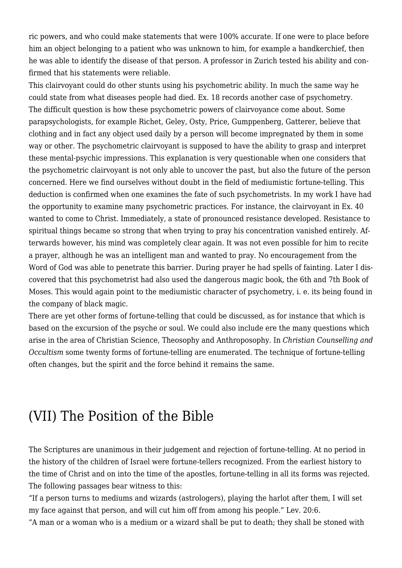ric powers, and who could make statements that were 100% accurate. If one were to place before him an object belonging to a patient who was unknown to him, for example a handkerchief, then he was able to identify the disease of that person. A professor in Zurich tested his ability and confirmed that his statements were reliable.

This clairvoyant could do other stunts using his psychometric ability. In much the same way he could state from what diseases people had died. Ex. 18 records another case of psychometry. The difficult question is how these psychometric powers of clairvoyance come about. Some parapsychologists, for example Richet, Geley, Osty, Price, Gumppenberg, Gatterer, believe that clothing and in fact any object used daily by a person will become impregnated by them in some way or other. The psychometric clairvoyant is supposed to have the ability to grasp and interpret these mental-psychic impressions. This explanation is very questionable when one considers that the psychometric clairvoyant is not only able to uncover the past, but also the future of the person concerned. Here we find ourselves without doubt in the field of mediumistic fortune-telling. This deduction is confirmed when one examines the fate of such psychometrists. In my work I have had the opportunity to examine many psychometric practices. For instance, the clairvoyant in Ex. 40 wanted to come to Christ. Immediately, a state of pronounced resistance developed. Resistance to spiritual things became so strong that when trying to pray his concentration vanished entirely. Afterwards however, his mind was completely clear again. It was not even possible for him to recite a prayer, although he was an intelligent man and wanted to pray. No encouragement from the Word of God was able to penetrate this barrier. During prayer he had spells of fainting. Later I discovered that this psychometrist had also used the dangerous magic book, the 6th and 7th Book of Moses. This would again point to the mediumistic character of psychometry, i. e. its being found in the company of black magic.

There are yet other forms of fortune-telling that could be discussed, as for instance that which is based on the excursion of the psyche or soul. We could also include ere the many questions which arise in the area of Christian Science, Theosophy and Anthroposophy. In *Christian Counselling and Occultism* some twenty forms of fortune-telling are enumerated. The technique of fortune-telling often changes, but the spirit and the force behind it remains the same.

#### (VII) The Position of the Bible

The Scriptures are unanimous in their judgement and rejection of fortune-telling. At no period in the history of the children of Israel were fortune-tellers recognized. From the earliest history to the time of Christ and on into the time of the apostles, fortune-telling in all its forms was rejected. The following passages bear witness to this:

"If a person turns to mediums and wizards (astrologers), playing the harlot after them, I will set my face against that person, and will cut him off from among his people." Lev. 20:6.

"A man or a woman who is a medium or a wizard shall be put to death; they shall be stoned with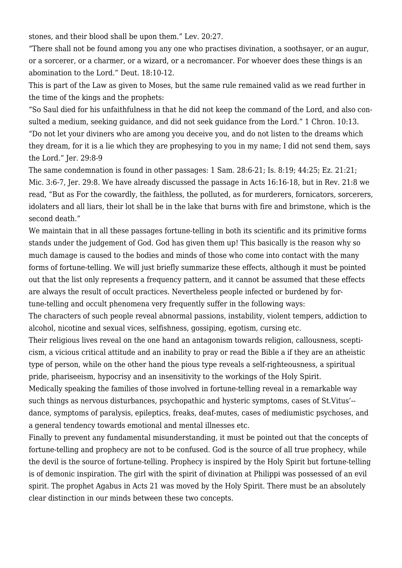stones, and their blood shall be upon them." Lev. 20:27.

"There shall not be found among you any one who practises divination, a soothsayer, or an augur, or a sorcerer, or a charmer, or a wizard, or a necromancer. For whoever does these things is an abomination to the Lord." Deut. 18:10-12.

This is part of the Law as given to Moses, but the same rule remained valid as we read further in the time of the kings and the prophets:

"So Saul died for his unfaithfulness in that he did not keep the command of the Lord, and also consulted a medium, seeking guidance, and did not seek guidance from the Lord." 1 Chron. 10:13. "Do not let your diviners who are among you deceive you, and do not listen to the dreams which they dream, for it is a lie which they are prophesying to you in my name; I did not send them, says the Lord." Jer. 29:8-9

The same condemnation is found in other passages: 1 Sam. 28:6-21; Is. 8:19; 44:25; Ez. 21:21; Mic. 3:6-7, Jer. 29:8. We have already discussed the passage in Acts 16:16-18, but in Rev. 21:8 we read, "But as For the cowardly, the faithless, the polluted, as for murderers, fornicators, sorcerers, idolaters and all liars, their lot shall be in the lake that burns with fire and brimstone, which is the second death."

We maintain that in all these passages fortune-telling in both its scientific and its primitive forms stands under the judgement of God. God has given them up! This basically is the reason why so much damage is caused to the bodies and minds of those who come into contact with the many forms of fortune-telling. We will just briefly summarize these effects, although it must be pointed out that the list only represents a frequency pattern, and it cannot be assumed that these effects are always the result of occult practices. Nevertheless people infected or burdened by fortune-telling and occult phenomena very frequently suffer in the following ways:

The characters of such people reveal abnormal passions, instability, violent tempers, addiction to alcohol, nicotine and sexual vices, selfishness, gossiping, egotism, cursing etc.

Their religious lives reveal on the one hand an antagonism towards religion, callousness, scepticism, a vicious critical attitude and an inability to pray or read the Bible a if they are an atheistic type of person, while on the other hand the pious type reveals a self-righteousness, a spiritual pride, phariseeism, hypocrisy and an insensitivity to the workings of the Holy Spirit.

Medically speaking the families of those involved in fortune-telling reveal in a remarkable way such things as nervous disturbances, psychopathic and hysteric symptoms, cases of St.Vitus'- dance, symptoms of paralysis, epileptics, freaks, deaf-mutes, cases of mediumistic psychoses, and a general tendency towards emotional and mental illnesses etc.

Finally to prevent any fundamental misunderstanding, it must be pointed out that the concepts of fortune-telling and prophecy are not to be confused. God is the source of all true prophecy, while the devil is the source of fortune-telling. Prophecy is inspired by the Holy Spirit but fortune-telling is of demonic inspiration. The girl with the spirit of divination at Philippi was possessed of an evil spirit. The prophet Agabus in Acts 21 was moved by the Holy Spirit. There must be an absolutely clear distinction in our minds between these two concepts.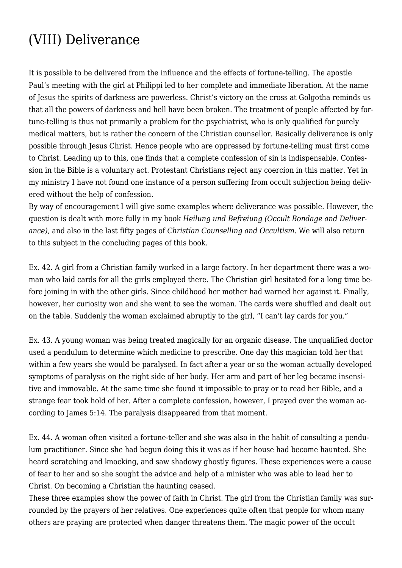## (VIII) Deliverance

It is possible to be delivered from the influence and the effects of fortune-telling. The apostle Paul's meeting with the girl at Philippi led to her complete and immediate liberation. At the name of Jesus the spirits of darkness are powerless. Christ's victory on the cross at Golgotha reminds us that all the powers of darkness and hell have been broken. The treatment of people affected by fortune-telling is thus not primarily a problem for the psychiatrist, who is only qualified for purely medical matters, but is rather the concern of the Christian counsellor. Basically deliverance is only possible through Jesus Christ. Hence people who are oppressed by fortune-telling must first come to Christ. Leading up to this, one finds that a complete confession of sin is indispensable. Confession in the Bible is a voluntary act. Protestant Christians reject any coercion in this matter. Yet in my ministry I have not found one instance of a person suffering from occult subjection being delivered without the help of confession.

By way of encouragement I will give some examples where deliverance was possible. However, the question is dealt with more fully in my book *Heilung und Befreiung (Occult Bondage and Deliverance),* and also in the last fifty pages of *Christían Counselling and Occultism.* We will also return to this subject in the concluding pages of this book.

Ex. 42. A girl from a Christian family worked in a large factory. In her department there was a woman who laid cards for all the girls employed there. The Christian girl hesitated for a long time before joining in with the other girls. Since childhood her mother had warned her against it. Finally, however, her curiosity won and she went to see the woman. The cards were shuffled and dealt out on the table. Suddenly the woman exclaimed abruptly to the girl, "I can't lay cards for you."

Ex. 43. A young woman was being treated magically for an organic disease. The unqualified doctor used a pendulum to determine which medicine to prescribe. One day this magician told her that within a few years she would be paralysed. In fact after a year or so the woman actually developed symptoms of paralysis on the right side of her body. Her arm and part of her leg became insensitive and immovable. At the same time she found it impossible to pray or to read her Bible, and a strange fear took hold of her. After a complete confession, however, I prayed over the woman according to James 5:14. The paralysis disappeared from that moment.

Ex. 44. A woman often visited a fortune-teller and she was also in the habit of consulting a pendulum practitioner. Since she had begun doing this it was as if her house had become haunted. She heard scratching and knocking, and saw shadowy ghostly figures. These experiences were a cause of fear to her and so she sought the advice and help of a minister who was able to lead her to Christ. On becoming a Christian the haunting ceased.

These three examples show the power of faith in Christ. The girl from the Christian family was surrounded by the prayers of her relatives. One experiences quite often that people for whom many others are praying are protected when danger threatens them. The magic power of the occult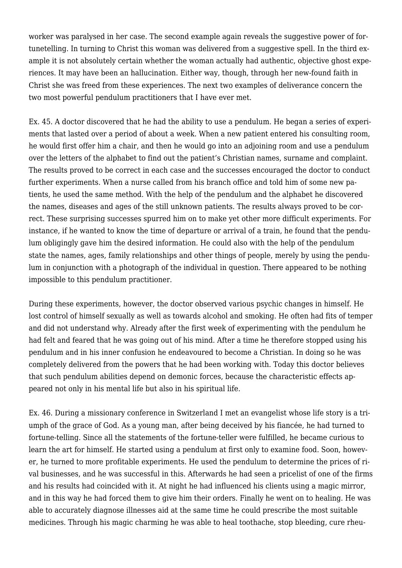worker was paralysed in her case. The second example again reveals the suggestive power of fortunetelling. In turning to Christ this woman was delivered from a suggestive spell. In the third example it is not absolutely certain whether the woman actually had authentic, objective ghost experiences. It may have been an hallucination. Either way, though, through her new-found faith in Christ she was freed from these experiences. The next two examples of deliverance concern the two most powerful pendulum practitioners that I have ever met.

Ex. 45. A doctor discovered that he had the ability to use a pendulum. He began a series of experiments that lasted over a period of about a week. When a new patient entered his consulting room, he would first offer him a chair, and then he would go into an adjoining room and use a pendulum over the letters of the alphabet to find out the patient's Christian names, surname and complaint. The results proved to be correct in each case and the successes encouraged the doctor to conduct further experiments. When a nurse called from his branch office and told him of some new patients, he used the same method. With the help of the pendulum and the alphabet he discovered the names, diseases and ages of the still unknown patients. The results always proved to be correct. These surprising successes spurred him on to make yet other more difficult experiments. For instance, if he wanted to know the time of departure or arrival of a train, he found that the pendulum obligingly gave him the desired information. He could also with the help of the pendulum state the names, ages, family relationships and other things of people, merely by using the pendulum in conjunction with a photograph of the individual in question. There appeared to be nothing impossible to this pendulum practitioner.

During these experiments, however, the doctor observed various psychic changes in himself. He lost control of himself sexually as well as towards alcohol and smoking. He often had fits of temper and did not understand why. Already after the first week of experimenting with the pendulum he had felt and feared that he was going out of his mind. After a time he therefore stopped using his pendulum and in his inner confusion he endeavoured to become a Christian. In doing so he was completely delivered from the powers that he had been working with. Today this doctor believes that such pendulum abilities depend on demonic forces, because the characteristic effects appeared not only in his mental life but also in his spiritual life.

Ex. 46. During a missionary conference in Switzerland I met an evangelist whose life story is a triumph of the grace of God. As a young man, after being deceived by his fiancée, he had turned to fortune-telling. Since all the statements of the fortune-teller were fulfilled, he became curious to learn the art for himself. He started using a pendulum at first only to examine food. Soon, however, he turned to more profitable experiments. He used the pendulum to determine the prices of rival businesses, and he was successful in this. Afterwards he had seen a pricelist of one of the firms and his results had coincided with it. At night he had influenced his clients using a magic mirror, and in this way he had forced them to give him their orders. Finally he went on to healing. He was able to accurately diagnose illnesses aid at the same time he could prescribe the most suitable medicines. Through his magic charming he was able to heal toothache, stop bleeding, cure rheu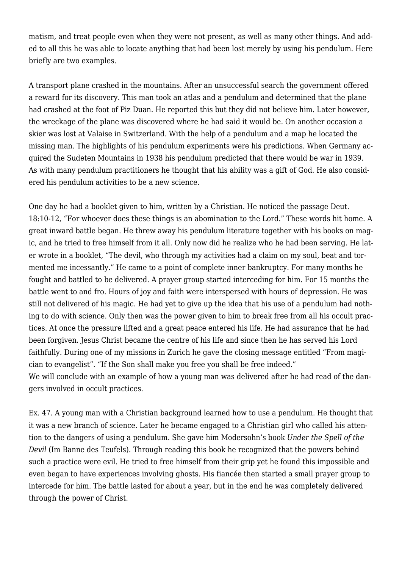matism, and treat people even when they were not present, as well as many other things. And added to all this he was able to locate anything that had been lost merely by using his pendulum. Here briefly are two examples.

A transport plane crashed in the mountains. After an unsuccessful search the government offered a reward for its discovery. This man took an atlas and a pendulum and determined that the plane had crashed at the foot of Piz Duan. He reported this but they did not believe him. Later however, the wreckage of the plane was discovered where he had said it would be. On another occasion a skier was lost at Valaise in Switzerland. With the help of a pendulum and a map he located the missing man. The highlights of his pendulum experiments were his predictions. When Germany acquired the Sudeten Mountains in 1938 his pendulum predicted that there would be war in 1939. As with many pendulum practitioners he thought that his ability was a gift of God. He also considered his pendulum activities to be a new science.

One day he had a booklet given to him, written by a Christian. He noticed the passage Deut. 18:10-12, "For whoever does these things is an abomination to the Lord." These words hit home. A great inward battle began. He threw away his pendulum literature together with his books on magic, and he tried to free himself from it all. Only now did he realize who he had been serving. He later wrote in a booklet, "The devil, who through my activities had a claim on my soul, beat and tormented me incessantly." He came to a point of complete inner bankruptcy. For many months he fought and battled to be delivered. A prayer group started interceding for him. For 15 months the battle went to and fro. Hours of joy and faith were interspersed with hours of depression. He was still not delivered of his magic. He had yet to give up the idea that his use of a pendulum had nothing to do with science. Only then was the power given to him to break free from all his occult practices. At once the pressure lifted and a great peace entered his life. He had assurance that he had been forgiven. Jesus Christ became the centre of his life and since then he has served his Lord faithfully. During one of my missions in Zurich he gave the closing message entitled "From magician to evangelist". "If the Son shall make you free you shall be free indeed." We will conclude with an example of how a young man was delivered after he had read of the dangers involved in occult practices.

Ex. 47. A young man with a Christian background learned how to use a pendulum. He thought that it was a new branch of science. Later he became engaged to a Christian girl who called his attention to the dangers of using a pendulum. She gave him Modersohn's book *Under the Spell of the Devil* (Im Banne des Teufels). Through reading this book he recognized that the powers behind such a practice were evil. He tried to free himself from their grip yet he found this impossible and even began to have experiences involving ghosts. His fiancée then started a small prayer group to intercede for him. The battle lasted for about a year, but in the end he was completely delivered through the power of Christ.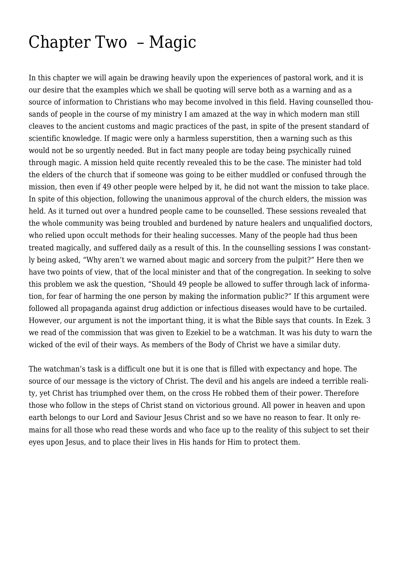# Chapter Two – Magic

In this chapter we will again be drawing heavily upon the experiences of pastoral work, and it is our desire that the examples which we shall be quoting will serve both as a warning and as a source of information to Christians who may become involved in this field. Having counselled thousands of people in the course of my ministry I am amazed at the way in which modern man still cleaves to the ancient customs and magic practices of the past, in spite of the present standard of scientific knowledge. If magic were only a harmless superstition, then a warning such as this would not be so urgently needed. But in fact many people are today being psychically ruined through magic. A mission held quite recently revealed this to be the case. The minister had told the elders of the church that if someone was going to be either muddled or confused through the mission, then even if 49 other people were helped by it, he did not want the mission to take place. In spite of this objection, following the unanimous approval of the church elders, the mission was held. As it turned out over a hundred people came to be counselled. These sessions revealed that the whole community was being troubled and burdened by nature healers and unqualified doctors, who relied upon occult methods for their healing successes. Many of the people had thus been treated magically, and suffered daily as a result of this. In the counselling sessions I was constantly being asked, "Why aren't we warned about magic and sorcery from the pulpit?" Here then we have two points of view, that of the local minister and that of the congregation. In seeking to solve this problem we ask the question, "Should 49 people be allowed to suffer through lack of information, for fear of harming the one person by making the information public?" If this argument were followed all propaganda against drug addiction or infectious diseases would have to be curtailed. However, our argument is not the important thing, it is what the Bible says that counts. In Ezek. 3 we read of the commission that was given to Ezekiel to be a watchman. It was his duty to warn the wicked of the evil of their ways. As members of the Body of Christ we have a similar duty.

The watchman's task is a difficult one but it is one that is filled with expectancy and hope. The source of our message is the victory of Christ. The devil and his angels are indeed a terrible reality, yet Christ has triumphed over them, on the cross He robbed them of their power. Therefore those who follow in the steps of Christ stand on victorious ground. All power in heaven and upon earth belongs to our Lord and Saviour Jesus Christ and so we have no reason to fear. It only remains for all those who read these words and who face up to the reality of this subject to set their eyes upon Jesus, and to place their lives in His hands for Him to protect them.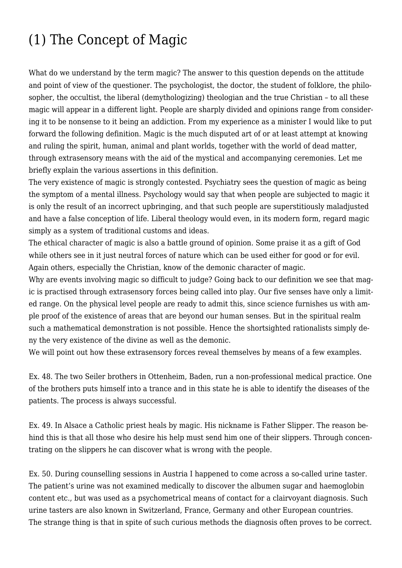## (1) The Concept of Magic

What do we understand by the term magic? The answer to this question depends on the attitude and point of view of the questioner. The psychologist, the doctor, the student of folklore, the philosopher, the occultist, the liberal (demythologizing) theologian and the true Christian – to all these magic will appear in a different light. People are sharply divided and opinions range from considering it to be nonsense to it being an addiction. From my experience as a minister I would like to put forward the following definition. Magic is the much disputed art of or at least attempt at knowing and ruling the spirit, human, animal and plant worlds, together with the world of dead matter, through extrasensory means with the aid of the mystical and accompanying ceremonies. Let me briefly explain the various assertions in this definition.

The very existence of magic is strongly contested. Psychiatry sees the question of magic as being the symptom of a mental illness. Psychology would say that when people are subjected to magic it is only the result of an incorrect upbringing, and that such people are superstitiously maladjusted and have a false conception of life. Liberal theology would even, in its modern form, regard magic simply as a system of traditional customs and ideas.

The ethical character of magic is also a battle ground of opinion. Some praise it as a gift of God while others see in it just neutral forces of nature which can be used either for good or for evil. Again others, especially the Christian, know of the demonic character of magic.

Why are events involving magic so difficult to judge? Going back to our definition we see that magic is practised through extrasensory forces being called into play. Our five senses have only a limited range. On the physical level people are ready to admit this, since science furnishes us with ample proof of the existence of areas that are beyond our human senses. But in the spiritual realm such a mathematical demonstration is not possible. Hence the shortsighted rationalists simply deny the very existence of the divine as well as the demonic.

We will point out how these extrasensory forces reveal themselves by means of a few examples.

Ex. 48. The two Seiler brothers in Ottenheim, Baden, run a non-professional medical practice. One of the brothers puts himself into a trance and in this state he is able to identify the diseases of the patients. The process is always successful.

Ex. 49. In Alsace a Catholic priest heals by magic. His nickname is Father Slipper. The reason behind this is that all those who desire his help must send him one of their slippers. Through concentrating on the slippers he can discover what is wrong with the people.

Ex. 50. During counselling sessions in Austria I happened to come across a so-called urine taster. The patient's urine was not examined medically to discover the albumen sugar and haemoglobin content etc., but was used as a psychometrical means of contact for a clairvoyant diagnosis. Such urine tasters are also known in Switzerland, France, Germany and other European countries. The strange thing is that in spite of such curious methods the diagnosis often proves to be correct.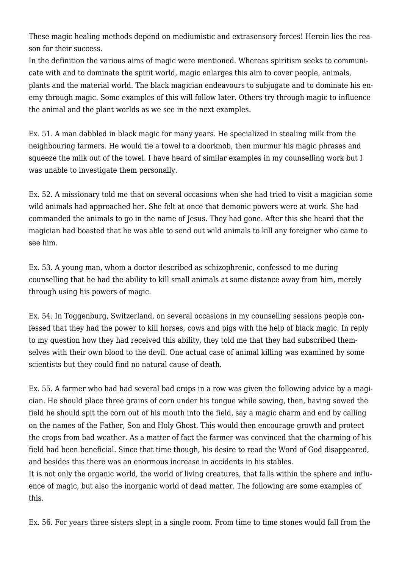These magic healing methods depend on mediumistic and extrasensory forces! Herein lies the reason for their success.

In the definition the various aims of magic were mentioned. Whereas spiritism seeks to communicate with and to dominate the spirit world, magic enlarges this aim to cover people, animals, plants and the material world. The black magician endeavours to subjugate and to dominate his enemy through magic. Some examples of this will follow later. Others try through magic to influence the animal and the plant worlds as we see in the next examples.

Ex. 51. A man dabbled in black magic for many years. He specialized in stealing milk from the neighbouring farmers. He would tie a towel to a doorknob, then murmur his magic phrases and squeeze the milk out of the towel. I have heard of similar examples in my counselling work but I was unable to investigate them personally.

Ex. 52. A missionary told me that on several occasions when she had tried to visit a magician some wild animals had approached her. She felt at once that demonic powers were at work. She had commanded the animals to go in the name of Jesus. They had gone. After this she heard that the magician had boasted that he was able to send out wild animals to kill any foreigner who came to see him.

Ex. 53. A young man, whom a doctor described as schizophrenic, confessed to me during counselling that he had the ability to kill small animals at some distance away from him, merely through using his powers of magic.

Ex. 54. In Toggenburg, Switzerland, on several occasions in my counselling sessions people confessed that they had the power to kill horses, cows and pigs with the help of black magic. In reply to my question how they had received this ability, they told me that they had subscribed themselves with their own blood to the devil. One actual case of animal killing was examined by some scientists but they could find no natural cause of death.

Ex. 55. A farmer who had had several bad crops in a row was given the following advice by a magician. He should place three grains of corn under his tongue while sowing, then, having sowed the field he should spit the corn out of his mouth into the field, say a magic charm and end by calling on the names of the Father, Son and Holy Ghost. This would then encourage growth and protect the crops from bad weather. As a matter of fact the farmer was convinced that the charming of his field had been beneficial. Since that time though, his desire to read the Word of God disappeared, and besides this there was an enormous increase in accidents in his stables.

It is not only the organic world, the world of living creatures, that falls within the sphere and influence of magic, but also the inorganic world of dead matter. The following are some examples of this.

Ex. 56. For years three sisters slept in a single room. From time to time stones would fall from the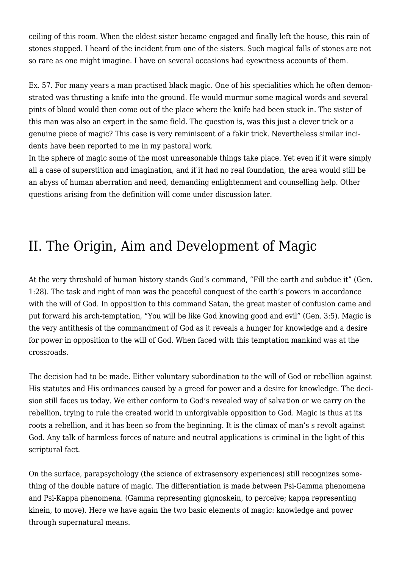ceiling of this room. When the eldest sister became engaged and finally left the house, this rain of stones stopped. I heard of the incident from one of the sisters. Such magical falls of stones are not so rare as one might imagine. I have on several occasions had eyewitness accounts of them.

Ex. 57. For many years a man practised black magic. One of his specialities which he often demonstrated was thrusting a knife into the ground. He would murmur some magical words and several pints of blood would then come out of the place where the knife had been stuck in. The sister of this man was also an expert in the same field. The question is, was this just a clever trick or a genuine piece of magic? This case is very reminiscent of a fakir trick. Nevertheless similar incidents have been reported to me in my pastoral work.

In the sphere of magic some of the most unreasonable things take place. Yet even if it were simply all a case of superstition and imagination, and if it had no real foundation, the area would still be an abyss of human aberration and need, demanding enlightenment and counselling help. Other questions arising from the definition will come under discussion later.

### II. The Origin, Aim and Development of Magic

At the very threshold of human history stands God's command, "Fill the earth and subdue it" (Gen. 1:28). The task and right of man was the peaceful conquest of the earth's powers in accordance with the will of God. In opposition to this command Satan, the great master of confusion came and put forward his arch-temptation, "You will be like God knowing good and evil" (Gen. 3:5). Magic is the very antithesis of the commandment of God as it reveals a hunger for knowledge and a desire for power in opposition to the will of God. When faced with this temptation mankind was at the crossroads.

The decision had to be made. Either voluntary subordination to the will of God or rebellion against His statutes and His ordinances caused by a greed for power and a desire for knowledge. The decision still faces us today. We either conform to God's revealed way of salvation or we carry on the rebellion, trying to rule the created world in unforgivable opposition to God. Magic is thus at its roots a rebellion, and it has been so from the beginning. It is the climax of man's s revolt against God. Any talk of harmless forces of nature and neutral applications is criminal in the light of this scriptural fact.

On the surface, parapsychology (the science of extrasensory experiences) still recognizes something of the double nature of magic. The differentiation is made between Psi-Gamma phenomena and Psi-Kappa phenomena. (Gamma representing gignoskein, to perceive; kappa representing kinein, to move). Here we have again the two basic elements of magic: knowledge and power through supernatural means.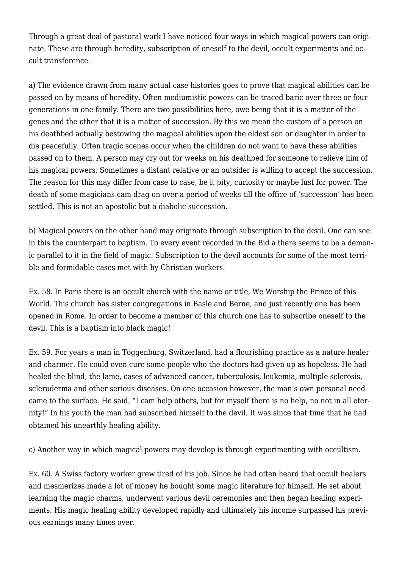Through a great deal of pastoral work I have noticed four ways in which magical powers can originate. These are through heredity, subscription of oneself to the devil, occult experiments and occult transference.

a) The evidence drawn from many actual case histories goes to prove that magical abilities can be passed on by means of heredity. Often mediumistic powers can be traced baric over three or four generations in one family. There are two possibilities here, owe being that it is a matter of the genes and the other that it is a matter of succession. By this we mean the custom of a person on his deathbed actually bestowing the magical abilities upon the eldest son or daughter in order to die peacefully. Often tragic scenes occur when the children do not want to have these abilities passed on to them. A person may cry out for weeks on his deathbed for someone to relieve him of his magical powers. Sometimes a distant relative or an outsider is willing to accept the succession. The reason for this may differ from case to case, be it pity, curiosity or maybe lust for power. The death of some magicians cam drag on over a period of weeks till the office of 'succession' has been settled. This is not an apostolic but a diabolic succession.

b) Magical powers on the other hand may originate through subscription to the devil. One can see in this the counterpart to baptism. To every event recorded in the Bid a there seems to be a demonic parallel to it in the field of magic. Subscription to the devil accounts for some of the most terrible and formidable cases met with by Christian workers.

Ex. 58. In Paris there is an occult church with the name or title, We Worship the Prince of this World. This church has sister congregations in Basle and Berne, and just recently one has been opened in Rome. In order to become a member of this church one has to subscribe oneself to the devil. This is a baptism into black magic!

Ex. 59. For years a man in Toggenburg, Switzerland, had a flourishing practice as a nature healer and charmer. He could even cure some people who the doctors had given up as hopeless. He had healed the blind, the lame, cases of advanced cancer, tuberculosis, leukemia, multiple sclerosis, scleroderma and other serious diseases. On one occasion however, the man's own personal need came to the surface. He said, "I cam help others, but for myself there is no help, no not in all eternity!" In his youth the man had subscribed himself to the devil. It was since that time that he had obtained his unearthly healing ability.

c) Another way in which magical powers may develop is through experimenting with occultism.

Ex. 60. A Swiss factory worker grew tired of his job. Since he had often heard that occult healers and mesmerizes made a lot of money he bought some magic literature for himself. He set about learning the magic charms, underwent various devil ceremonies and then began healing experiments. His magic healing ability developed rapidly and ultimately his income surpassed his previous earnings many times over.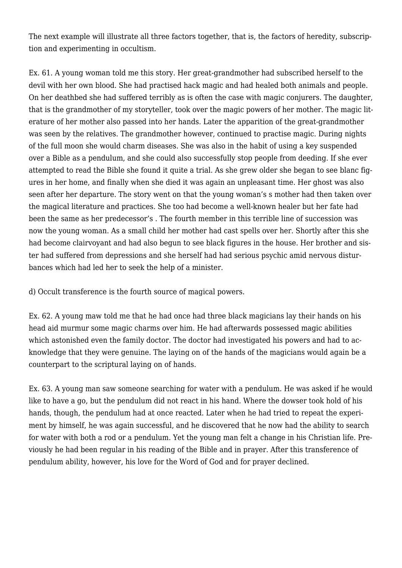The next example will illustrate all three factors together, that is, the factors of heredity, subscription and experimenting in occultism.

Ex. 61. A young woman told me this story. Her great-grandmother had subscribed herself to the devil with her own blood. She had practised hack magic and had healed both animals and people. On her deathbed she had suffered terribly as is often the case with magic conjurers. The daughter, that is the grandmother of my storyteller, took over the magic powers of her mother. The magic literature of her mother also passed into her hands. Later the apparition of the great-grandmother was seen by the relatives. The grandmother however, continued to practise magic. During nights of the full moon she would charm diseases. She was also in the habit of using a key suspended over a Bible as a pendulum, and she could also successfully stop people from deeding. If she ever attempted to read the Bible she found it quite a trial. As she grew older she began to see blanc figures in her home, and finally when she died it was again an unpleasant time. Her ghost was also seen after her departure. The story went on that the young woman's s mother had then taken over the magical literature and practices. She too had become a well-known healer but her fate had been the same as her predecessor's . The fourth member in this terrible line of succession was now the young woman. As a small child her mother had cast spells over her. Shortly after this she had become clairvoyant and had also begun to see black figures in the house. Her brother and sister had suffered from depressions and she herself had had serious psychic amid nervous disturbances which had led her to seek the help of a minister.

d) Occult transference is the fourth source of magical powers.

Ex. 62. A young maw told me that he had once had three black magicians lay their hands on his head aid murmur some magic charms over him. He had afterwards possessed magic abilities which astonished even the family doctor. The doctor had investigated his powers and had to acknowledge that they were genuine. The laying on of the hands of the magicians would again be a counterpart to the scriptural laying on of hands.

Ex. 63. A young man saw someone searching for water with a pendulum. He was asked if he would like to have a go, but the pendulum did not react in his hand. Where the dowser took hold of his hands, though, the pendulum had at once reacted. Later when he had tried to repeat the experiment by himself, he was again successful, and he discovered that he now had the ability to search for water with both a rod or a pendulum. Yet the young man felt a change in his Christian life. Previously he had been regular in his reading of the Bible and in prayer. After this transference of pendulum ability, however, his love for the Word of God and for prayer declined.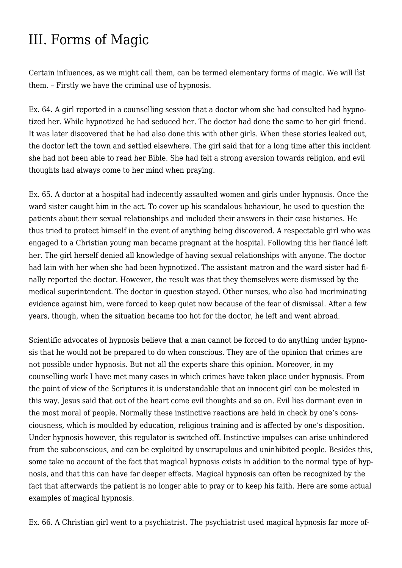### III. Forms of Magic

Certain influences, as we might call them, can be termed elementary forms of magic. We will lìst them. – Firstly we have the criminal use of hypnosis.

Ex. 64. A girl reported in a counselling session that a doctor whom she had consulted had hypnotized her. While hypnotized he had seduced her. The doctor had done the same to her girl friend. It was later discovered that he had also done this with other girls. When these stories leaked out, the doctor left the town and settled elsewhere. The girl said that for a long time after this incident she had not been able to read her Bible. She had felt a strong aversion towards religion, and evil thoughts had always come to her mind when praying.

Ex. 65. A doctor at a hospital had indecently assaulted women and girls under hypnosis. Once the ward sister caught him in the act. To cover up his scandalous behaviour, he used to question the patients about their sexual relationships and included their answers in their case histories. He thus tried to protect himself in the event of anything being discovered. A respectable girl who was engaged to a Christian young man became pregnant at the hospital. Following this her fiancé left her. The girl herself denied all knowledge of having sexual relationships with anyone. The doctor had lain with her when she had been hypnotized. The assistant matron and the ward sister had finally reported the doctor. However, the result was that they themselves were dismissed by the medical superintendent. The doctor in question stayed. Other nurses, who also had incriminating evidence against him, were forced to keep quiet now because of the fear of dismissal. After a few years, though, when the situation became too hot for the doctor, he left and went abroad.

Scientific advocates of hypnosis believe that a man cannot be forced to do anything under hypnosis that he would not be prepared to do when conscious. They are of the opinion that crimes are not possible under hypnosis. But not all the experts share this opinion. Moreover, in my counselling work I have met many cases in which crimes have taken place under hypnosis. From the point of view of the Scriptures it is understandable that an innocent girl can be molested in this way. Jesus said that out of the heart come evil thoughts and so on. Evil lies dormant even in the most moral of people. Normally these instinctive reactions are held in check by one's consciousness, which is moulded by education, religious training and is affected by one's disposition. Under hypnosis however, this regulator is switched off. Instinctive impulses can arise unhindered from the subconscious, and can be exploited by unscrupulous and uninhibited people. Besides this, some take no account of the fact that magical hypnosis exists in addition to the normal type of hypnosis, and that this can have far deeper effects. Magical hypnosis can often be recognized by the fact that afterwards the patient is no longer able to pray or to keep his faith. Here are some actual examples of magical hypnosis.

Ex. 66. A Christian girl went to a psychiatrist. The psychiatrist used magical hypnosis far more of-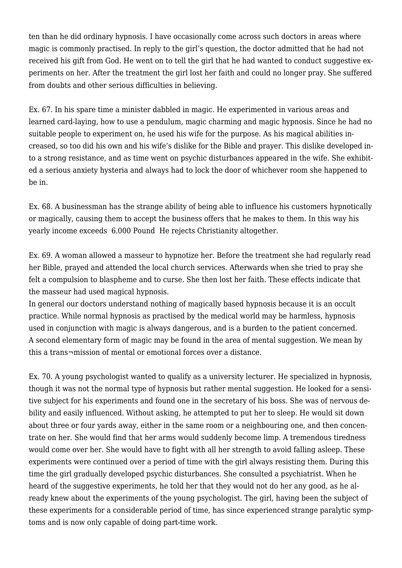ten than he did ordinary hypnosis. I have occasionally come across such doctors in areas where magic is commonly practised. In reply to the girl's question, the doctor admitted that he had not received his gift from God. He went on to tell the girl that he had wanted to conduct suggestive experiments on her. After the treatment the girl lost her faith and could no longer pray. She suffered from doubts and other serious difficulties in believing.

Ex. 67. In his spare time a minister dabbled in magic. He experimented in various areas and learned card-laying, how to use a pendulum, magic charming and magic hypnosis. Since he had no suitable people to experiment on, he used his wife for the purpose. As his magical abilities increased, so too did his own and his wife's dislike for the Bible and prayer. This dislike developed into a strong resistance, and as time went on psychic disturbances appeared in the wife. She exhibited a serious anxiety hysteria and always had to lock the door of whichever room she happened to be in.

Ex. 68. A businessman has the strange ability of being able to influence his customers hypnotically or magically, causing them to accept the business offers that he makes to them. In this way his yearly income exceeds 6.000 Pound He rejects Christianity altogether.

Ex. 69. A woman allowed a masseur to hypnotize her. Before the treatment she had regularly read her Bible, prayed and attended the local church services. Afterwards when she tried to pray she felt a compulsion to blaspheme and to curse. She then lost her faith. These effects indicate that the masseur had used magical hypnosis.

In general our doctors understand nothing of magically based hypnosis because it is an occult practice. While normal hypnosis as practised by the medical world may be harmless, hypnosis used in conjunction with magic is always dangerous, and is a burden to the patient concerned. A second elementary form of magic may be found in the area of mental suggestion. We mean by this a trans¬mission of mental or emotional forces over a distance.

Ex. 70. A young psychologist wanted to qualify as a university lecturer. He specialized in hypnosis, though it was not the normal type of hypnosis but rather mental suggestion. He looked for a sensitive subject for his experiments and found one in the secretary of his boss. She was of nervous debility and easily influenced. Without asking, he attempted to put her to sleep. He would sit down about three or four yards away, either in the same room or a neighbouring one, and then concentrate on her. She would find that her arms would suddenly become limp. A tremendous tiredness would come over her. She would have to fight with all her strength to avoid falling asleep. These experiments were continued over a period of time with the girl always resisting them. During this time the girl gradually developed psychic disturbances. She consulted a psychiatrist. When he heard of the suggestive experiments, he told her that they would not do her any good, as he already knew about the experiments of the young psychologist. The girl, having been the subject of these experiments for a considerable period of time, has since experienced strange paralytic symptoms and is now only capable of doing part-time work.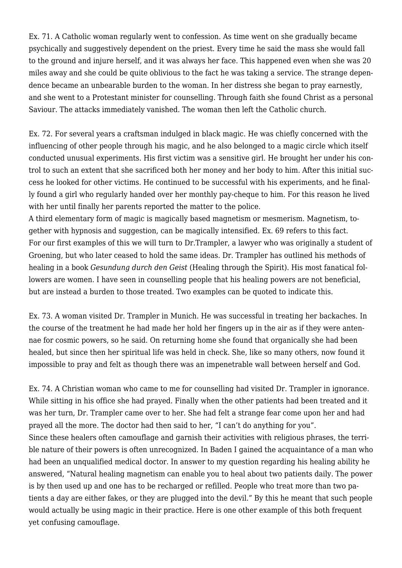Ex. 71. A Catholic woman regularly went to confession. As time went on she gradually became psychically and suggestively dependent on the priest. Every time he said the mass she would fall to the ground and injure herself, and it was always her face. This happened even when she was 20 miles away and she could be quite oblivious to the fact he was taking a service. The strange dependence became an unbearable burden to the woman. In her distress she began to pray earnestly, and she went to a Protestant minister for counselling. Through faith she found Christ as a personal Saviour. The attacks immediately vanished. The woman then left the Catholic church.

Ex. 72. For several years a craftsman indulged in black magic. He was chiefly concerned with the influencing of other people through his magic, and he also belonged to a magic circle which itself conducted unusual experiments. His first victim was a sensitive girl. He brought her under his control to such an extent that she sacrificed both her money and her body to him. After this initial success he looked for other victims. He continued to be successful with his experiments, and he finally found a girl who regularly handed over her monthly pay-cheque to him. For this reason he lived with her until finally her parents reported the matter to the police.

A third elementary form of magic is magically based magnetism or mesmerism. Magnetism, together with hypnosis and suggestion, can be magically intensified. Ex. 69 refers to this fact. For our first examples of this we will turn to Dr.Trampler, a lawyer who was originally a student of Groening, but who later ceased to hold the same ideas. Dr. Trampler has outlined his methods of healing in a book *Gesundung durch den Geist* (Healing through the Spirit). His most fanatical followers are women. I have seen in counselling people that his healing powers are not beneficial, but are instead a burden to those treated. Two examples can be quoted to indicate this.

Ex. 73. A woman visited Dr. Trampler in Munich. He was successful in treating her backaches. In the course of the treatment he had made her hold her fingers up in the air as if they were antennae for cosmic powers, so he said. On returning home she found that organically she had been healed, but since then her spiritual life was held in check. She, like so many others, now found it impossible to pray and felt as though there was an impenetrable wall between herself and God.

Ex. 74. A Christian woman who came to me for counselling had visited Dr. Trampler in ignorance. While sitting in his office she had prayed. Finally when the other patients had been treated and it was her turn, Dr. Trampler came over to her. She had felt a strange fear come upon her and had prayed all the more. The doctor had then said to her, "I can't do anything for you". Since these healers often camouflage and garnish their activities with religious phrases, the terrible nature of their powers is often unrecognized. In Baden I gained the acquaintance of a man who had been an unqualified medical doctor. In answer to my question regarding his healing ability he answered, "Natural healing magnetism can enable you to heal about two patients daily. The power is by then used up and one has to be recharged or refilled. People who treat more than two patients a day are either fakes, or they are plugged into the devil." By this he meant that such people would actually be using magic in their practice. Here is one other example of this both frequent yet confusing camouflage.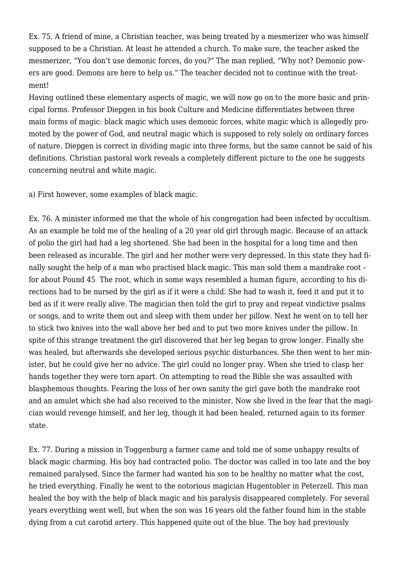Ex. 75. A friend of mine, a Christian teacher, was being treated by a mesmerizer who was himself supposed to be a Christian. At least he attended a church. To make sure, the teacher asked the mesmerizer, "You don't use demonic forces, do you?" The man replied, "Why not? Demonic powers are good. Demons are here to help us." The teacher decided not to continue with the treatment!

Having outlined these elementary aspects of magic, we will now go on to the more basic and principal forms. Professor Diepgen in his book Culture and Medicine differentiates between three main forms of magic: black magic which uses demonic forces, white magic which is allegedly promoted by the power of God, and neutral magic which is supposed to rely solely on ordinary forces of nature. Diepgen is correct in dividing magic into three forms, but the same cannot be said of his definitions. Christian pastoral work reveals a completely different picture to the one he suggests concerning neutral and white magic.

a) First however, some examples of blасk magic.

Ex. 76. A minister informed me that the whole of his congregation had been infected by occultism. As an example he told me of the healing of a 20 year old girl through magic. Because of an attack of polio the girl had had a leg shortened. She had been in the hospital for a long time and then been released as incurable. The girl and her mother were very depressed. In this state they had finally sought the help of a man who practised black magic. This man sold them a mandrake root – for about Pound 45 The root, which in some ways resembled a human figure, according to his directions had to be nursed by the girl as if it were a child. She had to wash it, feed it and put it to bed as if it were really alive. The magician then told the girl to pray and repeat vindictive psalms or songs, and to write them out and sleep with them under her pillow. Next he went on to tell her to stick two knives into the wall above her bed and to put two more knives under the pillow. In spite of this strange treatment the girl discovered that her leg began to grow longer. Finally she was healed, but afterwards she developed serious psychic disturbances. She then went to her minister, but he could give her no advice. The girl could no longer pray. When she tried to clasp her hands together they were torn apart. On attempting to read the Bible she was assaulted with blasphemous thoughts. Fearing the loss of her own sanity the girl gave both the mandrake root and an amulet which she had also received to the minister. Now she lived in the fear that the magician would revenge himself, and her leg, though it had been healed, returned again to its former state.

Ex. 77. During a mission in Toggenburg a farmer came and told me of some unhappy results of black magic charming. His boy had contracted polio. The doctor was called in too late and the boy remained paralysed. Since the farmer had wanted his son to be healthy no matter what the cost, he tried everything. Finally he went to the notorious magician Hugentobler in Peterzell. This man healed the boy with the help of black magic and his paralysis disappeared completely. For several years everything went well, but when the son was 16 years old the father found him in the stable dying from a cut carotid artery. This happened quite out of the blue. The boy had previously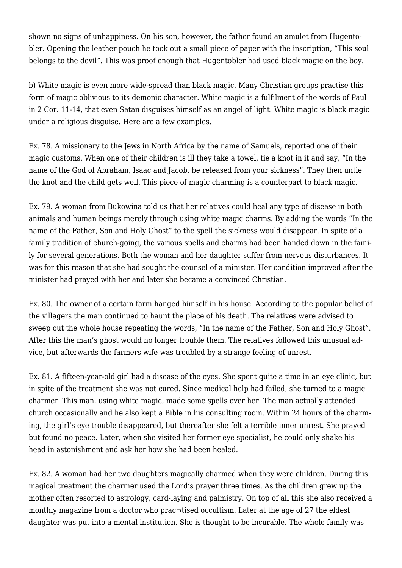shown no signs of unhappiness. On his son, however, the father found an amulet from Hugentobler. Opening the leather pouch he took out a small piece of paper with the inscription, "This soul belongs to the devil". This was proof enough that Hugentobler had used black magic on the boy.

b) White magic is even more wide-spread than black magic. Many Christian groups practise this form of magic oblivious to its demonic character. White magic is a fulfilment of the words of Paul in 2 Cor. 11-14, that even Satan disguises himself as an angel of light. White magic is black magic under a religious disguise. Here are a few examples.

Ex. 78. A missionary to the Jews in North Africa by the name of Samuels, reported one of their magic customs. When one of their children is ill they take a towel, tie a knot in it and say, "In the name of the God of Abraham, Isaac and Jacob, be released from your sickness". They then untie the knot and the child gets well. This piece of magic charming is a counterpart to black magic.

Ex. 79. A woman from Bukowina told us that her relatives could heal any type of disease in both animals and human beings merely through using white magic charms. By adding the words "In the name of the Father, Son and Holy Ghost" to the spell the sickness would disappear. In spite of a family tradition of church-going, the various spells and charms had been handed down in the family for several generations. Both the woman and her daughter suffer from nervous disturbances. It was for this reason that she had sought the counsel of a minister. Her condition improved after the minister had prayed with her and later she became a convinced Christian.

Ex. 80. The owner of a certain farm hanged himself in his house. According to the popular belief of the villagers the man continued to haunt the place of his death. The relatives were advised to sweep out the whole house repeating the words, "In the name of the Father, Son and Holy Ghost". After this the man's ghost would no longer trouble them. The relatives followed this unusual advice, but afterwards the farmers wife was troubled by a strange feeling of unrest.

Ex. 81. A fifteen-year-old girl had a disease of the eyes. She spent quite a time in an eye clinic, but in spite of the treatment she was not cured. Since medical help had failed, she turned to a magic charmer. This man, using white magic, made some spells over her. The man actually attended church occasionally and he also kept a Bible in his consulting room. Within 24 hours of the charming, the girl's eye trouble disappeared, but thereafter she felt a terrible inner unrest. She prayed but found no peace. Later, when she visited her former eye specialist, he could only shake his head in astonishment and ask her how she had been healed.

Ex. 82. A woman had her two daughters magically charmed when they were children. During this magical treatment the charmer used the Lord's prayer three times. As the children grew up the mother often resorted to astrology, card-laying and palmistry. On top of all this she also received a monthly magazine from a doctor who prac¬tised occultism. Later at the age of 27 the eldest daughter was put into a mental institution. She is thought to be incurable. The whole family was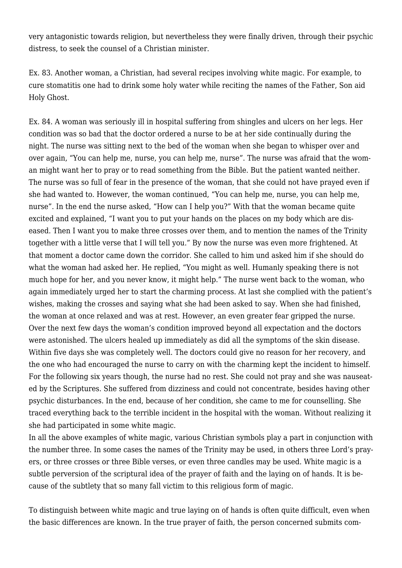very antagonistic towards religion, but nevertheless they were finally driven, through their psychic distress, to seek the counsel of a Christian minister.

Ex. 83. Another woman, a Christian, had several recipes involving white magic. For example, to cure stomatitis one had to drink some holy water while reciting the names of the Father, Son aid Holy Ghost.

Ex. 84. A woman was seriously ill in hospital suffering from shingles and ulcers on her legs. Her condition was so bad that the doctor ordered a nurse to be at her side continually during the night. The nurse was sitting next to the bed of the woman when she began to whisper over and over again, "You can help me, nurse, you can help me, nurse". The nurse was afraid that the woman might want her to pray or to read something from the Bible. But the patient wanted neither. The nurse was so full of fear in the presence of the woman, that she could not have prayed even if she had wanted to. However, the woman continued, "You can help me, nurse, you can help me, nurse". In the end the nurse asked, "How can I help you?" With that the woman became quite excited and explained, "I want you to put your hands on the places on my body which are diseased. Then I want you to make three crosses over them, and to mention the names of the Trinity together with a little verse that I will tell you." By now the nurse was even more frightened. At that moment a doctor came down the corridor. She called to him und asked him if she should do what the woman had asked her. He replied, "You might as well. Humanly speaking there is not much hope for her, and you never know, it might help." The nurse went back to the woman, who again immediately urged her to start the charming process. At last she complied with the patient's wishes, making the crosses and saying what she had been asked to say. When she had finished, the woman at once relaxed and was at rest. However, an even greater fear gripped the nurse. Over the next few days the woman's condition improved beyond all expectation and the doctors were astonished. The ulcers healed up immediately as did all the symptoms of the skin disease. Within five days she was completely well. The doctors could give no reason for her recovery, and the one who had encouraged the nurse to carry on with the charming kept the incident to himself. For the following six years though, the nurse had no rest. She could not pray and she was nauseated by the Scriptures. She suffered from dizziness and could not concentrate, besides having other psychic disturbances. In the end, because of her condition, she came to me for counselling. She traced everything back to the terrible incident in the hospital with the woman. Without realizing it she had participated in some white magic.

In all the above examples of white magic, various Christian symbols play a part in conjunction with the number three. In some cases the names of the Trinity may be used, in others three Lord's prayers, or three crosses or three Bible verses, or even three candles may be used. White magic is a subtle perversion of the scriptural idea of the prayer of faith and the laying on of hands. It is because of the subtlety that so many fall victim to this religious form of magic.

To distinguish between white magic and true laying on of hands is often quite difficult, even when the basic differences are known. In the true prayer of faith, the person concerned submits com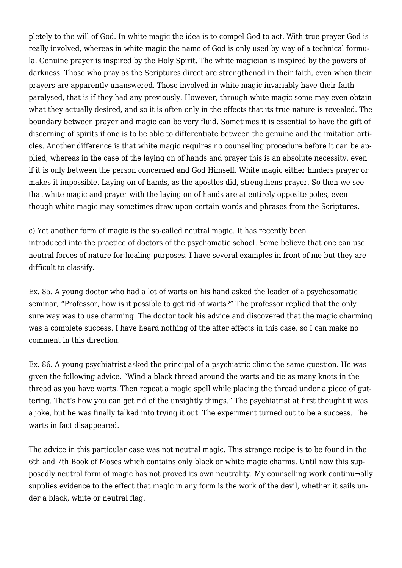pletely to the will of God. In white magic the idea is to compel God to act. With true prayer God is really involved, whereas in white magic the name of God is only used by way of a technical formula. Genuine prayer is inspired by the Holy Spirit. The white magician is inspired by the powers of darkness. Those who pray as the Scriptures direct are strengthened in their faith, even when their prayers are apparently unanswered. Those involved in white magic invariably have their faith paralysed, that is if they had any previously. However, through white magic some may even obtain what they actually desired, and so it is often only in the effects that its true nature is revealed. The boundary between prayer and magic can be very fluid. Sometimes it is essential to have the gift of discerning of spirits if one is to be able to differentiate between the genuine and the imitation articles. Another difference is that white magic requires no counselling procedure before it can be applied, whereas in the case of the laying on of hands and prayer this is an absolute necessity, even if it is only between the person concerned and God Himself. White magic either hinders prayer or makes it impossible. Laying on of hands, as the apostles did, strengthens prayer. So then we see that white magic and prayer with the laying on of hands are at entirely opposite poles, even though white magic may sometimes draw upon certain words and phrases from the Scriptures.

c) Yet another form of magic is the so-called neutral magic. It has recently been introduced into the practice of doctors of the psychomatic school. Some believe that one can use neutral forces of nature for healing purposes. I have several examples in front of me but they are difficult to classify.

Ex. 85. A young doctor who had a lot of warts on his hand asked the leader of a psychosomatic seminar, "Professor, how is it possible to get rid of warts?" The professor replied that the only sure way was to use charming. The doctor took his advice and discovered that the magic charming was a complete success. I have heard nothing of the after effects in this case, so I can make no comment in this direction.

Ex. 86. A young psychiatrist asked the principal of a psychiatric clinic the same question. He was given the following advice. "Wind a black thread around the warts and tie as many knots in the thread as you have warts. Then repeat a magic spell while placing the thread under a piece of guttering. That's how you can get rid of the unsightly things." The psychiatrist at first thought it was a joke, but he was finally talked into trying it out. The experiment turned out to be a success. The warts in fact disappeared.

The advice in this particular case was not neutral magic. This strange recipe is to be found in the 6th and 7th Book of Moses which contains only black or white magic charms. Until now this supposedly neutral form of magic has not proved its own neutrality. My counselling work continu¬ally supplies evidence to the effect that magic in any form is the work of the devil, whether it sails under a black, white or neutral flag.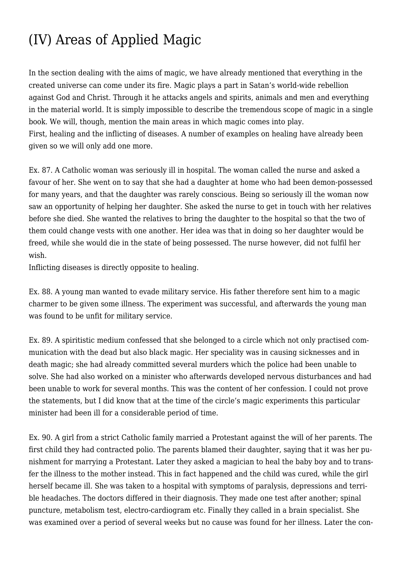## (IV) Areas of Applied Magic

In the section dealing with the aims of magic, we have already mentioned that everything in the created universe can come under its fire. Magic plays a part in Satan's world-wide rebellion against God and Christ. Through it he attacks angels and spirits, animals and men and everything in the material world. It is simply impossible to describe the tremendous scope of magic in a single book. We will, though, mention the main areas in which magic comes into play. First, healing and the inflicting of diseases. A number of examples on healing have already been given so we will only add one more.

Ex. 87. A Catholic woman was seriously ill in hospital. The woman called the nurse and asked a favour of her. She went on to say that she had a daughter at home who had been demon-possessed for many years, and that the daughter was rarely conscious. Being so seriously ill the woman now saw an opportunity of helping her daughter. She asked the nurse to get in touch with her relatives before she died. She wanted the relatives to bring the daughter to the hospital so that the two of them could change vests with one another. Her idea was that in doing so her daughter would be freed, while she would die in the state of being possessed. The nurse however, did not fulfil her wish.

Inflicting diseases is directly opposite to healing.

Ex. 88. A young man wanted to evade military service. His father therefore sent him to a magic charmer to be given some illness. The experiment was successful, and afterwards the young man was found to be unfit for military service.

Ex. 89. A spiritistic medium confessed that she belonged to a circle which not only practised communication with the dead but also black magic. Her speciality was in causing sicknesses and in death magic; she had already committed several murders which the police had been unable to solve. She had also worked on a minister who afterwards developed nervous disturbances and had been unable to work for several months. This was the content of her confession. I could not prove the statements, but I did know that at the time of the circle's magic experiments this particular minister had been ill for a considerable period of time.

Ex. 90. A girl from a strict Catholic family married a Protestant against the will of her parents. The first child they had contracted polio. The parents blamed their daughter, saying that it was her punishment for marrying a Protestant. Later they asked a magician to heal the baby boy and to transfer the illness to the mother instead. This in fact happened and the child was cured, while the girl herself became ill. She was taken to a hospital with symptoms of paralysis, depressions and terrible headaches. The doctors differed in their diagnosis. They made one test after another; spinal puncture, metabolism test, electro-cardiogram etc. Finally they called in a brain specialist. She was examined over a period of several weeks but no cause was found for her illness. Later the con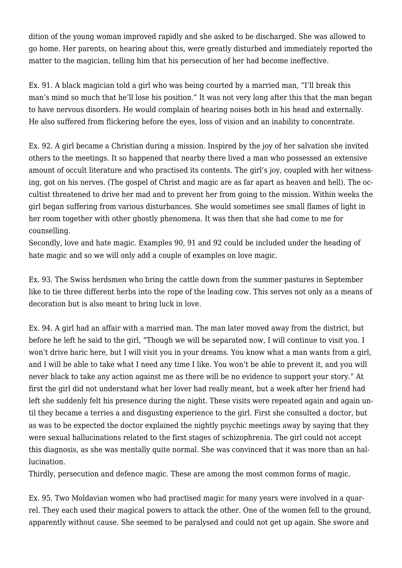dition of the young woman improved rapidly and she asked to be discharged. She was allowed to go home. Her parents, on hearing about this, were greatly disturbed and immediately reported the matter to the magician, telling him that his persecution of her had become ineffective.

Ex. 91. A black magician told a girl who was being courted by a married man, "I'll break this man's mind so much that he'll lose his position." It was not very long after this that the man began to have nervous disorders. He would complain of hearing noises both in his head and externally. He also suffered from flickering before the eyes, loss of vision and an inability to concentrate.

Ex. 92. A girl became a Christian during a mission. Inspired by the joy of her salvation she invited others to the meetings. It so happened that nearby there lived a man who possessed an extensive amount of occult literature and who practised its contents. The girl's joy, coupled with her witnessing, got on his nerves. (The gospel of Christ and magic are as far apart as heaven and hell). The occultist threatened to drive her mad and to prevent her from going to the mission. Within weeks the girl began suffering from various disturbances. She would sometimes see small flames of light in her room together with other ghostly phenomena. It was then that she had come to me for counselling.

Secondly, love and hate magic. Examples 90, 91 and 92 could be included under the heading of hate magic and so we will only add a couple of examples on love magic.

Ex. 93. The Swiss herdsmen who bring the cattle down from the summer pastures in September like to tie three different herbs into the rope of the leading cow. This serves not only as a means of decoration but is also meant to bring luck in love.

Ex. 94. A girl had an affair with a married man. The man later moved away from the district, but before he left he said to the girl, "Though we will be separated now, I will continue to visit you. I won't drive baric here, but I will visit you in your dreams. You know what a man wants from a girl, and I will be able to take what I need any time I like. You won't be able to prevent it, and you will never black to take any action against me as there will be no evidence to support your story." At first the girl did not understand what her lover had really meant, but a week after her friend had left she suddenly felt his presence during the night. These visits were repeated again and again until they became a terries a and disgusting experience to the girl. First she consulted a doctor, but as was to be expected the doctor explained the nightly psychic meetings away by saying that they were sexual hallucinations related to the first stages of schizophrenia. The girl could not accept this diagnosis, as she was mentally quite normal. She was convinced that it was more than an hallucination.

Thirdly, persecution and defence magic. These are among the most common forms of magic.

Ex. 95. Two Moldavian women who had practised magic for many years were involved in a quarrel. They each used their magical powers to attack the other. One of the women fell to the ground, apparently without cause. She seemed to be paralysed and could not get up again. She swore and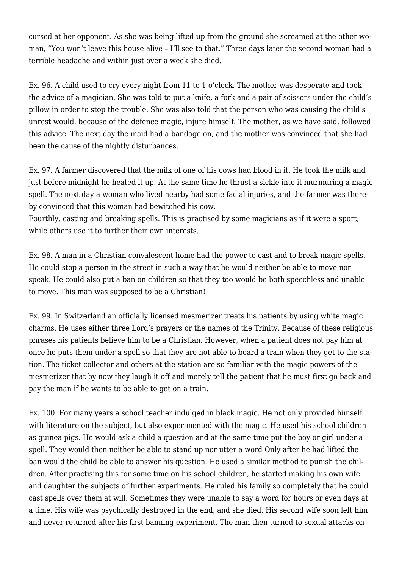cursed at her opponent. As she was being lifted up from the ground she screamed at the other woman, "You won't leave this house alive – I'll see to that." Three days later the second woman had a terrible headache and within just over a week she died.

Ex. 96. A child used to cry every night from 11 to 1 o'clock. The mother was desperate and took the advice of a magician. She was told to put a knife, a fork and a pair of scissors under the child's pillow in order to stop the trouble. She was also told that the person who was causing the child's unrest would, because of the defence magic, injure himself. The mother, as we have said, followed this advice. The next day the maid had a bandage on, and the mother was convinced that she had been the cause of the nightly disturbances.

Ex. 97. A farmer discovered that the milk of one of his cows had blood in it. He took the milk and just before midnight he heated it up. At the same time he thrust a sickle into it murmuring a magic spell. The next day a woman who lived nearby had some facial injuries, and the farmer was thereby convinced that this woman had bewitched his cow.

Fourthly, casting and breaking spells. This is practised by some magicians as if it were a sport, while others use it to further their own interests.

Ex. 98. A man in a Christian convalescent home had the power to cast and to break magic spells. He could stop a person in the street in such a way that he would neither be able to move nor speak. He could also put a ban on children so that they too would be both speechless and unable to move. This man was supposed to be a Christian!

Ex. 99. In Switzerland an officially licensed mesmerizer treats his patients by using white magic charms. He uses either three Lord's prayers or the names of the Trinity. Because of these religious phrases his patients believe him to be a Christian. However, when a patient does not pay him at once he puts them under a spell so that they are not able to board a train when they get to the station. The ticket collector and others at the station are so familiar with the magic powers of the mesmerizer that by now they laugh it off and merely tell the patient that he must first go back and pay the man if he wants to be able to get on a train.

Ex. 100. For many years a school teacher indulged in black magic. He not only provided himself with literature on the subject, but also experimented with the magic. He used his school children as guinea pigs. He would ask a child a question and at the same time put the boy or girl under a spell. They would then neither be able to stand up nor utter a word Only after he had lifted the ban would the child be able to answer his question. He used a similar method to punish the children. After practising this for some time on his school children, he started making his own wife and daughter the subjects of further experiments. He ruled his family so completely that he could cast spells over them at will. Sometimes they were unable to say a word for hours or even days at a time. His wife was psychically destroyed in the end, and she died. His second wife soon left him and never returned after his first banning experiment. The man then turned to sexual attacks on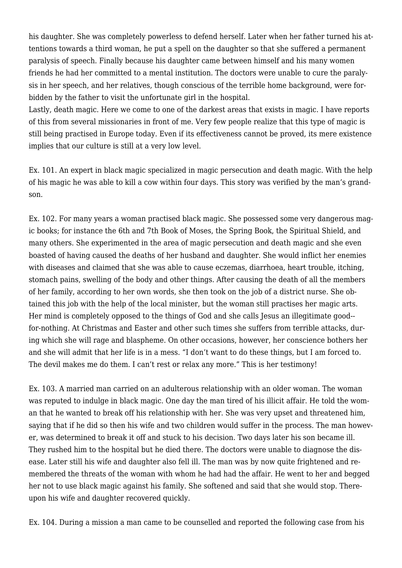his daughter. She was completely powerless to defend herself. Later when her father turned his attentions towards a third woman, he put a spell on the daughter so that she suffered a permanent paralysis of speech. Finally because his daughter came between himself and his many women friends he had her committed to a mental institution. The doctors were unable to cure the paralysis in her speech, and her relatives, though conscious of the terrible home background, were forbidden by the father to visit the unfortunate girl in the hospital.

Lastly, death magic. Here we come to one of the darkest areas that exists in magic. I have reports of this from several missionaries in front of me. Very few people realize that this type of magic is still being practised in Europe today. Even if its effectiveness cannot be proved, its mere existence implies that our culture is still at a very low level.

Ex. 101. An expert in black magic specialized in magic persecution and death magic. With the help of his magic he was able to kill a cow within four days. This story was verified by the man's grandson.

Ex. 102. For many years a woman practised black magic. She possessed some very dangerous magic books; for instance the 6th and 7th Book of Moses, the Spring Book, the Spiritual Shield, and many others. She experimented in the area of magic persecution and death magic and she even boasted of having caused the deaths of her husband and daughter. She would inflict her enemies with diseases and claimed that she was able to cause eczemas, diarrhoea, heart trouble, itching, stomach pains, swelling of the body and other things. After causing the death of all the members of her family, according to her own words, she then took on the job of a district nurse. She obtained this job with the help of the local minister, but the woman still practises her magic arts. Her mind is completely opposed to the things of God and she calls Jesus an illegitimate good- for-nothing. At Christmas and Easter and other such times she suffers from terrible attacks, during which she will rage and blaspheme. On other occasions, however, her conscience bothers her and she will admit that her life is in a mess. "I don't want to do these things, but I am forced to. The devil makes me do them. I can't rest or relax any more." This is her testimony!

Ex. 103. A married man carried on an adulterous relationship with an older woman. The woman was reputed to indulge in black magic. One day the man tired of his illicit affair. He told the woman that he wanted to break off his relationship with her. She was very upset and threatened him, saying that if he did so then his wife and two children would suffer in the process. The man however, was determined to break it off and stuck to his decision. Two days later his son became ill. They rushed him to the hospital but he died there. The doctors were unable to diagnose the disease. Later still his wife and daughter also fell ill. The man was by now quite frightened and remembered the threats of the woman with whom he had had the affair. He went to her and begged her not to use black magic against his family. She softened and said that she would stop. Thereupon his wife and daughter recovered quickly.

Ex. 104. During a mission a man came to be counselled and reported the following case from his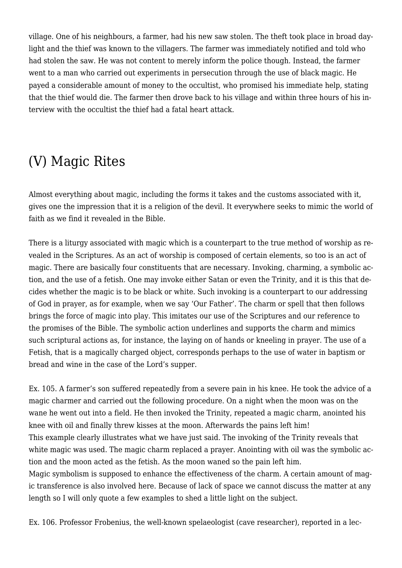village. One of his neighbours, a farmer, had his new saw stolen. The theft took place in broad daylight and the thief was known to the villagers. The farmer was immediately notified and told who had stolen the saw. He was not content to merely inform the police though. Instead, the farmer went to a man who carried out experiments in persecution through the use of black magic. He payed a considerable amount of money to the occultist, who promised his immediate help, stating that the thief would die. The farmer then drove back to his village and within three hours of his interview with the occultist the thief had a fatal heart attack.

#### (V) Magic Rites

Almost everything about magic, including the forms it takes and the customs associated with it, gives one the impression that it is a religion of the devil. It everywhere seeks to mimic the world of faith as we find it revealed in the Bible.

There is a liturgy associated with magic which is a counterpart to the true method of worship as revealed in the Scriptures. As an act of worship is composed of certain elements, so too is an act of magic. There are basically four constituents that are necessary. Invoking, charming, a symbolic action, and the use of a fetish. One may invoke either Satan or even the Trinity, and it is this that decides whether the magic is to be black or white. Such invoking is a counterpart to our addressing of God in prayer, as for example, when we say 'Our Father'. The charm or spell that then follows brings the force of magic into play. This imitates our use of the Scriptures and our reference to the promises of the Bible. The symbolic action underlines and supports the charm and mimics such scriptural actions as, for instance, the laying on of hands or kneeling in prayer. The use of a Fetish, that is a magically charged object, corresponds perhaps to the use of water in baptism or bread and wine in the case of the Lord's supper.

Ex. 105. A farmer's son suffered repeatedly from a severe pain in his knee. He took the advice of a magic charmer and carried out the following procedure. On a night when the moon was on the wane he went out into a field. He then invoked the Trinity, repeated a magic charm, anointed his knee with oil and finally threw kisses at the moon. Afterwards the pains left him!

This example clearly illustrates what we have just said. The invoking of the Trinity reveals that white magic was used. The magic charm replaced a prayer. Anointing with oil was the symbolic action and the moon acted as the fetish. As the moon waned so the pain left him.

Magic symbolism is supposed to enhance the effectiveness of the charm. A certain amount of magic transference is also involved here. Because of lack of space we cannot discuss the matter at any length so I will only quote a few examples to shed a little light on the subject.

Ex. 106. Professor Frobenius, the well-known spelaeologist (cave researcher), reported in a lec-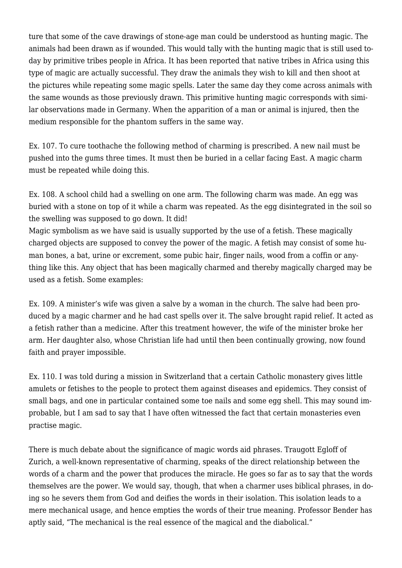ture that some of the cave drawings of stone-age man could be understood as hunting magic. The animals had been drawn as if wounded. This would tally with the hunting magic that is still used today by primitive tribes people in Africa. It has been reported that native tribes in Africa using this type of magic are actually successful. They draw the animals they wish to kill and then shoot at the pictures while repeating some magic spells. Later the same day they come across animals with the same wounds as those previously drawn. This primitive hunting magic corresponds with similar observations made in Germany. When the apparition of a man or animal is injured, then the medium responsible for the phantom suffers in the same way.

Ex. 107. To cure toothache the following method of charming is prescribed. A new nail must be pushed into the gums three times. It must then be buried in a cellar facing East. A magic charm must be repeated while doing this.

Ex. 108. A school child had a swelling on one arm. The following charm was made. An egg was buried with a stone on top of it while a charm was repeated. As the egg disintegrated in the soil so the swelling was supposed to go down. It did!

Magic symbolism as we have said is usually supported by the use of a fetish. These magically charged objects are supposed to convey the power of the magic. A fetish may consist of some human bones, a bat, urine or excrement, some pubic hair, finger nails, wood from a coffin or anything like this. Any object that has been magically charmed and thereby magically charged may be used as a fetish. Some examples:

Ex. 109. A minister's wife was given a salve by a woman in the church. The salve had been produced by a magic charmer and he had cast spells over it. The salve brought rapid relief. It acted as a fetish rather than a medicine. After this treatment however, the wife of the minister broke her arm. Her daughter also, whose Christian life had until then been continually growing, now found faith and prayer impossible.

Ex. 110. I was told during a mission in Switzerland that a certain Catholic monastery gives little amulets or fetishes to the people to protect them against diseases and epidemics. They consist of small bags, and one in particular contained some toe nails and some egg shell. This may sound improbable, but I am sad to say that I have often witnessed the fact that certain monasteries even practise magic.

There is much debate about the significance of magic words aid phrases. Traugott Egloff of Zurich, a well-known representative of charming, speaks of the direct relationship between the words of a charm and the power that produces the miracle. He goes so far as to say that the words themselves are the power. We would say, though, that when a charmer uses biblical phrases, in doing so he severs them from God and deifies the words in their isolation. This isolation leads to a mere mechanical usage, and hence empties the words of their true meaning. Professor Bender has aptly said, "The mechanical is the real essence of the magical and the diabolical."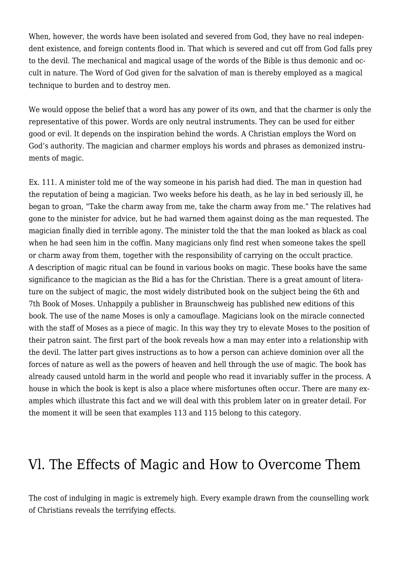When, however, the words have been isolated and severed from God, they have no real independent existence, and foreign contents flood in. That which is severed and cut off from God falls prey to the devil. The mechanical and magical usage of the words of the Bible is thus demonic and occult in nature. The Word of God given for the salvation of man is thereby employed as a magical technique to burden and to destroy men.

We would oppose the belief that a word has any power of its own, and that the charmer is only the representative of this power. Words are only neutral instruments. They can be used for either good or evil. It depends on the inspiration behind the words. A Christian employs the Word on God's authority. The magician and charmer employs his words and phrases as demonized instruments of magic.

Ex. 111. A minister told me of the way someone in his parish had died. The man in question had the reputation of being a magician. Two weeks before his death, as he lay in bed seriously ill, he began to groan, "Take the charm away from me, take the charm away from me." The relatives had gone to the minister for advice, but he had warned them against doing as the man requested. The magician finally died in terrible agony. The minister told the that the man looked as black as coal when he had seen him in the coffin. Many magicians only find rest when someone takes the spell or charm away from them, together with the responsibility of carrying on the occult practice. A description of magic ritual can be found in various books on magic. These books have the same significance to the magician as the Bid a has for the Christian. There is a great amount of literature on the subject of magic, the most widely distributed book on the subject being the 6th and 7th Book of Moses. Unhappily a publisher in Braunschweig has published new editions of this book. The use of the name Moses is only a camouflage. Magicians look on the miracle connected with the staff of Moses as a piece of magic. In this way they try to elevate Moses to the position of their patron saint. The first part of the book reveals how a man may enter into a relationship with the devil. The latter part gives instructions as to how a person can achieve dominion over all the forces of nature as well as the powers of heaven and hell through the use of magic. The book has already caused untold harm in the world and people who read it invariably suffer in the process. A house in which the book is kept is also a place where misfortunes often occur. There are many examples which illustrate this fact and we will deal with this problem later on in greater detail. For the moment it will be seen that examples 113 and 115 belong to this category.

#### Vl. The Effects of Magic and How to Overcome Them

The cost of indulging in magic is extremely high. Every example drawn from the counselling work of Christians reveals the terrifying effects.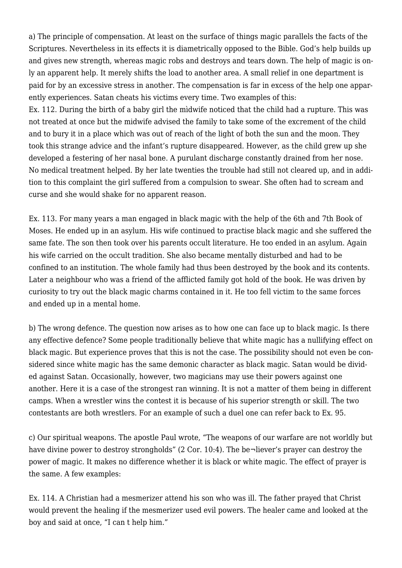a) The principle of compensation. At least on the surface of things magic parallels the facts of the Scriptures. Nevertheless in its effects it is diametrically opposed to the Bible. God's help builds up and gives new strength, whereas magic robs and destroys and tears down. The help of magic is only an apparent help. It merely shifts the load to another area. A small relief in one department is paid for by an excessive stress in another. The compensation is far in excess of the help one apparently experiences. Satan cheats his victims every time. Two examples of this: Ex. 112. During the birth of a baby girl the mìdwife noticed that the child had a rupture. This was

not treated at once but the midwife advised the family to take some of the excrement of the child and to bury it in a place which was out of reach of the light of both the sun and the moon. They took this strange advice and the infant's rupture disappeared. However, as the child grew up she developed a festering of her nasal bone. A purulant discharge constantly drained from her nose. No medical treatment helped. By her late twenties the trouble had still not cleared up, and in addition to this complaint the girl suffered from a compulsion to swear. She often had to scream and curse and she would shake for no apparent reason.

Ex. 113. For many years a man engaged in black magic with the help of the 6th and 7th Book of Moses. He ended up in an asylum. His wife continued to practise black magic and she suffered the same fate. The son then took over his parents occult literature. He too ended in an asylum. Again his wife carried on the occult tradition. She also became mentally disturbed and had to be confined to an institution. The whole family had thus been destroyed by the book and its contents. Later a neighbour who was a friend of the afflicted family got hold of the book. He was driven by curiosity to try out the black magic charms contained in it. He too fell victim to the same forces and ended up in a mental home.

b) The wrong defence. The question now arises as to how one can face up to black magic. Is there any effective defence? Some people traditionally believe that white magic has a nullifying effect on black magic. But experience proves that this is not the case. The possibility should not even be considered since white magic has the same demonic character as black magic. Satan would be divided against Satan. Occasionally, however, two magicians may use their powers against one another. Here it is a case of the strongest ran winning. It is not a matter of them being in different camps. When a wrestler wins the contest it is because of his superior strength or skill. The two contestants are both wrestlers. For an example of such a duel one can refer back to Ex. 95.

c) Our spiritual weapons. The apostle Paul wrote, "The weapons of our warfare are not worldly but have divine power to destroy strongholds" (2 Cor. 10:4). The be¬liever's prayer can destroy the power of magic. It makes no difference whether it is black or white magic. The effect of prayer is the same. A few examples:

Ex. 114. A Christian had a mesmerizer attend his son who was ill. The father prayed that Christ would prevent the healing if the mesmerizer used evil powers. The healer came and looked at the boy and said at once, "I can t help him."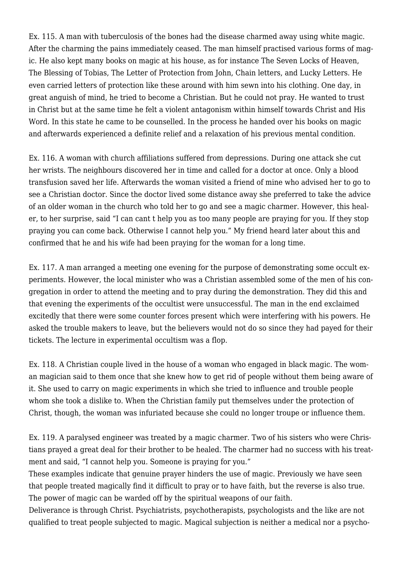Ex. 115. A man with tuberculosis of the bones had the disease charmed away using white magic. After the charming the pains immediately ceased. The man himself practised various forms of magic. He also kept many books on magic at his house, as for instance The Seven Locks of Heaven, The Blessing of Tobias, The Letter of Protection from John, Chain letters, and Lucky Letters. He even carried letters of protection like these around with him sewn into his clothing. One day, in great anguish of mind, he tried to become a Christian. But he could not pray. He wanted to trust in Christ but at the same time he felt a violent antagonism within himself towards Christ and His Word. In this state he came to be counselled. In the process he handed over his books on magic and afterwards experienced a definite relief and a relaxation of his previous mental condition.

Ex. 116. A woman with church affiliations suffered from depressions. During one attack she cut her wrists. The neighbours discovered her in time and called for a doctor at once. Only a blood transfusion saved her life. Afterwards the woman visited a friend of mine who advised her to go to see a Christian doctor. Since the doctor lived some distance away she preferred to take the advice of an older woman in the church who told her to go and see a magic charmer. However, this healer, to her surprise, said "I can cant t help you as too many people are praying for you. If they stop praying you can come back. Otherwise I cannot help you." My friend heard later about this and confirmed that he and his wife had been praying for the woman for a long time.

Ex. 117. A man arranged a meeting one evening for the purpose of demonstrating some occult experiments. However, the local minister who was a Christian assembled some of the men of his congregation in order to attend the meeting and to pray during the demonstration. They did this and that evening the experiments of the occultist were unsuccessful. The man in the end exclaimed excitedly that there were some counter forces present which were interfering with his powers. He asked the trouble makers to leave, but the believers would not do so since they had payed for their tickets. The lecture in experimental occultism was a flop.

Ex. 118. A Christian couple lived in the house of a woman who engaged in black magic. The woman magician said to them once that she knew how to get rid of people without them being aware of it. She used to carry on magic experiments in which she tried to influence and trouble people whom she took a dislike to. When the Christian family put themselves under the protection of Christ, though, the woman was infuriated because she could no longer troupe or influence them.

Ex. 119. A paralysed engineer was treated by a magic charmer. Two of his sisters who were Christians prayed a great deal for their brother to be healed. The charmer had no success with his treatment and said, "I cannot help you. Someone is praying for you."

These examples indicate that genuine prayer hinders the use of magic. Previously we have seen that people treated magically find it difficult to pray or to have faith, but the reverse is also true. The power of magic can be warded off by the spiritual weapons of our faith.

Deliverance is through Christ. Psychiatrists, psychotherapists, psychologists and the like are not qualified to treat people subjected to magic. Magical subjection is neither a medical nor a psycho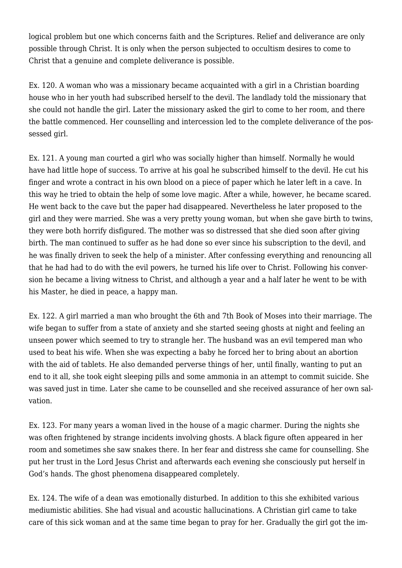logical problem but one which concerns faith and the Scriptures. Relief and deliverance are only possible through Christ. It is only when the person subjected to occultism desires to come to Christ that a genuine and complete deliverance is possible.

Ex. 120. A woman who was a missionary became acquainted with a girl in a Christian boarding house who in her youth had subscribed herself to the devil. The landlady told the missionary that she could not handle the girl. Later the missionary asked the girl to come to her room, and there the battle commenced. Her counselling and intercession led to the complete deliverance of the possessed girl.

Ex. 121. A young man courted a girl who was socially higher than himself. Normally he would have had little hope of success. To arrive at his goal he subscribed himself to the devil. He cut his finger and wrote a contract in his own blood on a piece of paper which he later left in a cave. In this way he tried to obtain the help of some love magic. After a while, however, he became scared. He went back to the cave but the paper had disappeared. Nevertheless he later proposed to the girl and they were married. She was a very pretty young woman, but when she gave birth to twins, they were both horrify disfigured. The mother was so distressed that she died soon after giving birth. The man continued to suffer as he had done so ever since his subscription to the devil, and he was finally driven to seek the help of a minister. After confessing everything and renouncing all that he had had to do with the evil powers, he turned his life over to Christ. Following his conversion he became a living witness to Christ, and although a year and a half later he went to be with his Master, he died in peace, a happy man.

Ex. 122. A girl married a man who brought the 6th and 7th Book of Moses into their marriage. The wife began to suffer from a state of anxiety and she started seeing ghosts at night and feeling an unseen power which seemed to try to strangle her. The husband was an evil tempered man who used to beat his wife. When she was expecting a baby he forced her to bring about an abortion with the aid of tablets. He also demanded perverse things of her, until finally, wanting to put an end to it all, she took eight sleeping pills and some ammonia in an attempt to commit suicide. She was saved just in time. Later she came to be counselled and she received assurance of her own salvation.

Ex. 123. For many years a woman lived in the house of a magic charmer. During the nights she was often frightened by strange incidents involving ghosts. A black figure often appeared in her room and sometimes she saw snakes there. In her fear and distress she came for counselling. She put her trust in the Lord Jesus Christ and afterwards each evening she consciously put herself in God's hands. The ghost phenomena disappeared completely.

Ex. 124. The wife of a dean was emotionally disturbed. In addition to this she exhibited various mediumistic abilities. She had visual and acoustic hallucinations. A Christian girl came to take care of this sick woman and at the same time began to pray for her. Gradually the girl got the im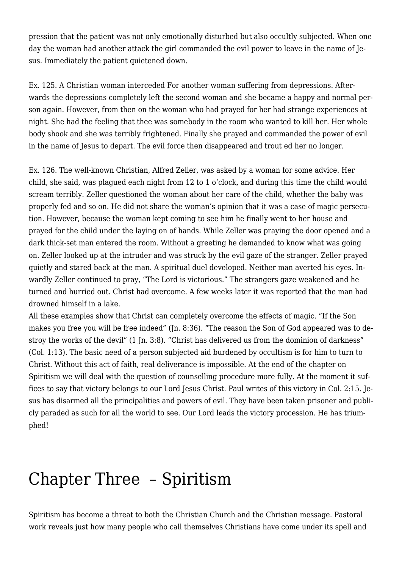pression that the patient was not only emotionally disturbed but also occultly subjected. When one day the woman had another attack the girl commanded the evil power to leave in the name of Jesus. Immediately the patient quietened down.

Ex. 125. A Christian woman interceded For another woman suffering from depressions. Afterwards the depressions completely left the second woman and she became a happy and normal person again. However, from then on the woman who had prayed for her had strange experiences at night. She had the feeling that thee was somebody in the room who wanted to kill her. Her whole body shook and she was terribly frightened. Finally she prayed and commanded the power of evil in the name of Jesus to depart. The evil force then disappeared and trout ed her no longer.

Ex. 126. The well-known Christian, Alfred Zeller, was asked by a woman for some advice. Her child, she said, was plagued each night from 12 to 1 o'clock, and during this time the child would scream terribly. Zeller questioned the woman about her care of the child, whether the baby was properly fed and so on. He did not share the woman's opinion that it was a case of magic persecution. However, because the woman kept coming to see him he finally went to her house and prayed for the child under the laying on of hands. While Zeller was praying the door opened and a dark thick-set man entered the room. Without a greeting he demanded to know what was going on. Zeller looked up at the intruder and was struck by the evil gaze of the stranger. Zeller prayed quietly and stared back at the man. A spiritual duel developed. Neither man averted his eyes. Inwardly Zeller continued to pray, "The Lord is victorious." The strangers gaze weakened and he turned and hurried out. Christ had overcome. A few weeks later it was reported that the man had drowned himself in a lake.

All these examples show that Christ can completely overcome the effects of magic. "If the Son makes you free you will be free indeed" (Jn. 8:36). "The reason the Son of God appeared was to destroy the works of the devil" (1 Jn. 3:8). "Christ has delivered us from the dominion of darkness" (Col. 1:13). The basic need of a person subjected aid burdened by occultism is for him to turn to Christ. Without this act of faith, real deliverance is impossible. At the end of the chapter on Spiritism we will deal with the question of counselling procedure more fully. At the moment it suffices to say that victory belongs to our Lord Jesus Christ. Paul writes of this victory in Col. 2:15. Jesus has disarmed all the principalities and powers of evil. They have been taken prisoner and publicly paraded as such for all the world to see. Our Lord leads the victory procession. He has triumphed!

# Chapter Three – Spiritism

Spiritism has become a threat to both the Christian Church and the Christian message. Pastoral work reveals just how many people who call themselves Christians have come under its spell and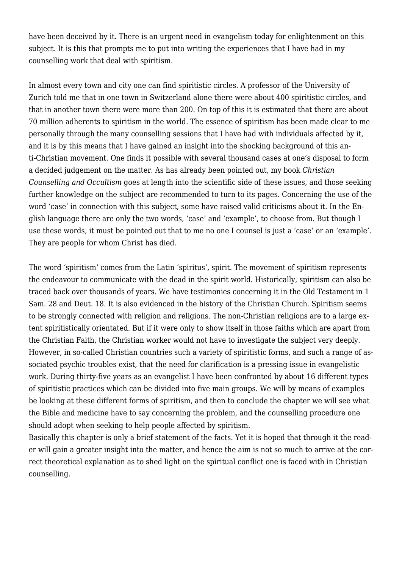have been deceived by it. There is an urgent need in evangelism today for enlightenment on this subject. It is this that prompts me to put into writing the experiences that I have had in my counselling work that deal with spiritism.

In almost every town and city one can find spiritistic circles. A professor of the University of Zurich told me that in one town in Switzerland alone there were about 400 spiritistic circles, and that in another town there were more than 200. On top of this it is estimated that there are about 70 million adherents to spiritism in the world. The essence of spiritism has been made clear to me personally through the many counselling sessions that I have had with individuals affected by it, and it is by this means that I have gained an insight into the shocking background of this anti-Christian movement. One finds it possible with several thousand cases at one's disposal to form a decided judgement on the matter. As has already been pointed out, my book *Christian Counselling and Occultism* goes at length into the scientific side of these issues, and those seeking further knowledge on the subject are recommended to turn to its pages. Concerning the use of the word 'case' in connection with this subject, some have raised valid criticisms about it. In the English language there are only the two words, 'case' and 'example', to choose from. But though I use these words, it must be pointed out that to me no one I counsel is just a 'case' or an 'example'. They are people for whom Christ has died.

The word 'spiritism' comes from the Latin 'spiritus', spirit. The movement of spiritism represents the endeavour to communicate with the dead in the spirit world. Historically, spiritism can also be traced back over thousands of years. We have testimonies concerning it in the Old Testament in 1 Sam. 28 and Deut. 18. It is also evidenced in the history of the Christian Church. Spiritism seems to be strongly connected with religion and religions. The non-Christian religions are to a large extent spiritistically orientated. But if it were only to show itself in those faiths which are apart from the Christian Faith, the Christian worker would not have to investigate the subject very deeply. However, in so-called Christian countries such a variety of spiritistic forms, and such a range of associated psychic troubles exist, that the need for clarification is a pressing issue in evangelistic work. During thirty-five years as an evangelist I have been confronted by about 16 different types of spiritistic practices which can be divided into five main groups. We will by means of examples be looking at these different forms of spiritism, and then to conclude the chapter we will see what the Bible and medicine have to say concerning the problem, and the counselling procedure one should adopt when seeking to help people affected by spiritism.

Basically this chapter is only a brief statement of the facts. Yet it is hoped that through it the reader will gain a greater insight into the matter, and hence the aim is not so much to arrive at the correct theoretical explanation as to shed light on the spiritual conflict one is faced with in Christian counselling.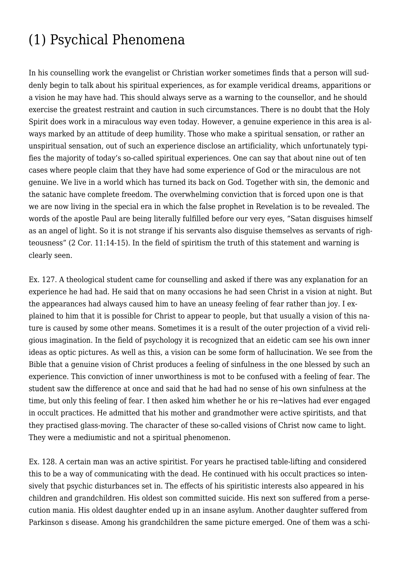## (1) Psychical Phenomena

In his counselling work the evangelist or Christian worker sometimes finds that a person will suddenly begin to talk about his spiritual experiences, as for example veridical dreams, apparitions or a vision he may have had. This should always serve as a warning to the counsellor, and he should exercise the greatest restraint and caution in such circumstances. There is no doubt that the Holy Spirit does work in a miraculous way even today. However, a genuine experience in this area is always marked by an attitude of deep humility. Those who make a spiritual sensation, or rather an unspiritual sensation, out of such an experience disclose an artificiality, which unfortunately typifies the majority of today's so-called spiritual experiences. One can say that about nine out of ten cases where people claim that they have had some experience of God or the miraculous are not genuine. We live in a world which has turned its back on God. Together with sin, the demonic and the satanic have complete freedom. The overwhelming conviction that is forced upon one is that we are now living in the special era in which the false prophet in Revelation is to be revealed. The words of the apostle Paul are being literally fulfilled before our very eyes, "Satan disguises himself as an angel of light. So it is not strange if his servants also disguise themselves as servants of righteousness" (2 Cor. 11:14-15). In the field of spiritism the truth of this statement and warning is clearly seen.

Ex. 127. A theological student came for counselling and asked if there was any explanation for an experience he had had. He said that on many occasions he had seen Christ in a vision at night. But the appearances had always caused him to have an uneasy feeling of fear rather than joy. I explained to him that it is possible for Christ to appear to people, but that usually a vision of this nature is caused by some other means. Sometimes it is a result of the outer projection of a vivid religious imagination. In the field of psychology it is recognized that an eidetic cam see his own inner ideas as optic pictures. As well as this, a vision can be some form of hallucination. We see from the Bible that a genuine vision of Christ produces a feeling of sinfulness in the one blessed by such an experience. This conviction of inner unworthiness is mot to be confused with a feeling of fear. The student saw the difference at once and said that he had had no sense of his own sinfulness at the time, but only this feeling of fear. I then asked him whether he or his re¬latives had ever engaged in occult practices. He admitted that his mother and grandmother were active spiritists, and that they practised glass-moving. The character of these so-called visions of Christ now came to light. They were a mediumistic and not a spiritual phenomenon.

Ex. 128. A certain man was an active spiritist. For years he practised table-lifting and considered this to be a way of communicating with the dead. He continued with his occult practices so intensively that psychic disturbances set in. The effects of his spiritistic interests also appeared in his children and grandchildren. His oldest son committed suicide. His next son suffered from a persecution mania. His oldest daughter ended up in an insane asylum. Another daughter suffered from Parkinson s disease. Among his grandchildren the same picture emerged. One of them was a schi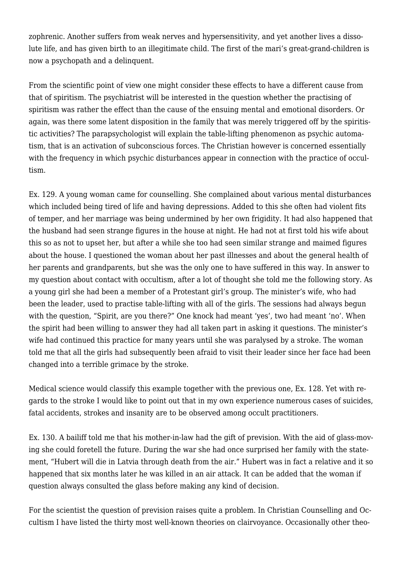zophrenic. Another suffers from weak nerves and hypersensitivity, and yet another lives a dissolute life, and has given birth to an illegitimate child. The first of the mari's great-grand-children is now a psychopath and a delinquent.

From the scientific point of view one might consider these effects to have a different cause from that of spiritism. The psychiatrist will be interested in the question whether the practising of spiritism was rather the effect than the cause of the ensuing mental and emotional disorders. Or again, was there some latent disposition in the family that was merely triggered off by the spiritistic activities? The parapsychologist will explain the table-lifting phenomenon as psychic automatism, that is an activation of subconscious forces. The Christian however is concerned essentially with the frequency in which psychic disturbances appear in connection with the practice of occultism.

Ex. 129. A young woman came for counselling. She complained about various mental disturbances which included being tired of life and having depressions. Added to this she often had violent fits of temper, and her marriage was being undermined by her own frigidity. It had also happened that the husband had seen strange figures in the house at night. He had not at first told his wife about this so as not to upset her, but after a while she too had seen similar strange and maimed figures about the house. I questioned the woman about her past illnesses and about the general health of her parents and grandparents, but she was the only one to have suffered in this way. In answer to my question about contact with occultism, after a lot of thought she told me the following story. As a young girl she had been a member of a Protestant girl's group. The minister's wife, who had been the leader, used to practise table-lifting with all of the girls. The sessions had always begun with the question, "Spirit, are you there?" One knock had meant 'yes', two had meant 'no'. When the spirit had been willing to answer they had all taken part in asking it questions. The minister's wife had continued this practice for many years until she was paralysed by a stroke. The woman told me that all the girls had subsequently been afraid to visit their leader since her face had been changed into a terrible grimace by the stroke.

Medical science would classify this example together with the previous one, Ex. 128. Yet with regards to the stroke I would like to point out that in my own experience numerous cases of suicides, fatal accidents, strokes and insanity are to be observed among occult practitioners.

Ex. 130. A bailiff told me that his mother-in-law had the gift of prevision. With the aid of glass-moving she could foretell the future. During the war she had once surprised her family with the statement, "Hubert will die in Latvia through death from the air." Hubert was in fact a relative and it so happened that six months later he was killed in an air attack. It can be added that the woman if question always consulted the glass before making any kind of decision.

For the scientist the question of prevision raises quite a problem. In Christian Counselling and Occultism I have listed the thirty most well-known theories on clairvoyance. Occasionally other theo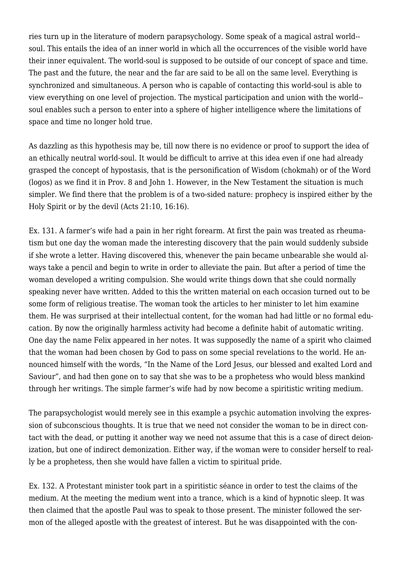ries turn up in the literature of modern parapsychology. Some speak of a magical astral world- soul. This entails the idea of an inner world in which all the occurrences of the visible world have their inner equivalent. The world-soul is supposed to be outside of our concept of space and time. The past and the future, the near and the far are said to be all on the same level. Everything is synchronized and simultaneous. A person who is capable of contacting this world-soul is able to view everything on one level of projection. The mystical participation and union with the world- soul enables such a person to enter into a sphere of higher intelligence where the limitations of space and time no longer hold true.

As dazzling as this hypothesis may be, till now there is no evidence or proof to support the idea of an ethically neutral world-soul. It would be difficult to arrive at this idea even if one had already grasped the concept of hypostasis, that is the personification of Wisdom (chokmah) or of the Word (logos) as we find it in Prov. 8 and John 1. However, in the New Testament the situation is much simpler. We find there that the problem is of a two-sided nature: prophecy is inspired either by the Holy Spirit or by the devil (Acts 21:10, 16:16).

Ex. 131. A farmer's wife had a pain in her right forearm. At first the pain was treated as rheumatism but one day the woman made the interesting discovery that the pain would suddenly subside if she wrote a letter. Having discovered this, whenever the pain became unbearable she would always take a pencil and begin to write in order to alleviate the pain. But after a period of time the woman developed a writing compulsion. She would write things down that she could normally speaking never have written. Added to this the written material on each occasion turned out to be some form of religious treatise. The woman took the articles to her minister to let him examine them. He was surprised at their intellectual content, for the woman had had little or no formal education. By now the originally harmless activity had become a definite habit of automatic writing. One day the name Felix appeared in her notes. It was supposedly the name of a spirit who claimed that the woman had been chosen by God to pass on some special revelations to the world. He announced himself with the words, "In the Name of the Lord Jesus, our blessed and exalted Lord and Saviour", and had then gone on to say that she was to be a prophetess who would bless mankind through her writings. The simple farmer's wife had by now become a spiritistic writing medium.

The parapsychologist would merely see in this example a psychic automation involving the expression of subconscious thoughts. It is true that we need not consider the woman to be in direct contact with the dead, or putting it another way we need not assume that this is a case of direct deionization, but one of indirect demonization. Either way, if the woman were to consider herself to really be a prophetess, then she would have fallen a victim to spiritual pride.

Ex. 132. A Protestant minister took part in a spiritistic séance in order to test the claims of the medium. At the meeting the medium went into a trance, which is a kind of hypnotic sleep. It was then claimed that the apostle Paul was to speak to those present. The minister followed the sermon of the alleged apostle with the greatest of interest. But he was disappointed with the con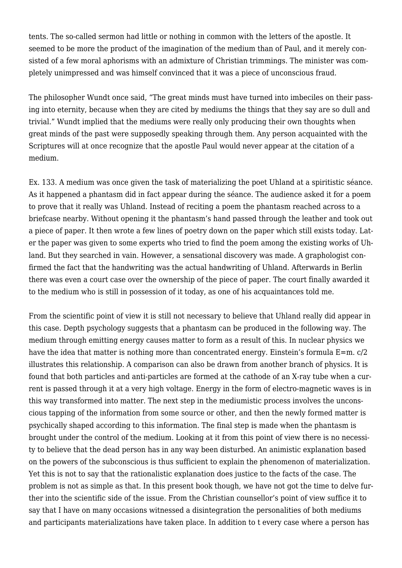tents. The so-called sermon had little or nothing in common with the letters of the apostle. It seemed to be more the product of the imagination of the medium than of Paul, and it merely consisted of a few moral aphorisms with an admixture of Christian trimmings. The minister was completely unimpressed and was himself convinced that it was a piece of unconscious fraud.

The philosopher Wundt once said, "The great minds must have turned into imbeciles on their passing into eternity, because when they are cited by mediums the things that they say are so dull and trivial." Wundt implied that the mediums were really only producing their own thoughts when great minds of the past were supposedly speaking through them. Any person acquainted with the Scriptures will at once recognize that the apostle Paul would never appear at the citation of a medium.

Ex. 133. A medium was once given the task of materializing the poet Uhland at a spiritistic séance. As it happened a phantasm did in fact appear during the séance. The audience asked it for a poem to prove that it really was Uhland. Instead of reciting a poem the phantasm reached across to a briefcase nearby. Without opening it the phantasm's hand passed through the leather and took out a piece of paper. It then wrote a few lines of poetry down on the paper which still exists today. Later the paper was given to some experts who tried to find the poem among the existing works of Uhland. But they searched in vain. However, a sensational discovery was made. A graphologist confirmed the fact that the handwriting was the actual handwriting of Uhland. Afterwards in Berlin there was even a court case over the ownership of the piece of paper. The court finally awarded it to the medium who is still in possession of it today, as one of his acquaintances told me.

From the scientific point of view it is still not necessary to believe that Uhland really did appear in this case. Depth psychology suggests that a phantasm can be produced in the following way. The medium through emitting energy causes matter to form as a result of this. In nuclear physics we have the idea that matter is nothing more than concentrated energy. Einstein's formula E=m. c/2 illustrates this relationship. A comparison can also be drawn from another branch of physics. It is found that both particles and anti-particles are formed at the cathode of an X-ray tube when a current is passed through it at a very high voltage. Energy in the form of electro-magnetic waves is in this way transformed into matter. The next step in the mediumistic process involves the unconscious tapping of the information from some source or other, and then the newly formed matter is psychically shaped according to this information. The final step is made when the phantasm is brought under the control of the medium. Looking at it from this point of view there is no necessity to believe that the dead person has in any way been disturbed. An animistic explanation based on the powers of the subconscious is thus sufficient to explain the phenomenon of materialization. Yet this is not to say that the rationalistic explanation does justice to the facts of the case. The problem is not as simple as that. In this present book though, we have not got the time to delve further into the scientific side of the issue. From the Christian counsellor's point of view suffice it to say that I have on many occasions witnessed a disintegration the personalities of both mediums and participants materializations have taken place. In addition to t every case where a person has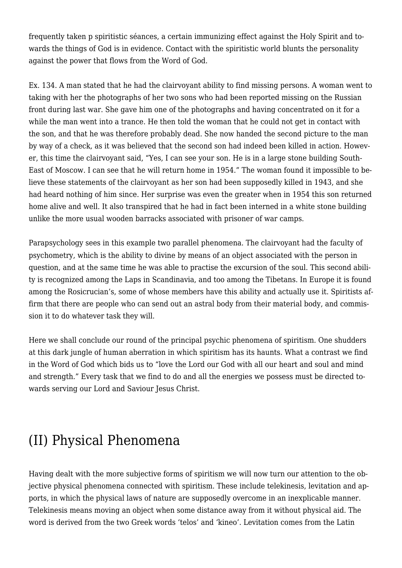frequently taken p spiritistic séances, a certain immunizing effect against the Holy Spirit and towards the things of God is in evidence. Contact with the spiritistic world blunts the personality against the power that flows from the Word of God.

Ex. 134. A man stated that he had the clairvoyant ability to find missing persons. A woman went to taking with her the photographs of her two sons who had been reported missing on the Russian front during last war. She gave him one of the photographs and having concentrated on it for a while the man went into a trance. He then told the woman that he could not get in contact with the son, and that he was therefore probably dead. She now handed the second picture to the man by way of a check, as it was believed that the second son had indeed been killed in action. However, this time the clairvoyant said, "Yes, I can see your son. He is in a large stone building South-East of Moscow. I can see that he will return home in 1954." The woman found it impossible to believe these statements of the clairvoyant as her son had been supposedly killed in 1943, and she had heard nothing of him since. Her surprise was even the greater when in 1954 this son returned home alive and well. It also transpired that he had in fact been interned in a white stone building unlike the more usual wooden barracks associated with prisoner of war camps.

Parapsychology sees in this example two parallel phenomena. The clairvoyant had the faculty of psychometry, which is the ability to divine by means of an object associated with the person in question, and at the same time he was able to practise the excursion of the soul. This second ability is recognized among the Laps in Scandinavia, and too among the Tibetans. In Europe it is found among the Rosicrucian's, some of whose members have this ability and actually use it. Spiritists affirm that there are people who can send out an astral body from their material body, and commission it to do whatever task they will.

Here we shall conclude our round of the principal psychic phenomena of spiritism. One shudders at this dark jungle of human aberration in which spiritism has its haunts. What a contrast we find in the Word of God which bids us to "love the Lord our God with all our heart and soul and mind and strength." Every task that we find to do and all the energies we possess must be directed towards serving our Lord and Saviour Jesus Christ.

#### (II) Physical Phenomena

Having dealt with the more subjective forms of spiritism we will now turn our attention to the objective physical phenomena connected with spiritism. These include telekinesis, levitation and apports, in which the physical laws of nature are supposedly overcome in an inexplicable manner. Telekinesis means moving an object when some distance away from it without physical aid. The word is derived from the two Greek words 'telos' and 'kineo'. Levitation comes from the Latin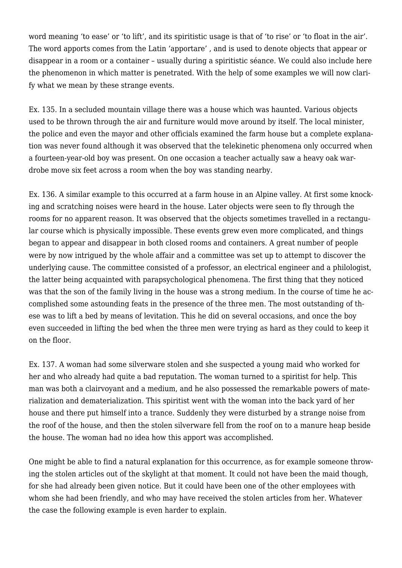word meaning 'to ease' or 'to lift', and its spiritistic usage is that of 'to rise' or 'to float in the air'. The word apports comes from the Latin 'apportare' , and is used to denote objects that appear or disappear in a room or a container – usually during a spiritistic séance. We could also include here the phenomenon in which matter is penetrated. With the help of some examples we will now clarify what we mean by these strange events.

Ex. 135. In a secluded mountain village there was a house which was haunted. Various objects used to be thrown through the air and furniture would move around by itself. The local minister, the police and even the mayor and other officials examined the farm house but a complete explanation was never found although it was observed that the telekinetic phenomena only occurred when a fourteen-year-old boy was present. On one occasion a teacher actually saw a heavy oak wardrobe move six feet across a room when the boy was standing nearby.

Ex. 136. A similar example to this occurred at a farm house in an Alpine valley. At first some knocking and scratching noises were heard in the house. Later objects were seen to fly through the rooms for no apparent reason. It was observed that the objects sometimes travelled in a rectangular course which is physically impossible. These events grew even more complicated, and things began to appear and disappear in both closed rooms and containers. A great number of people were by now intrigued by the whole affair and a committee was set up to attempt to discover the underlying cause. The committee consisted of a professor, an electrical engineer and a philologist, the latter being acquainted with parapsychological phenomena. The first thing that they noticed was that the son of the family living in the house was a strong medium. In the course of time he accomplished some astounding feats in the presence of the three men. The most outstanding of these was to lift a bed by means of levitation. This he did on several occasions, and once the boy even succeeded in lifting the bed when the three men were trying as hard as they could to keep it on the floor.

Ex. 137. A woman had some silverware stolen and she suspected a young maid who worked for her and who already had quite a bad reputation. The woman turned to a spiritist for help. This man was both a clairvoyant and a medium, and he also possessed the remarkable powers of materialization and dematerialization. This spiritist went with the woman into the back yard of her house and there put himself into a trance. Suddenly they were disturbed by a strange noise from the roof of the house, and then the stolen silverware fell from the roof on to a manure heap beside the house. The woman had no idea how this apport was accomplished.

One might be able to find a natural explanation for this occurrence, as for example someone throwing the stolen articles out of the skylight at that moment. It could not have been the maid though, for she had already been given notice. But it could have been one of the other employees with whom she had been friendly, and who may have received the stolen articles from her. Whatever the case the following example is even harder to explain.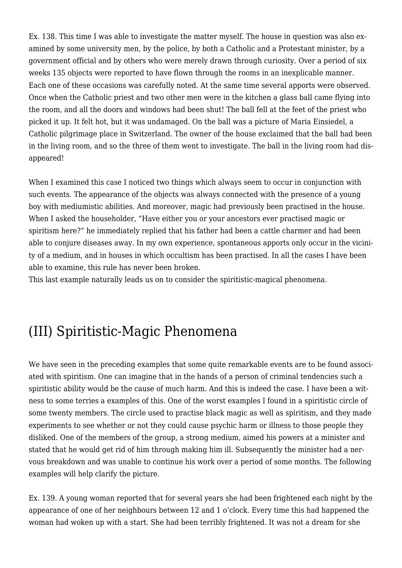Ex. 138. This time I was able to investigate the matter myself. The house in question was also examined by some university men, by the police, by both a Catholic and a Protestant minister, by a government official and by others who were merely drawn through curiosity. Over a period of six weeks 135 objects were reported to have flown through the rooms in an inexplicable manner. Each one of these occasions was carefully noted. At the same time several apports were observed. Once when the Catholic priest and two other men were in the kitchen a glass ball came flying into the room, and all the doors and windows had been shut! The ball fell at the feet of the priest who picked it up. It felt hot, but it was undamaged. On the ball was a picture of Maria Einsiedel, a Catholic pilgrimage place in Switzerland. The owner of the house exclaimed that the ball had been in the living room, and so the three of them went to investigate. The ball in the living room had disappeared!

When I examined this case I noticed two things which always seem to occur in conjunction with such events. The appearance of the objects was always connected with the presence of a young boy with mediumistic abilities. And moreover, magic had previously been practised in the house. When I asked the householder, "Have either you or your ancestors ever practised magic or spiritism here?" he immediately replied that his father had been a cattle charmer and had been able to conjure diseases away. In my own experience, spontaneous apports only occur in the vicinity of a medium, and in houses in which occultism has been practised. In all the cases I have been able to examine, this rule has never been broken.

This last example naturally leads us on to consider the spiritistic-magical phenomena.

## (III) Spiritistic-Magic Phenomena

We have seen in the preceding examples that some quite remarkable events are to be found associated with spiritism. One can imagine that in the hands of a person of criminal tendencies such a spiritistic ability would be the cause of much harm. And this is indeed the case. I have been a witness to some terries a examples of this. One of the worst examples I found in a spiritistic circle of some twenty members. The circle used to practise black magic as well as spiritism, and they made experiments to see whether or not they could cause psychic harm or illness to those people they disliked. One of the members of the group, a strong medium, aimed his powers at a minister and stated that he would get rid of him through making him ill. Subsequently the minister had a nervous breakdown and was unable to continue his work over a period of some months. The following examples will help clarify the picture.

Ex. 139. A young woman reported that for several years she had been frightened each night by the appearance of one of her neighbours between 12 and 1 o'clock. Every time this had happened the woman had woken up with a start. She had been terribly frightened. It was not a dream for she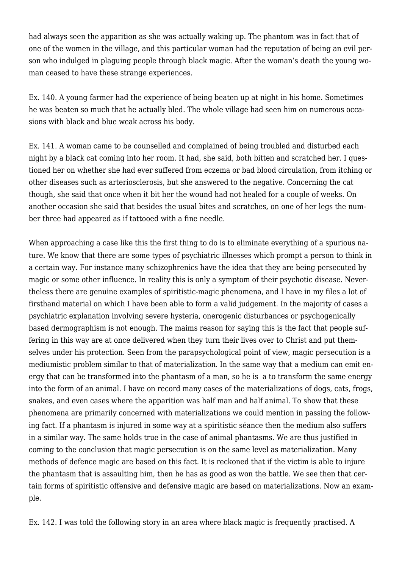had always seen the apparition as she was actually waking up. The phantom was in fact that of one of the women in the village, and this particular woman had the reputation of being an evil person who indulged in plaguing people through black magic. After the woman's death the young woman ceased to have these strange experiences.

Ex. 140. A young farmer had the experience of being beaten up at night in his home. Sometimes he was beaten so much that he actually bled. The whole village had seen him on numerous occasions with black and blue weak across his body.

Ex. 141. A woman came to be counselled and complained of being troubled and disturbed each night by a blасk cat coming into her room. It had, she said, both bitten and scratched her. I questioned her on whether she had ever suffered from eczema or bad blood circulation, from itching or other diseases such as arteriosclerosis, but she answered to the negative. Concerning the cat though, she said that once when it bit her the wound had not healed for a couple of weeks. On another occasion she said that besides the usual bites and scratches, on one of her legs the number three had appeared as if tattooed with a fine needle.

When approaching a case like this the first thing to do is to eliminate everything of a spurious nature. We know that there are some types of psychiatric illnesses which prompt a person to think in a certain way. For instance many schizophrenics have the idea that they are being persecuted by magic or some other influence. In reality this is only a symptom of their psychotic disease. Nevertheless there are genuine examples of spiritistic-magic phenomena, and I have in my files a lot of firsthand material on which I have been able to form a valid judgement. In the majority of cases a psychiatric explanation involving severe hysteria, onerogenic disturbances or psychogenically based dermographism is not enough. The maims reason for saying this is the fact that people suffering in this way are at once delivered when they turn their lives over to Christ and put themselves under his protection. Seen from the parapsychological point of view, magic persecution is a mediumistic problem similar to that of materialization. In the same way that a medium can emit energy that can be transformed into the phantasm of a man, so he is a to transform the same energy into the form of an animal. I have on record many cases of the materializations of dogs, cats, frogs, snakes, and even cases where the apparition was half man and half animal. To show that these phenomena are primarily concerned with materializations we could mention in passing the following fact. If a phantasm is injured in some way at a spiritistic séance then the medium also suffers in a similar way. The same holds true in the case of animal phantasms. We are thus justified in coming to the conclusion that magic persecution is on the same level as materialization. Many methods of defence magic are based on this fact. It is reckoned that if the victim is able to injure the phantasm that is assaulting him, then he has as good as won the battle. We see then that certain forms of spiritistic offensive and defensive magic are based on materializations. Now an example.

Ex. 142. I was told the following story in an area where black magic is frequently practised. A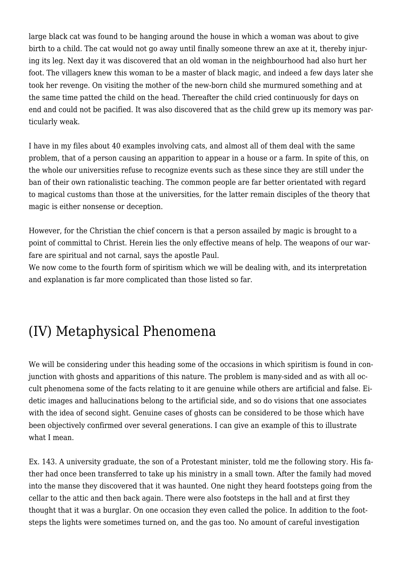large blасk cat was found to be hanging around the house in which a woman was about to give birth to a child. The cat would not go away until finally someone threw an axe at it, thereby injuring its leg. Next day it was discovered that an old woman in the neighbourhood had also hurt her foot. The villagers knew this woman to be a master of black magic, and indeed a few days later she took her revenge. On visiting the mother of the new-born child she murmured something and at the same time patted the child on the head. Thereafter the child cried continuously for days on end and could not be pacified. It was also discovered that as the child grew up its memory was particularly weak.

I have in my files about 40 examples involving cats, and almost all of them deal with the same problem, that of a person causing an apparition to appear in a house or a farm. In spite of this, on the whole our universities refuse to recognize events such as these since they are still under the ban of their own rationalistic teaching. The common people are far better orientated with regard to magical customs than those at the universities, for the latter remain disciples of the theory that magic is either nonsense or deception.

However, for the Christian the chief concern is that a person assailed by magic is brought to a point of committal to Christ. Herein lies the only effective means of help. The weapons of our warfare are spiritual and not carnal, says the apostle Paul.

We now come to the fourth form of spiritism which we will be dealing with, and its interpretation and explanation is far more complicated than those listed so far.

## (IV) Metaphysical Phenomena

We will be considering under this heading some of the occasions in which spiritism is found in conjunction with ghosts and apparitions of this nature. The problem is many-sided and as with all occult phenomena some of the facts relating to it are genuine while others are artificial and false. Eidetic images and hallucinations belong to the artificial side, and so do visions that one associates with the idea of second sight. Genuine cases of ghosts can be considered to be those which have been objectively confirmed over several generations. I can give an example of this to illustrate what I mean.

Ex. 143. A university graduate, the son of a Protestant minister, told me the following story. His father had once been transferred to take up his ministry in a small town. After the family had moved into the manse they discovered that it was haunted. One night they heard footsteps going from the cellar to the attic and then back again. There were also footsteps in the hall and at first they thought that it was a burglar. On one occasion they even called the police. In addition to the footsteps the lights were sometimes turned on, and the gas too. No amount of careful investigation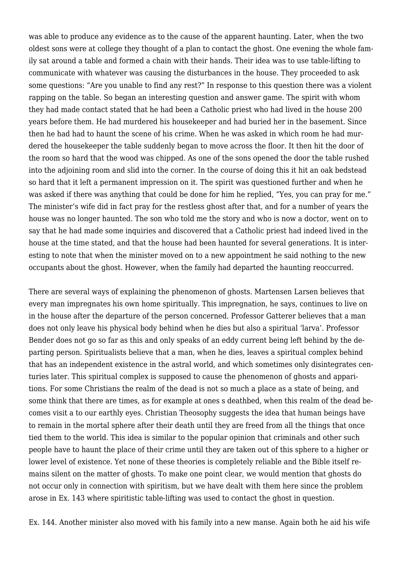was able to produce any evidence as to the cause of the apparent haunting. Later, when the two oldest sons were at college they thought of a plan to contact the ghost. One evening the whole family sat around a table and formed a chain with their hands. Their idea was to use table-lifting to communicate with whatever was causing the disturbances in the house. They proceeded to ask some questions: "Are you unable to find any rest?" In response to this question there was a violent rapping on the table. So began an interesting question and answer game. The spirit with whom they had made contact stated that he had been a Catholic priest who had lived in the house 200 years before them. He had murdered his housekeeper and had buried her in the basement. Since then he had had to haunt the scene of his crime. When he was asked in which room he had murdered the housekeeper the table suddenly began to move across the floor. It then hit the door of the room so hard that the wood was chipped. As one of the sons opened the door the table rushed into the adjoining room and slid into the corner. In the course of doing this it hit an oak bedstead so hard that it left a permanent impression on it. The spirit was questioned further and when he was asked if there was anything that could be done for him he replied, "Yes, you can pray for me." The minister's wife did in fact pray for the restless ghost after that, and for a number of years the house was no longer haunted. The son who told me the story and who is now a doctor, went on to say that he had made some inquiries and discovered that a Catholic priest had indeed lived in the house at the time stated, and that the house had been haunted for several generations. It is interesting to note that when the minister moved on to a new appointment he said nothing to the new occupants about the ghost. However, when the family had departed the haunting reoccurred.

There are several ways of explaining the phenomenon of ghosts. Martensen Larsen believes that every man impregnates his own home spiritually. This impregnation, he says, continues to live on in the house after the departure of the person concerned. Professor Gatterer believes that a man does not only leave his physical body behind when he dies but also a spiritual 'larva'. Professor Bender does not go so far as this and only speaks of an eddy current being left behind by the departing person. Spiritualists believe that a man, when he dies, leaves a spiritual complex behind that has an independent existence in the astral world, and which sometimes only disintegrates centuries later. This spiritual complex is supposed to cause the phenomenon of ghosts and apparitions. For some Christians the realm of the dead is not so much a place as a state of being, and some think that there are times, as for example at ones s deathbed, when this realm of the dead becomes visit a to our earthly eyes. Christian Theosophy suggests the idea that human beings have to remain in the mortal sphere after their death until they are freed from all the things that once tied them to the world. This idea is similar to the popular opinion that criminals and other such people have to haunt the place of their crime until they are taken out of this sphere to a higher or lower level of existence. Yet none of these theories is completely reliable and the Bible itself remains silent on the matter of ghosts. To make one point clear, we would mention that ghosts do not occur only in connection with spiritism, but we have dealt with them here since the problem arose in Ex. 143 where spiritistic table-lifting was used to contact the ghost in question.

Ex. 144. Another minister also moved with his family into a new manse. Again both he aid his wife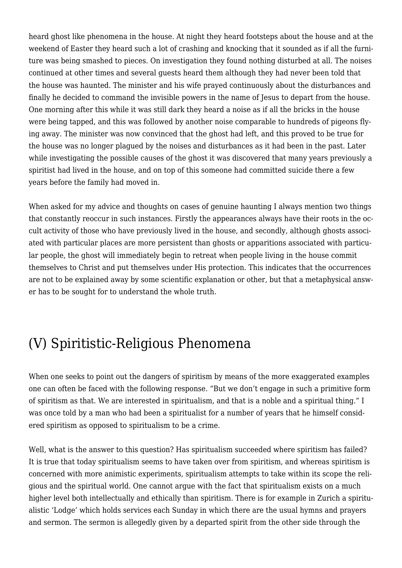heard ghost like phenomena in the house. At night they heard footsteps about the house and at the weekend of Easter they heard such a lot of crashing and knocking that it sounded as if all the furniture was being smashed to pieces. On investigation they found nothing disturbed at all. The noises continued at other times and several guests heard them although they had never been told that the house was haunted. The minister and his wife prayed continuously about the disturbances and finally he decided to command the invisible powers in the name of Jesus to depart from the house. One morning after this while it was still dark they heard a noise as if all the bricks in the house were being tapped, and this was followed by another noise comparable to hundreds of pigeons flying away. The minister was now convinced that the ghost had left, and this proved to be true for the house was no longer plagued by the noises and disturbances as it had been in the past. Later while investigating the possible causes of the ghost it was discovered that many years previously a spiritist had lived in the house, and on top of this someone had committed suicide there a few years before the family had moved in.

When asked for my advice and thoughts on cases of genuine haunting I always mention two things that constantly reoccur in such instances. Firstly the appearances always have their roots in the occult activity of those who have previously lived in the house, and secondly, although ghosts associated with particular places are more persistent than ghosts or apparitions associated with particular people, the ghost will immediately begin to retreat when people living in the house commit themselves to Christ and put themselves under His protection. This indicates that the occurrences are not to be explained away by some scientific explanation or other, but that a metaphysical answer has to be sought for to understand the whole truth.

#### (V) Spiritistic-Religious Phenomena

When one seeks to point out the dangers of spiritism by means of the more exaggerated examples one can often be faced with the following response. "But we don't engage in such a primitive form of spiritism as that. We are interested in spiritualism, and that is a noble and a spiritual thing." I was once told by a man who had been a spiritualist for a number of years that he himself considered spiritism as opposed to spiritualism to be a crime.

Well, what is the answer to this question? Has spiritualism succeeded where spiritism has failed? It is true that today spiritualism seems to have taken over from spiritism, and whereas spiritism is concerned with more animistic experiments, spiritualism attempts to take within its scope the religious and the spiritual world. One cannot argue with the fact that spiritualism exists on a much higher level both intellectually and ethically than spiritism. There is for example in Zurich a spiritualistic 'Lodge' which holds services each Sunday in which there are the usual hymns and prayers and sermon. The sermon is allegedly given by a departed spirit from the other side through the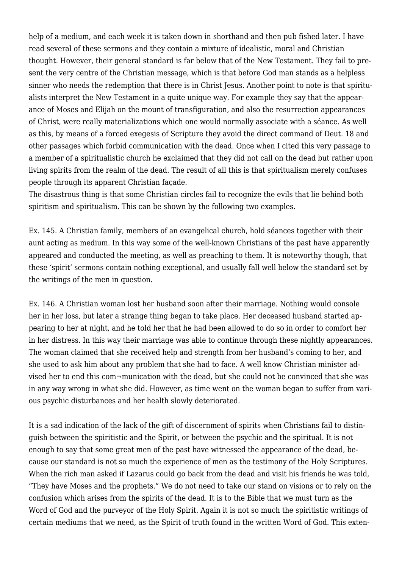help of a medium, and each week it is taken down in shorthand and then pub fished later. I have read several of these sermons and they contain a mixture of idealistic, moral and Christian thought. However, their general standard is far below that of the New Testament. They fail to present the very centre of the Christian message, which is that before God man stands as a helpless sinner who needs the redemption that there is in Christ Jesus. Another point to note is that spiritualists interpret the New Testament in a quite unique way. For example they say that the appearance of Moses and Elijah on the mount of transfiguration, and also the resurrection appearances of Christ, were really materializations which one would normally associate with a séance. As well as this, by means of a forced exegesis of Scripture they avoid the direct command of Deut. 18 and other passages which forbid communication with the dead. Once when I cited this very passage to a member of a spiritualistic church he exclaimed that they did not call on the dead but rather upon living spirits from the realm of the dead. The result of all this is that spiritualism merely confuses people through its apparent Christian façade.

The disastrous thing is that some Christian circles fail to recognize the evils that lie behind both spiritism and spiritualism. This can be shown by the following two examples.

Ex. 145. A Christian family, members of an evangelical church, hold séances together with their aunt acting as medium. In this way some of the well-known Christians of the past have apparently appeared and conducted the meeting, as well as preaching to them. It is noteworthy though, that these 'spirit' sermons contain nothing exceptional, and usually fall well below the standard set by the writings of the men in question.

Ex. 146. A Christian woman lost her husband soon after their marriage. Nothing would console her in her loss, but later a strange thing began to take place. Her deceased husband started appearing to her at night, and he told her that he had been allowed to do so in order to comfort her in her distress. In this way their marriage was able to continue through these nightly appearances. The woman claimed that she received help and strength from her husband's coming to her, and she used to ask him about any problem that she had to face. A well know Christian minister advised her to end this com¬munication with the dead, but she could not be convinced that she was in any way wrong in what she did. However, as time went on the woman began to suffer from various psychic disturbances and her health slowly deteriorated.

It is a sad indication of the lack of the gift of discernment of spirits when Christians fail to distinguish between the spiritistic and the Spirit, or between the psychic and the spiritual. It is not enough to say that some great men of the past have witnessed the appearance of the dead, because our standard is not so much the experience of men as the testimony of the Holy Scriptures. When the rich man asked if Lazarus could go back from the dead and visit his friends he was told, "They have Moses and the prophets." We do not need to take our stand on visions or to rely on the confusion which arises from the spirits of the dead. It is to the Bible that we must turn as the Word of God and the purveyor of the Holy Spirit. Again it is not so much the spiritistic writings of certain mediums that we need, as the Spirit of truth found in the written Word of God. This exten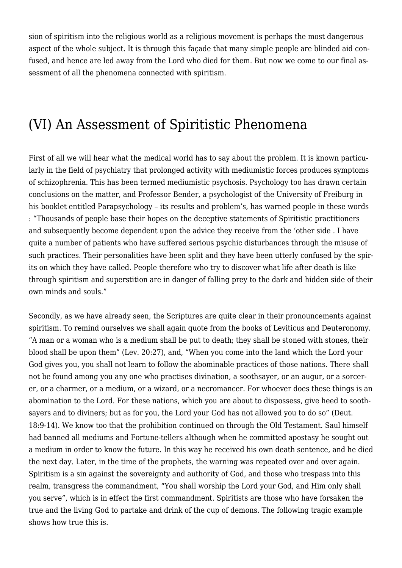sion of spiritism into the religious world as a religious movement is perhaps the most dangerous aspect of the whole subject. It is through this façade that many simple people are blinded aid confused, and hence are led away from the Lord who died for them. But now we come to our final assessment of all the phenomena connected with spiritism.

#### (VI) An Assessment of Spiritistic Phenomena

First of all we will hear what the medical world has to say about the problem. It is known particularly in the field of psychiatry that prolonged activity with mediumistic forces produces symptoms of schizophrenia. This has been termed mediumistic psychosis. Psychology too has drawn certain conclusions on the matter, and Professor Bender, a psychologist of the University of Freiburg in his booklet entitled Parapsychology – its results and problem's, has warned people in these words : "Thousands of people base their hopes on the deceptive statements of Spiritistic practitioners and subsequently become dependent upon the advice they receive from the 'other side . I have quite a number of patients who have suffered serious psychic disturbances through the misuse of such practices. Their personalities have been split and they have been utterly confused by the spirits on which they have called. People therefore who try to discover what life after death is like through spiritism and superstition are in danger of falling prey to the dark and hidden side of their own minds and souls."

Secondly, as we have already seen, the Scriptures are quite clear in their pronouncements against spiritism. To remind ourselves we shall again quote from the books of Leviticus and Deuteronomy. "A man or a woman who is a medium shall be put to death; they shall be stoned with stones, their blood shall be upon them" (Lev. 20:27), and, "When you come into the land which the Lord your God gives you, you shall not learn to follow the abominable practices of those nations. There shall not be found among you any one who practises divination, a soothsayer, or an augur, or a sorcerer, or a charmer, or a medium, or a wizard, or a necromancer. For whoever does these things is an abomination to the Lord. For these nations, which you are about to dispossess, give heed to soothsayers and to diviners; but as for you, the Lord your God has not allowed you to do so" (Deut. 18:9-14). We know too that the prohibition continued on through the Old Testament. Saul himself had banned all mediums and Fortune-tellers although when he committed apostasy he sought out a medium in order to know the future. In this way he received his own death sentence, and he died the next day. Later, in the time of the prophets, the warning was repeated over and over again. Spiritism is a sin against the sovereignty and authority of God, and those who trespass into this realm, transgress the commandment, "You shall worship the Lord your God, and Him only shall you serve", which is in effect the first commandment. Spiritists are those who have forsaken the true and the living God to partake and drink of the cup of demons. The following tragic example shows how true this is.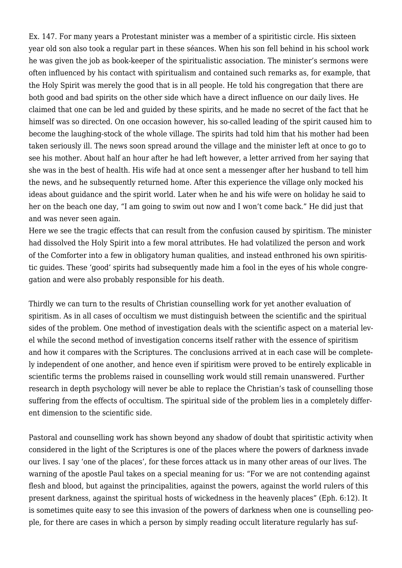Ex. 147. For many years a Protestant minister was a member of a spiritistic circle. His sixteen year old son also took a regular part in these séances. When his son fell behind in his school work he was given the job as book-keeper of the spiritualistic association. The minister's sermons were often influenced by his contact with spiritualism and contained such remarks as, for example, that the Holy Spirit was merely the good that is in all people. He told his congregation that there are both good and bad spirits on the other side which have a direct influence on our daily lives. He claimed that one can be led and guided by these spirits, and he made no secret of the fact that he himself was so directed. On one occasion however, his so-called leading of the spirit caused him to become the laughing-stock of the whole village. The spirits had told him that his mother had been taken seriously ill. The news soon spread around the village and the minister left at once to go to see his mother. About half an hour after he had left however, a letter arrived from her saying that she was in the best of health. His wife had at once sent a messenger after her husband to tell him the news, and he subsequently returned home. After this experience the village only mocked his ideas about guidance and the spirit world. Later when he and his wife were on holiday he said to her on the beach one day, "I am going to swim out now and I won't come back." He did just that and was never seen again.

Here we see the tragic effects that can result from the confusion caused by spiritism. The minister had dissolved the Holy Spirit into a few moral attributes. He had volatilized the person and work of the Comforter into a few in obligatory human qualities, and instead enthroned his own spiritistic guides. These 'good' spirits had subsequently made him a fool in the eyes of his whole congregation and were also probably responsible for his death.

Thirdly we can turn to the results of Christian counselling work for yet another evaluation of spiritism. As in all cases of occultism we must distinguish between the scientific and the spiritual sides of the problem. One method of investigation deals with the scientific aspect on a material level while the second method of investigation concerns itself rather with the essence of spiritism and how it compares with the Scriptures. The conclusions arrived at in each case will be completely independent of one another, and hence even if spiritism were proved to be entirely explicable in scientific terms the problems raised in counselling work would still remain unanswered. Further research in depth psychology will never be able to replace the Christian's task of counselling those suffering from the effects of occultism. The spiritual side of the problem lies in a completely different dimension to the scientific side.

Pastoral and counselling work has shown beyond any shadow of doubt that spiritistic activity when considered in the light of the Scriptures is one of the places where the powers of darkness invade our lives. I say 'one of the places', for these forces attack us in many other areas of our lives. The warning of the apostle Paul takes on a special meaning for us: "For we are not contending against flesh and blood, but against the principalities, against the powers, against the world rulers of this present darkness, against the spiritual hosts of wickedness in the heavenly places" (Eph. 6:12). It is sometimes quite easy to see this invasion of the powers of darkness when one is counselling people, for there are cases in which a person by simply reading occult literature regularly has suf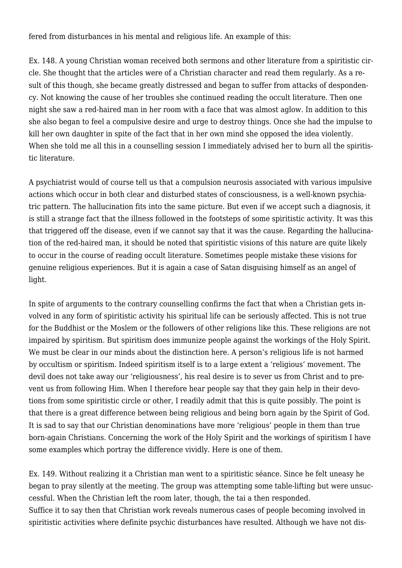fered from disturbances in his mental and religious life. An example of this:

Ex. 148. A young Christian woman received both sermons and other literature from a spiritistic circle. She thought that the articles were of a Christian character and read them regularly. As a result of this though, she became greatly distressed and began to suffer from attacks of despondency. Not knowing the cause of her troubles she continued reading the occult literature. Then one night she saw a red-haired man in her room with a face that was almost aglow. In addition to this she also began to feel a compulsive desire and urge to destroy things. Once she had the impulse to kill her own daughter in spite of the fact that in her own mind she opposed the idea violently. When she told me all this in a counselling session I immediately advised her to burn all the spiritistic literature.

A psychiatrist would of course tell us that a compulsion neurosis associated with various impulsive actions which occur in both clear and disturbed states of consciousness, is a well-known psychiatric pattern. The hallucination fits into the same picture. But even if we accept such a diagnosis, it is still a strange fact that the illness followed in the footsteps of some spiritistic activity. It was this that triggered off the disease, even if we cannot say that it was the cause. Regarding the hallucination of the red-haired man, it should be noted that spiritistic visions of this nature are quite likely to occur in the course of reading occult literature. Sometimes people mistake these visions for genuine religious experiences. But it is again a case of Satan disguising himself as an angel of light.

In spite of arguments to the contrary counselling confirms the fact that when a Christian gets involved in any form of spiritistic activity his spiritual life can be seriously affected. This is not true for the Buddhist or the Moslem or the followers of other religions like this. These religions are not impaired by spiritism. But spiritism does immunize people against the workings of the Holy Spirit. We must be clear in our minds about the distinction here. A person's religious life is not harmed by occultism or spiritism. Indeed spiritism itself is to a large extent a 'religious' movement. The devil does not take away our 'religiousness', his real desire is to sever us from Christ and to prevent us from following Him. When I therefore hear people say that they gain help in their devotions from some spiritistic circle or other, I readily admit that this is quite possibly. The point is that there is a great difference between being religious and being born again by the Spirit of God. It is sad to say that our Christian denominations have more 'religious' people in them than true born-again Christians. Concerning the work of the Holy Spirit and the workings of spiritism I have some examples which portray the difference vividly. Here is one of them.

Ex. 149. Without realizing it a Christian man went to a spiritistic séance. Since he felt uneasy he began to pray silently at the meeting. The group was attempting some table-lifting but were unsuccessful. When the Christian left the room later, though, the tai a then responded. Suffice it to say then that Christian work reveals numerous cases of people becoming involved in spiritistic activities where definite psychic disturbances have resulted. Although we have not dis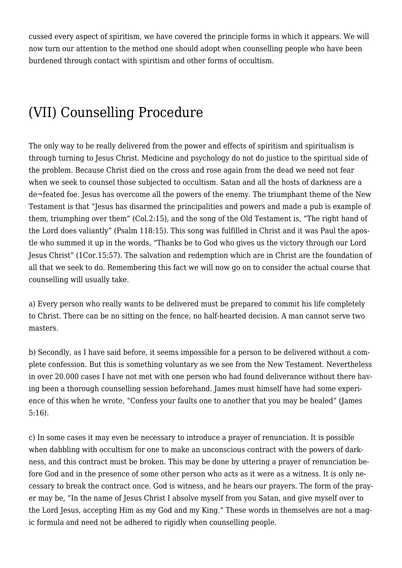cussed every aspect of spiritism, we have covered the principle forms in which it appears. We will now turn our attention to the method one should adopt when counselling people who have been burdened through contact with spiritism and other forms of occultism.

#### (VII) Counselling Procedure

The only way to be really delivered from the power and effects of spiritism and spiritualism is through turning to Jesus Christ. Medicine and psychology do not do justice to the spiritual side of the problem. Because Christ died on the cross and rose again from the dead we need not fear when we seek to counsel those subjected to occultism. Satan and all the hosts of darkness are a de¬feated foe. Jesus has overcome all the powers of the enemy. The triumphant theme of the New Testament is that "Jesus has disarmed the principalities and powers and made a pub is example of them, triumphing over them" (Col.2:15), and the song of the Old Testament is, "The right hand of the Lord does valiantly" (Psalm 118:15). This song was fulfilled in Christ and it was Paul the apostle who summed it up in the words, "Thanks be to God who gives us the victory through our Lord Jesus Christ" (1Cor.15:57). The salvation and redemption which are in Christ are the foundation of all that we seek to do. Remembering this fact we will now go on to consider the actual course that counselling will usually take.

a) Every person who really wants to be delivered must be prepared to commit his life completely to Christ. There can be no sitting on the fence, no half-hearted decision. A man cannot serve two masters.

b) Secondly, as I have said before, it seems impossible for a person to be delivered without a complete confession. But this is something voluntary as we see from the New Testament. Nevertheless in over 20.000 cases I have not met with one person who had found deliverance without there having been a thorough counselling session beforehand. James must himself have had some experience of this when he wrote, "Confess your faults one to another that you may be healed" (James 5:16).

c) In some cases it may even be necessary to introduce a prayer of renunciation. It is possible when dabbling with occultism for one to make an unconscious contract with the powers of darkness, and this contract must be broken. This may be done by uttering a prayer of renunciation before God and in the presence of some other person who acts as it were as a witness. It is only necessary to break the contract once. God is witness, and he hears our prayers. The form of the prayer may be, "In the name of Jesus Christ I absolve myself from you Satan, and give myself over to the Lord Jesus, accepting Him as my God and my King." These words in themselves are not a magic formula and need not be adhered to rigidly when counselling people.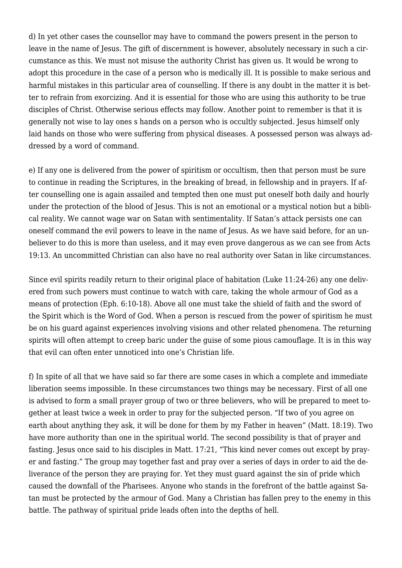d) In yet other cases the counsellor may have to command the powers present in the person to leave in the name of Jesus. The gift of discernment is however, absolutely necessary in such a circumstance as this. We must not misuse the authority Christ has given us. It would be wrong to adopt this procedure in the case of a person who is medically ill. It is possible to make serious and harmful mistakes in this particular area of counselling. If there is any doubt in the matter it is better to refrain from exorcizing. And it is essential for those who are using this authority to be true disciples of Christ. Otherwise serious effects may follow. Another point to remember is that it is generally not wise to lay ones s hands on a person who is occultly subjected. Jesus himself only laid hands on those who were suffering from physical diseases. A possessed person was always addressed by a word of command.

e) If any one is delivered from the power of spiritism or occultism, then that person must be sure to continue in reading the Scriptures, in the breaking of bread, in fellowship and in prayers. If after counselling one is again assailed and tempted then one must put oneself both daily and hourly under the protection of the blood of Jesus. This is not an emotional or a mystical notion but a biblical reality. We cannot wage war on Satan with sentimentality. If Satan's attack persists one can oneself command the evil powers to leave in the name of Jesus. As we have said before, for an unbeliever to do this is more than useless, and it may even prove dangerous as we can see from Acts 19:13. An uncommitted Christian can also have no real authority over Satan in like circumstances.

Since evil spirits readily return to their original place of habitation (Luke 11:24-26) any one delivered from such powers must continue to watch with care, taking the whole armour of God as a means of protection (Eph. 6:10-18). Above all one must take the shield of faith and the sword of the Spirit which is the Word of God. When a person is rescued from the power of spiritism he must be on his guard against experiences involving visions and other related phenomena. The returning spirits will often attempt to creep baric under the guise of some pious camouflage. It is in this way that evil can often enter unnoticed into one's Christian life.

f) In spite of all that we have said so far there are some cases in which a complete and immediate liberation seems impossible. In these circumstances two things may be necessary. First of all one is advised to form a small prayer group of two or three believers, who will be prepared to meet together at least twice a week in order to pray for the subjected person. "If two of you agree on earth about anything they ask, it will be done for them by my Father in heaven" (Matt. 18:19). Two have more authority than one in the spiritual world. The second possibility is that of prayer and fasting. Jesus once said to his disciples in Matt. 17:21, "This kind never comes out except by prayer and fasting." The group may together fast and pray over a series of days in order to aid the deliverance of the person they are praying for. Yet they must guard against the sin of pride which caused the downfall of the Pharisees. Anyone who stands in the forefront of the battle against Satan must be protected by the armour of God. Many a Christian has fallen prey to the enemy in this battle. The pathway of spiritual pride leads often into the depths of hell.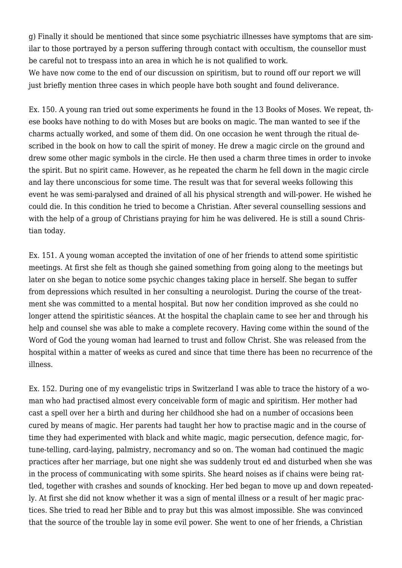g) Finally it should be mentioned that since some psychiatric illnesses have symptoms that are similar to those portrayed by a person suffering through contact with occultism, the counsellor must be careful not to trespass into an area in which he is not qualified to work. We have now come to the end of our discussion on spiritism, but to round off our report we will just briefly mention three cases in which people have both sought and found deliverance.

Ex. 150. A young ran tried out some experiments he found in the 13 Books of Moses. We repeat, these books have nothing to do with Moses but are books on magic. The man wanted to see if the charms actually worked, and some of them did. On one occasion he went through the ritual described in the book on how to call the spirit of money. He drew a magic circle on the ground and drew some other magic symbols in the circle. He then used a charm three times in order to invoke the spirit. But no spirit came. However, as he repeated the charm he fell down in the magic circle and lay there unconscious for some time. The result was that for several weeks following this event he was semi-paralysed and drained of all his physical strength and will-power. He wished he could die. In this condition he tried to become a Christian. After several counselling sessions and with the help of a group of Christians praying for him he was delivered. He is still a sound Christian today.

Ex. 151. A young woman accepted the invitation of one of her friends to attend some spiritistic meetings. At first she felt as though she gained something from going along to the meetings but later on she began to notice some psychic changes taking place in herself. She began to suffer from depressions which resulted in her consulting a neurologist. During the course of the treatment she was committed to a mental hospital. But now her condition improved as she could no longer attend the spiritistic séances. At the hospital the chaplain came to see her and through his help and counsel she was able to make a complete recovery. Having come within the sound of the Word of God the young woman had learned to trust and follow Christ. She was released from the hospital within a matter of weeks as cured and since that time there has been no recurrence of the illness.

Ex. 152. During one of my evangelistic trips in Switzerland I was able to trace the history of a woman who had practised almost every conceivable form of magic and spiritism. Her mother had cast a spell over her a birth and during her childhood she had on a number of occasions been cured by means of magic. Her parents had taught her how to practise magic and in the course of time they had experimented with black and white magic, magic persecution, defence magic, fortune-telling, card-laying, palmistry, necromancy and so on. The woman had continued the magic practices after her marriage, but one night she was suddenly trout ed and disturbed when she was in the process of communicating with some spirits. She heard noises as if chains were being rattled, together with crashes and sounds of knocking. Her bed began to move up and down repeatedly. At first she did not know whether it was a sign of mental illness or a result of her magic practices. She tried to read her Bible and to pray but this was almost impossible. She was convinced that the source of the trouble lay in some evil power. She went to one of her friends, a Christian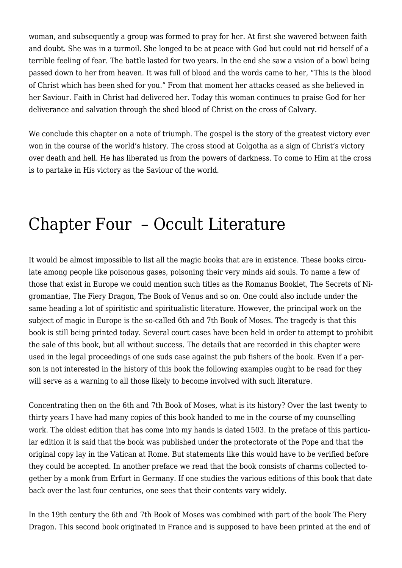woman, and subsequently a group was formed to pray for her. At first she wavered between faith and doubt. She was in a turmoil. She longed to be at peace with God but could not rid herself of a terrible feeling of fear. The battle lasted for two years. In the end she saw a vision of a bowl being passed down to her from heaven. It was full of blood and the words came to her, "This is the blood of Christ which has been shed for you." From that moment her attacks ceased as she believed in her Saviour. Faith in Christ had delivered her. Today this woman continues to praise God for her deliverance and salvation through the shed blood of Christ on the cross of Calvary.

We conclude this chapter on a note of triumph. The gospel is the story of the greatest victory ever won in the course of the world's history. The cross stood at Golgotha as a sign of Christ's victory over death and hell. He has liberated us from the powers of darkness. To come to Him at the cross is to partake in His victory as the Saviour of the world.

## Chapter Four – Occult Literature

It would be almost impossible to list all the magic books that are in existence. These books circulate among people like poisonous gases, poisoning their very minds aid souls. To name a few of those that exist in Europe we could mention such titles as the Romanus Booklet, The Secrets of Nigromantiae, The Fiery Dragon, The Book of Venus and so on. One could also include under the same heading a lot of spiritistic and spiritualistic literature. However, the principal work on the subject of magic in Europe is the so-called 6th and 7th Book of Moses. The tragedy is that this book is still being printed today. Several court cases have been held in order to attempt to prohibit the sale of this book, but all without success. The details that are recorded in this chapter were used in the legal proceedings of one suds case against the pub fishers of the book. Even if a person is not interested in the history of this book the following examples ought to be read for they will serve as a warning to all those likely to become involved with such literature.

Concentrating then on the 6th and 7th Book of Moses, what is its history? Over the last twenty to thirty years I have had many copies of this book handed to me in the course of my counselling work. The oldest edition that has come into my hands is dated 1503. In the preface of this particular edition it is said that the book was published under the protectorate of the Pope and that the original copy lay in the Vatican at Rome. But statements like this would have to be verified before they could be accepted. In another preface we read that the book consists of charms collected together by a monk from Erfurt in Germany. If one studies the various editions of this book that date back over the last four centuries, one sees that their contents vary widely.

In the 19th century the 6th and 7th Book of Moses was combined with part of the book The Fiery Dragon. This second book originated in France and is supposed to have been printed at the end of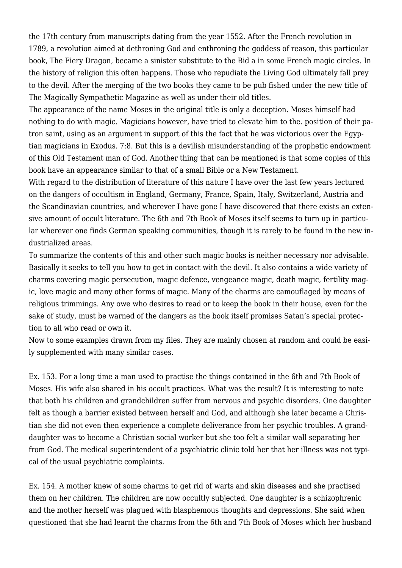the 17th century from manuscripts dating from the year 1552. After the French revolution in 1789, a revolution aimed at dethroning God and enthroning the goddess of reason, this particular book, The Fiery Dragon, became a sinister substitute to the Bid a in some French magic circles. In the history of religion this often happens. Those who repudiate the Living God ultimately fall prey to the devil. After the merging of the two books they came to be pub fished under the new title of The Magically Sympathetic Magazine as well as under their old titles.

The appearance of the name Moses in the original title is only a deception. Moses himself had nothing to do with magic. Magicians however, have tried to elevate him to the. position of their patron saint, using as an argument in support of this the fact that he was victorious over the Egyptian magicians in Exodus. 7:8. But this is a devilish misunderstanding of the prophetic endowment of this Old Testament man of God. Another thing that can be mentioned is that some copies of this book have an appearance similar to that of a small Bible or a New Testament.

With regard to the distribution of literature of this nature I have over the last few years lectured on the dangers of occultism in England, Germany, France, Spain, Italy, Switzerland, Austria and the Scandinavian countries, and wherever I have gone I have discovered that there exists an extensive amount of occult literature. The 6th and 7th Book of Moses itself seems to turn up in particular wherever one finds German speaking communities, though it is rarely to be found in the new industrialized areas.

To summarize the contents of this and other such magic books is neither necessary nor advisable. Basically it seeks to tell you how to get in contact with the devil. It also contains a wide variety of charms covering magic persecution, magic defence, vengeance magic, death magic, fertility magic, love magic and many other forms of magic. Many of the charms are camouflaged by means of religious trimmings. Any owe who desires to read or to keep the book in their house, even for the sake of study, must be warned of the dangers as the book itself promises Satan's special protection to all who read or own it.

Now to some examples drawn from my files. They are mainly chosen at random and could be easily supplemented with many similar cases.

Ex. 153. For a long time a man used to practise the things contained in the 6th and 7th Book of Moses. His wife also shared in his occult practices. What was the result? It is interesting to note that both his children and grandchildren suffer from nervous and psychic disorders. One daughter felt as though a barrier existed between herself and God, and although she later became a Christian she did not even then experience a complete deliverance from her psychic troubles. A granddaughter was to become a Christian social worker but she too felt a similar wall separating her from God. The medical superintendent of a psychiatric clinic told her that her illness was not typical of the usual psychiatric complaints.

Ex. 154. A mother knew of some charms to get rid of warts and skin diseases and she practised them on her children. The children are now occultly subjected. One daughter is a schizophrenic and the mother herself was plagued with blasphemous thoughts and depressions. She said when questioned that she had learnt the charms from the 6th and 7th Book of Moses which her husband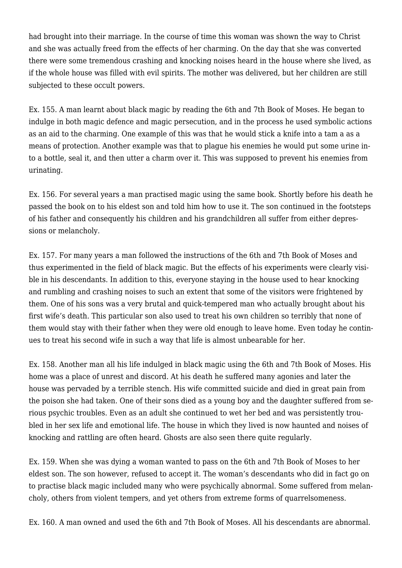had brought into their marriage. In the course of time this woman was shown the way to Christ and she was actually freed from the effects of her charming. On the day that she was converted there were some tremendous crashing and knocking noises heard in the house where she lived, as if the whole house was filled with evil spirits. The mother was delivered, but her children are still subjected to these occult powers.

Ex. 155. A man learnt about black magic by reading the 6th and 7th Book of Moses. He began to indulge in both magic defence and magic persecution, and in the process he used symbolic actions as an aid to the charming. One example of this was that he would stick a knife into a tam a as a means of protection. Another example was that to plague his enemies he would put some urine into a bottle, seal it, and then utter a charm over it. This was supposed to prevent his enemies from urinating.

Ex. 156. For several years a man practised magic using the same book. Shortly before his death he passed the book on to his eldest son and told him how to use it. The son continued in the footsteps of his father and consequently his children and his grandchildren all suffer from either depressions or melancholy.

Ex. 157. For many years a man followed the instructions of the 6th and 7th Book of Moses and thus experimented in the field of black magic. But the effects of his experiments were clearly visible in his descendants. In addition to this, everyone staying in the house used to hear knocking and rumbling and crashing noises to such an extent that some of the visitors were frightened by them. One of his sons was a very brutal and quick-tempered man who actually brought about his first wife's death. This particular son also used to treat his own children so terribly that none of them would stay with their father when they were old enough to leave home. Even today he continues to treat his second wife in such a way that life is almost unbearable for her.

Ex. 158. Another man all his life indulged in blасk magic using the 6th and 7th Book of Moses. His home was a place of unrest and discord. At his death he suffered many agonies and later the house was pervaded by a terrible stench. His wife committed suicide and died in great pain from the poison she had taken. One of their sons died as a young boy and the daughter suffered from serious psychic troubles. Even as an adult she continued to wet her bed and was persistently troubled in her sex life and emotional life. The house in which they lived is now haunted and noises of knocking and rattling are often heard. Ghosts are also seen there quite regularly.

Ex. 159. When she was dying a woman wanted to pass on the 6th and 7th Book of Moses to her eldest son. The son however, refused to accept it. The woman's descendants who did in fact go on to practise black magic included many who were psychically abnormal. Some suffered from melancholy, others from violent tempers, and yet others from extreme forms of quarrelsomeness.

Ex. 160. A man owned and used the 6th and 7th Book of Moses. All his descendants are abnormal.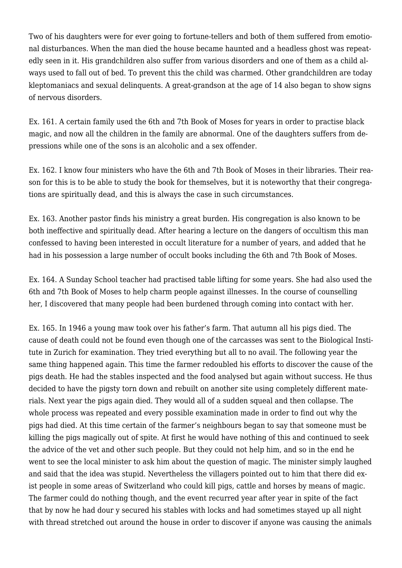Two of his daughters were for ever going to fortune-tellers and both of them suffered from emotional disturbances. When the man died the house became haunted and a headless ghost was repeatedly seen in it. His grandchildren also suffer from various disorders and one of them as a child always used to fall out of bed. To prevent this the child was charmed. Other grandchildren are today kleptomaniacs and sexual delinquents. A great-grandson at the age of 14 also began to show signs of nervous disorders.

Ex. 161. A certain family used the 6th and 7th Book of Moses for years in order to practise black magic, and now all the children in the family are abnormal. One of the daughters suffers from depressions while one of the sons is an alcoholic and a sex offender.

Ex. 162. I know four ministers who have the 6th and 7th Book of Moses in their libraries. Their reason for this is to be able to study the book for themselves, but it is noteworthy that their congregations are spiritually dead, and this is always the case in such circumstances.

Ex. 163. Another pastor finds his ministry a great burden. His congregation is also known to be both ineffective and spiritually dead. After hearing a lecture on the dangers of occultism this man confessed to having been interested in occult literature for a number of years, and added that he had in his possession a large number of occult books including the 6th and 7th Book of Moses.

Ex. 164. A Sunday School teacher had practised table lifting for some years. She had also used the 6th and 7th Book of Moses to help charm people against illnesses. In the course of counselling her, I discovered that many people had been burdened through coming into contact with her.

Ex. 165. In 1946 a young maw took over his father's farm. That autumn all his pigs died. The cause of death could not be found even though one of the carcasses was sent to the Biological Institute in Zurich for examination. They tried everything but all to no avail. The following year the same thing happened again. This time the farmer redoubled his efforts to discover the cause of the pigs death. He had the stables inspected and the food analysed but again without success. He thus decided to have the pigsty torn down and rebuilt on another site using completely different materials. Next year the pigs again died. They would all of a sudden squeal and then collapse. The whole process was repeated and every possible examination made in order to find out why the pigs had died. At this time certain of the farmer's neighbours began to say that someone must be killing the pigs magically out of spite. At first he would have nothing of this and continued to seek the advice of the vet and other such people. But they could not help him, and so in the end he went to see the local minister to ask him about the question of magic. The minister simply laughed and said that the idea was stupid. Nevertheless the villagers pointed out to him that there did exist people in some areas of Switzerland who could kill pigs, cattle and horses by means of magic. The farmer could do nothing though, and the event recurred year after year in spite of the fact that by now he had dour y secured his stables with locks and had sometimes stayed up all night with thread stretched out around the house in order to discover if anyone was causing the animals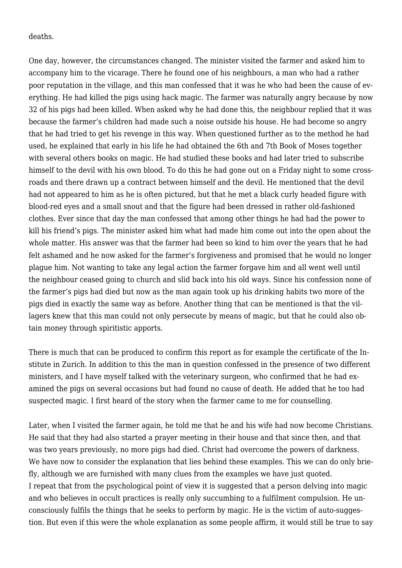deaths.

One day, however, the circumstances changed. The minister visited the farmer and asked him to accompany him to the vicarage. There he found one of his neighbours, a man who had a rather poor reputation in the village, and this man confessed that it was he who had been the cause of everything. He had killed the pigs using hack magic. The farmer was naturally angry because by now 32 of his pigs had been killed. When asked why he had done this, the neighbour replied that it was because the farmer's children had made such a noise outside his house. He had become so angry that he had tried to get his revenge in this way. When questioned further as to the method he had used, he explained that early in his life he had obtained the 6th and 7th Book of Moses together with several others books on magic. He had studied these books and had later tried to subscribe himself to the devil with his own blood. To do this he had gone out on a Friday night to some crossroads and there drawn up a contract between himself and the devil. He mentioned that the devil had not appeared to him as he is often pictured, but that he met a black curly headed figure with blood-red eyes and a small snout and that the figure had been dressed in rather old-fashioned clothes. Ever since that day the man confessed that among other things he had had the power to kill his friend's pigs. The minister asked him what had made him come out into the open about the whole matter. His answer was that the farmer had been so kind to him over the years that he had felt ashamed and he now asked for the farmer's forgiveness and promised that he would no longer plague him. Not wanting to take any legal action the farmer forgave him and all went well until the neighbour ceased going to church and slid back into his old ways. Since his confession none of the farmer's pigs had died but now as the man again took up his drinking habits two more of the pigs died in exactly the same way as before. Another thing that can be mentioned is that the villagers knew that this man could not only persecute by means of magic, but that he could also obtain money through spiritistic apports.

There is much that can be produced to confirm this report as for example the certificate of the Institute in Zurich. In addition to this the man in question confessed in the presence of two different ministers, and I have myself talked with the veterinary surgeon, who confirmed that he had examined the pigs on several occasions but had found no cause of death. He added that he too had suspected magic. I first heard of the story when the farmer came to me for counselling.

Later, when I visited the farmer again, he told me that he and his wife had now become Christians. He said that they had also started a prayer meeting in their house and that since then, and that was two years previously, no more pigs had died. Christ had overcome the powers of darkness. We have now to consider the explanation that lies behind these examples. This we can do only briefly, although we are furnished with many clues from the examples we have just quoted. I repeat that from the psychological point of view it is suggested that a person delving into magic and who believes in occult practices is really only succumbing to a fulfilment compulsion. He unconsciously fulfils the things that he seeks to perform by magic. He is the victim of auto-suggestion. But even if this were the whole explanation as some people affirm, it would still be true to say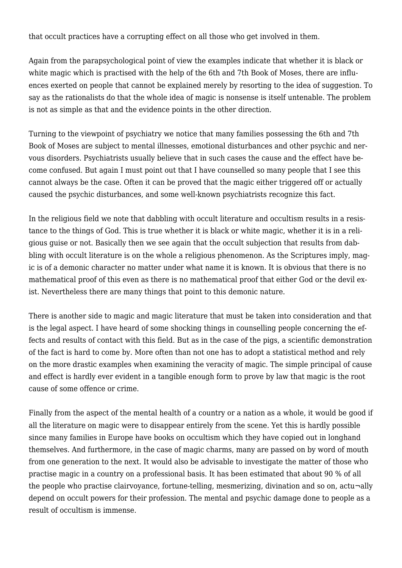that occult practices have a corrupting effect on all those who get involved in them.

Again from the parapsychological point of view the examples indicate that whether it is black or white magic which is practised with the help of the 6th and 7th Book of Moses, there are influences exerted on people that cannot be explained merely by resorting to the idea of suggestion. To say as the rationalists do that the whole idea of magic is nonsense is itself untenable. The problem is not as simple as that and the evidence points in the other direction.

Turning to the viewpoint of psychiatry we notice that many families possessing the 6th and 7th Book of Moses are subject to mental illnesses, emotional disturbances and other psychic and nervous disorders. Psychiatrists usually believe that in such cases the cause and the effect have become confused. But again I must point out that I have counselled so many people that I see this cannot always be the case. Often it can be proved that the magic either triggered off or actually caused the psychic disturbances, and some well-known psychiatrists recognize this fact.

In the religious field we note that dabbling with occult literature and occultism results in a resistance to the things of God. This is true whether it is black or white magic, whether it is in a religious guise or not. Basically then we see again that the occult subjection that results from dabbling with occult literature is on the whole a religious phenomenon. As the Scriptures imply, magic is of a demonic character no matter under what name it is known. It is obvious that there is no mathematical proof of this even as there is no mathematical proof that either God or the devil exist. Nevertheless there are many things that point to this demonic nature.

There is another side to magic and magic literature that must be taken into consideration and that is the legal aspect. I have heard of some shocking things in counselling people concerning the effects and results of contact with this field. But as in the case of the pigs, a scientific demonstration of the fact is hard to come by. More often than not one has to adopt a statistical method and rely on the more drastic examples when examining the veracity of magic. The simple principal of cause and effect is hardly ever evident in a tangible enough form to prove by law that magic is the root cause of some offence or crime.

Finally from the aspect of the mental health of a country or a nation as a whole, it would be good if all the literature on magic were to disappear entirely from the scene. Yet this is hardly possible since many families in Europe have books on occultism which they have copied out in longhand themselves. And furthermore, in the case of magic charms, many are passed on by word of mouth from one generation to the next. It would also be advisable to investigate the matter of those who practise magic in a country on a professional basis. It has been estimated that about 90 % of all the people who practise clairvoyance, fortune-telling, mesmerizing, divination and so on, actu¬ally depend on occult powers for their profession. The mental and psychic damage done to people as a result of occultism is immense.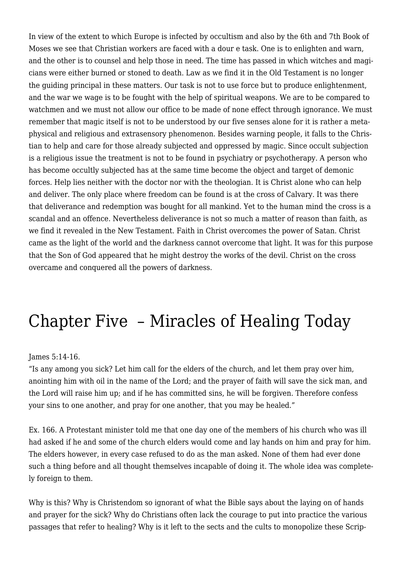In view of the extent to which Europe is infected by occultism and also by the 6th and 7th Book of Moses we see that Christian workers are faced with a dour e task. One is to enlighten and warn, and the other is to counsel and help those in need. The time has passed in which witches and magicians were either burned or stoned to death. Law as we find it in the Old Testament is no longer the guiding principal in these matters. Our task is not to use force but to produce enlightenment, and the war we wage is to be fought with the help of spiritual weapons. We are to be compared to watchmen and we must not allow our office to be made of none effect through ignorance. We must remember that magic itself is not to be understood by our five senses alone for it is rather a metaphysical and religious and extrasensory phenomenon. Besides warning people, it falls to the Christian to help and care for those already subjected and oppressed by magic. Since occult subjection is a religious issue the treatment is not to be found in psychiatry or psychotherapy. A person who has become occultly subjected has at the same time become the object and target of demonic forces. Help lies neither with the doctor nor with the theologian. It is Christ alone who can help and deliver. The only place where freedom can be found is at the cross of Calvary. It was there that deliverance and redemption was bought for all mankind. Yet to the human mind the cross is a scandal and an offence. Nevertheless deliverance is not so much a matter of reason than faith, as we find it revealed in the New Testament. Faith in Christ overcomes the power of Satan. Christ came as the light of the world and the darkness cannot overcome that light. It was for this purpose that the Son of God appeared that he might destroy the works of the devil. Christ on the cross overcame and conquered all the powers of darkness.

# Chapter Five – Miracles of Healing Today

#### James 5:14-16.

"Is any among you sick? Let him call for the elders of the church, and let them pray over him, anointing him with oil in the name of the Lord; and the prayer of faith will save the sick man, and the Lord will raise him up; and if he has committed sins, he will be forgiven. Therefore confess your sins to one another, and pray for one another, that you may be healed."

Ex. 166. A Protestant minister told me that one day one of the members of his church who was ill had asked if he and some of the church elders would come and lay hands on him and pray for him. The elders however, in every case refused to do as the man asked. None of them had ever done such a thing before and all thought themselves incapable of doing it. The whole idea was completely foreign to them.

Why is this? Why is Christendom so ignorant of what the Bible says about the laying on of hands and prayer for the sick? Why do Christians often lack the courage to put into practice the various passages that refer to healing? Why is it left to the sects and the cults to monopolize these Scrip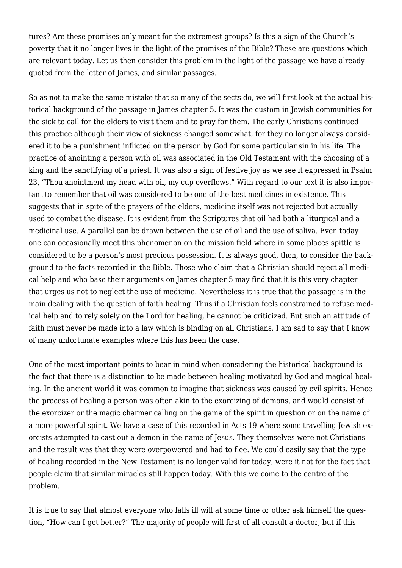tures? Are these promises only meant for the extremest groups? Is this a sign of the Church's poverty that it no longer lives in the light of the promises of the Bible? These are questions which are relevant today. Let us then consider this problem in the light of the passage we have already quoted from the letter of James, and similar passages.

So as not to make the same mistake that so many of the sects do, we will first look at the actual historical background of the passage in James chapter 5. It was the custom in Jewish communities for the sick to call for the elders to visit them and to pray for them. The early Christians continued this practice although their view of sickness changed somewhat, for they no longer always considered it to be a punishment inflicted on the person by God for some particular sin in his life. The practice of anointing a person with oil was associated in the Old Testament with the choosing of a king and the sanctifying of a priest. It was also a sign of festive joy as we see it expressed in Psalm 23, "Thou anointment my head with oil, my cup overflows." With regard to our text it is also important to remember that oil was considered to be one of the best medicines in existence. This suggests that in spite of the prayers of the elders, medicine itself was not rejected but actually used to combat the disease. It is evident from the Scriptures that oil had both a liturgical and a medicinal use. A parallel can be drawn between the use of oil and the use of saliva. Even today one can occasionally meet this phenomenon on the mission field where in some places spittle is considered to be a person's most precious possession. It is always good, then, to consider the background to the facts recorded in the Bible. Those who claim that a Christian should reject all medical help and who base their arguments on James chapter 5 may find that it is this very chapter that urges us not to neglect the use of medicine. Nevertheless it is true that the passage is in the main dealing with the question of faith healing. Thus if a Christian feels constrained to refuse medical help and to rely solely on the Lord for healing, he cannot be criticized. But such an attitude of faith must never be made into a law which is binding on all Christians. I am sad to say that I know of many unfortunate examples where this has been the case.

One of the most important points to bear in mind when considering the historical background is the fact that there is a distinction to be made between healing motivated by God and magical healing. In the ancient world it was common to imagine that sickness was caused by evil spirits. Hence the process of healing a person was often akin to the exorcizing of demons, and would consist of the exorcizer or the magic charmer calling on the game of the spirit in question or on the name of a more powerful spirit. We have a case of this recorded in Acts 19 where some travelling Jewish exorcists attempted to cast out a demon in the name of Jesus. They themselves were not Christians and the result was that they were overpowered and had to flee. We could easily say that the type of healing recorded in the New Testament is no longer valid for today, were it not for the fact that people claim that similar miracles still happen today. With this we come to the centre of the problem.

It is true to say that almost everyone who falls ill will at some time or other ask himself the question, "How can I get better?" The majority of people will first of all consult a doctor, but if this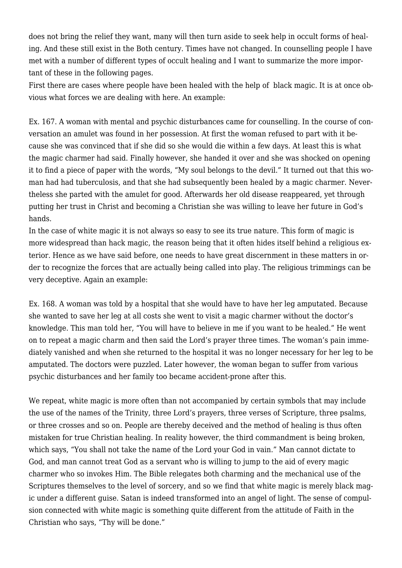does not bring the relief they want, many will then turn aside to seek help in occult forms of healing. And these still exist in the Both century. Times have not changed. In counselling people I have met with a number of different types of occult healing and I want to summarize the more important of these in the following pages.

First there are cases where people have been healed with the help of black magic. It is at once obvious what forces we are dealing with here. An example:

Ex. 167. A woman with mental and psychic disturbances came for counselling. In the course of conversation an amulet was found in her possession. At first the woman refused to part with it because she was convinced that if she did so she would die within a few days. At least this is what the magic charmer had said. Finally however, she handed it over and she was shocked on opening it to find a piece of paper with the words, "My soul belongs to the devil." It turned out that this woman had had tuberculosis, and that she had subsequently been healed by a magic charmer. Nevertheless she parted with the amulet for good. Afterwards her old disease reappeared, yet through putting her trust in Christ and becoming a Christian she was willing to leave her future in God's hands.

In the case of white magic it is not always so easy to see its true nature. This form of magic is more widespread than hack magic, the reason being that it often hides itself behind a religious exterior. Hence as we have said before, one needs to have great discernment in these matters in order to recognize the forces that are actually being called into play. The religious trimmings can be very deceptive. Again an example:

Ex. 168. A woman was told by a hospital that she would have to have her leg amputated. Because she wanted to save her leg at all costs she went to visit a magic charmer without the doctor's knowledge. This man told her, "You will have to believe in me if you want to be healed." He went on to repeat a magic charm and then said the Lord's prayer three times. The woman's pain immediately vanished and when she returned to the hospital it was no longer necessary for her leg to be amputated. The doctors were puzzled. Later however, the woman began to suffer from various psychic disturbances and her family too became accident-prone after this.

We repeat, white magic is more often than not accompanied by certain symbols that may include the use of the names of the Trinity, three Lord's prayers, three verses of Scripture, three psalms, or three crosses and so on. People are thereby deceived and the method of healing is thus often mistaken for true Christian healing. In reality however, the third commandment is being broken, which says, "You shall not take the name of the Lord your God in vain." Man cannot dictate to God, and man cannot treat God as a servant who is willing to jump to the aid of every magic charmer who so invokes Him. The Bible relegates both charming and the mechanical use of the Scriptures themselves to the level of sorcery, and so we find that white magic is merely black magic under a different guise. Satan is indeed transformed into an angel of light. The sense of compulsion connected with white magic is something quite different from the attitude of Faith in the Christian who says, "Thy will be done."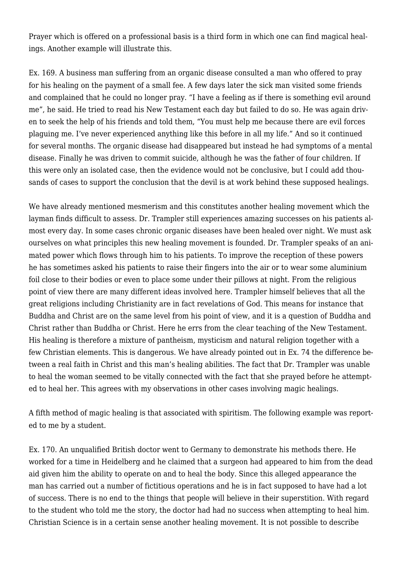Prayer which is offered on a professional basis is a third form in which one can find magical healings. Another example will illustrate this.

Ex. 169. A business man suffering from an organic disease consulted a man who offered to pray for his healing on the payment of a small fee. A few days later the sick man visited some friends and complained that he could no longer pray. "I have a feeling as if there is something evil around me", he said. He tried to read his New Testament each day but failed to do so. He was again driven to seek the help of his friends and told them, "You must help me because there are evil forces plaguing me. I've never experienced anything like this before in all my life." And so it continued for several months. The organic disease had disappeared but instead he had symptoms of a mental disease. Finally he was driven to commit suicide, although he was the father of four children. If this were only an isolated case, then the evidence would not be conclusive, but I could add thousands of cases to support the conclusion that the devil is at work behind these supposed healings.

We have already mentioned mesmerism and this constitutes another healing movement which the layman finds difficult to assess. Dr. Trampler still experiences amazing successes on his patients almost every day. In some cases chronic organic diseases have been healed over night. We must ask ourselves on what principles this new healing movement is founded. Dr. Trampler speaks of an animated power which flows through him to his patients. To improve the reception of these powers he has sometimes asked his patients to raise their fingers into the air or to wear some aluminium foil close to their bodies or even to place some under their pillows at night. From the religious point of view there are many different ideas involved here. Trampler himself believes that all the great religions including Christianity are in fact revelations of God. This means for instance that Buddha and Christ are on the same level from his point of view, and it is a question of Buddha and Christ rather than Buddha or Christ. Here he errs from the clear teaching of the New Testament. His healing is therefore a mixture of pantheism, mysticism and natural religion together with a few Christian elements. This is dangerous. We have already pointed out in Ex. 74 the difference between a real faith in Christ and this man's healing abilities. The fact that Dr. Trampler was unable to heal the woman seemed to be vitally connected with the fact that she prayed before he attempted to heal her. This agrees with my observations in other cases involving magic healings.

A fifth method of magic healing is that associated with spiritism. The following example was reported to me by a student.

Ex. 170. An unqualified British doctor went to Germany to demonstrate his methods there. He worked for a time in Heidelberg and he claimed that a surgeon had appeared to him from the dead aid given him the ability to operate on and to heal the body. Since this alleged appearance the man has carried out a number of fictitious operations and he is in fact supposed to have had a lot of success. There is no end to the things that people will believe in their superstition. With regard to the student who told me the story, the doctor had had no success when attempting to heal him. Christian Science is in a certain sense another healing movement. It is not possible to describe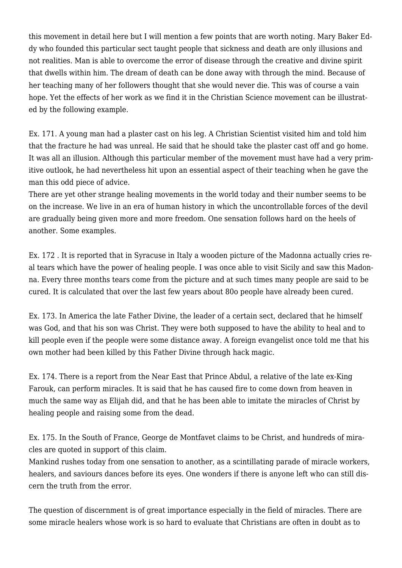this movement in detail here but I will mention a few points that are worth noting. Mary Baker Eddy who founded this particular sect taught people that sickness and death are only illusions and not realities. Man is able to overcome the error of disease through the creative and divine spirit that dwells within him. The dream of death can be done away with through the mind. Because of her teaching many of her followers thought that she would never die. This was of course a vain hope. Yet the effects of her work as we find it in the Christian Science movement can be illustrated by the following example.

Ex. 171. A young man had a plaster cast on his leg. A Christian Scientist visited him and told him that the fracture he had was unreal. He said that he should take the plaster cast off and go home. It was all an illusion. Although this particular member of the movement must have had a very primitive outlook, he had nevertheless hit upon an essential aspect of their teaching when he gave the man this odd piece of advice.

There are yet other strange healing movements in the world today and their number seems to be on the increase. We live in an era of human history in which the uncontrollable forces of the devil are gradually being given more and more freedom. One sensation follows hard on the heels of another. Some examples.

Ex. 172 . It is reported that in Syracuse in Italy a wooden picture of the Madonna actually cries real tears which have the power of healing people. I was once able to visit Sicily and saw this Madonna. Every three months tears come from the picture and at such times many people are said to be cured. It is calculated that over the last few years about 80o people have already been cured.

Ex. 173. In America the late Father Divine, the leader of a certain sect, declared that he himself was God, and that his son was Christ. They were both supposed to have the ability to heal and to kill people even if the people were some distance away. A foreign evangelist once told me that his own mother had been killed by this Father Divine through hack magic.

Ex. 174. There is a report from the Near East that Prince Abdul, a relative of the late ex-King Farouk, can perform miracles. It is said that he has caused fire to come down from heaven in much the same way as Elijah did, and that he has been able to imitate the miracles of Christ by healing people and raising some from the dead.

Ex. 175. In the South of France, George de Montfavet claims to be Christ, and hundreds of miracles are quoted in support of this claim.

Mankind rushes today from one sensation to another, as a scintillating parade of miracle workers, healers, and saviours dances before its eyes. One wonders if there is anyone left who can still discern the truth from the error.

The question of discernment is of great importance especially in the field of miracles. There are some miracle healers whose work is so hard to evaluate that Christians are often in doubt as to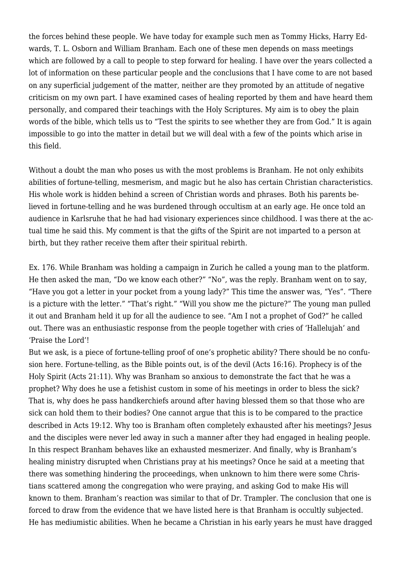the forces behind these people. We have today for example such men as Tommy Hicks, Harry Edwards, T. L. Osborn and William Branham. Each one of these men depends on mass meetings which are followed by a call to people to step forward for healing. I have over the years collected a lot of information on these particular people and the conclusions that I have come to are not based on any superficial judgement of the matter, neither are they promoted by an attitude of negative criticism on my own part. I have examined cases of healing reported by them and have heard them personally, and compared their teachings with the Holy Scriptures. My aim is to obey the plain words of the bible, which tells us to "Test the spirits to see whether they are from God." It is again impossible to go into the matter in detail but we will deal with a few of the points which arise in this field.

Without a doubt the man who poses us with the most problems is Branham. He not only exhibits abilities of fortune-telling, mesmerism, and magic but he also has certain Christian characteristics. His whole work is hidden behind a screen of Christian words and phrases. Both his parents believed in fortune-telling and he was burdened through occultism at an early age. He once told an audience in Karlsruhe that he had had visionary experiences since childhood. I was there at the actual time he said this. My comment is that the gifts of the Spirit are not imparted to a person at birth, but they rather receive them after their spiritual rebirth.

Ex. 176. While Branham was holding a campaign in Zurich he called a young man to the platform. He then asked the man, "Do we know each other?" "No", was the reply. Branham went on to say, "Have you got a letter in your pocket from a young lady?" This time the answer was, "Yes". "There is a picture with the letter." "That's right." "Will you show me the picture?" The young man pulled it out and Branham held it up for all the audience to see. "Am I not a prophet of God?" he called out. There was an enthusiastic response from the people together with cries of 'Hallelujah' and 'Praise the Lord'!

But we ask, is a piece of fortune-telling proof of one's prophetic ability? There should be no confusion here. Fortune-telling, as the Bible points out, is of the devil (Acts 16:16). Prophecy is of the Holy Spirit (Acts 21:11). Why was Branham so anxious to demonstrate the fact that he was a prophet? Why does he use a fetishist custom in some of his meetings in order to bless the sick? That is, why does he pass handkerchiefs around after having blessed them so that those who are sick can hold them to their bodies? One cannot argue that this is to be compared to the practice described in Acts 19:12. Why too is Branham often completely exhausted after his meetings? Jesus and the disciples were never led away in such a manner after they had engaged in healing people. In this respect Branham behaves like an exhausted mesmerizer. And finally, why is Branham's healing ministry disrupted when Christians pray at his meetings? Once he said at a meeting that there was something hindering the proceedings, when unknown to him there were some Christians scattered among the congregation who were praying, and asking God to make His will known to them. Branham's reaction was similar to that of Dr. Trampler. The conclusion that one is forced to draw from the evidence that we have listed here is that Branham is occultly subjected. He has mediumistic abilities. When he became a Christian in his early years he must have dragged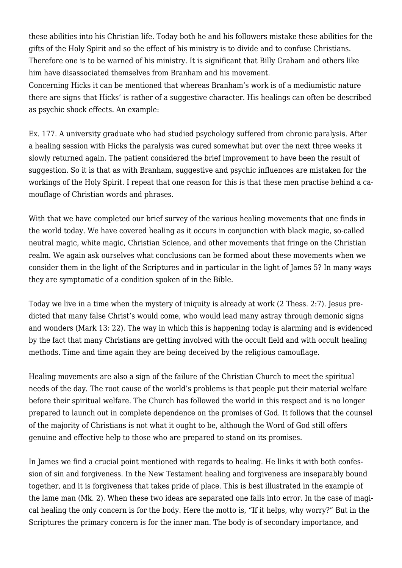these abilities into his Christian life. Today both he and his followers mistake these abilities for the gifts of the Holy Spirit and so the effect of his ministry is to divide and to confuse Christians. Therefore one is to be warned of his ministry. It is significant that Billy Graham and others like him have disassociated themselves from Branham and his movement.

Concerning Hicks it can be mentioned that whereas Branham's work is of a mediumistic nature there are signs that Hicks' is rather of a suggestive character. His healings can often be described as psychic shock effects. An example:

Ex. 177. A university graduate who had studied psychology suffered from chronic paralysis. After a healing session with Hicks the paralysis was cured somewhat but over the next three weeks it slowly returned again. The patient considered the brief improvement to have been the result of suggestion. So it is that as with Branham, suggestive and psychic influences are mistaken for the workings of the Holy Spirit. I repeat that one reason for this is that these men practise behind a camouflage of Christian words and phrases.

With that we have completed our brief survey of the various healing movements that one finds in the world today. We have covered healing as it occurs in conjunction with black magic, so-called neutral magic, white magic, Christian Science, and other movements that fringe on the Christian realm. We again ask ourselves what conclusions can be formed about these movements when we consider them in the light of the Scriptures and in particular in the light of James 5? In many ways they are symptomatic of a condition spoken of in the Bible.

Today we live in a time when the mystery of iniquity is already at work (2 Thess. 2:7). Jesus predicted that many false Christ's would come, who would lead many astray through demonic signs and wonders (Mark 13: 22). The way in which this is happening today is alarming and is evidenced by the fact that many Christians are getting involved with the occult field and with occult healing methods. Time and time again they are being deceived by the religious camouflage.

Healing movements are also a sign of the failure of the Christian Church to meet the spiritual needs of the day. The root cause of the world's problems is that people put their material welfare before their spiritual welfare. The Church has followed the world in this respect and is no longer prepared to launch out in complete dependence on the promises of God. It follows that the counsel of the majority of Christians is not what it ought to be, although the Word of God still offers genuine and effective help to those who are prepared to stand on its promises.

In James we find a crucial point mentioned with regards to healing. He links it with both confession of sin and forgiveness. In the New Testament healing and forgiveness are inseparably bound together, and it is forgiveness that takes pride of place. This is best illustrated in the example of the lame man (Mk. 2). When these two ideas are separated one falls into error. In the case of magical healing the only concern is for the body. Here the motto is, "If it helps, why worry?" But in the Scriptures the primary concern is for the inner man. The body is of secondary importance, and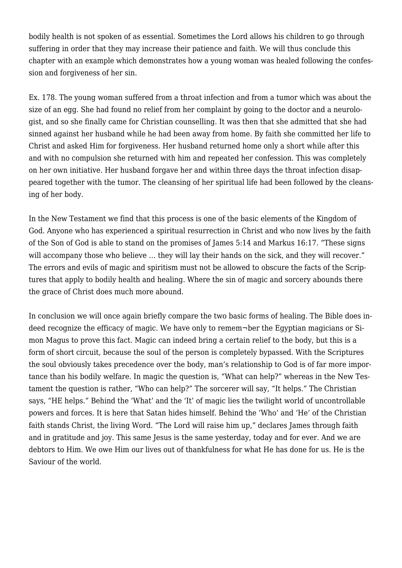bodily health is not spoken of as essential. Sometimes the Lord allows his children to go through suffering in order that they may increase their patience and faith. We will thus conclude this chapter with an example which demonstrates how a young woman was healed following the confession and forgiveness of her sin.

Ex. 178. The young woman suffered from a throat infection and from a tumor which was about the size of an egg. She had found no relief from her complaint by going to the doctor and a neurologist, and so she finally came for Christian counselling. It was then that she admitted that she had sinned against her husband while he had been away from home. By faith she committed her life to Christ and asked Him for forgiveness. Her husband returned home only a short while after this and with no compulsion she returned with him and repeated her confession. This was completely on her own initiative. Her husband forgave her and within three days the throat infection disappeared together with the tumor. The cleansing of her spiritual life had been followed by the cleansing of her body.

In the New Testament we find that this process is one of the basic elements of the Kingdom of God. Anyone who has experienced a spiritual resurrection in Christ and who now lives by the faith of the Son of God is able to stand on the promises of James 5:14 and Markus 16:17. "These signs will accompany those who believe ... they will lay their hands on the sick, and they will recover." The errors and evils of magic and spiritism must not be allowed to obscure the facts of the Scriptures that apply to bodily health and healing. Where the sin of magic and sorcery abounds there the grace of Christ does much more abound.

In conclusion we will once again briefly compare the two basic forms of healing. The Bible does indeed recognize the efficacy of magic. We have only to remem¬ber the Egyptian magicians or Simon Magus to prove this fact. Magic can indeed bring a certain relief to the body, but this is a form of short circuit, because the soul of the person is completely bypassed. With the Scriptures the soul obviously takes precedence over the body, man's relationship to God is of far more importance than his bodily welfare. In magic the question is, "What can help?" whereas in the New Testament the question is rather, "Who can help?" The sorcerer will say, "It helps." The Christian says, "HE helps." Behind the 'What' and the 'It' of magic lies the twilight world of uncontrollable powers and forces. It is here that Satan hides himself. Behind the 'Who' and 'He' of the Christian faith stands Christ, the living Word. "The Lord will raise him up," declares James through faith and in gratitude and joy. This same Jesus is the same yesterday, today and for ever. And we are debtors to Him. We owe Him our lives out of thankfulness for what He has done for us. He is the Saviour of the world.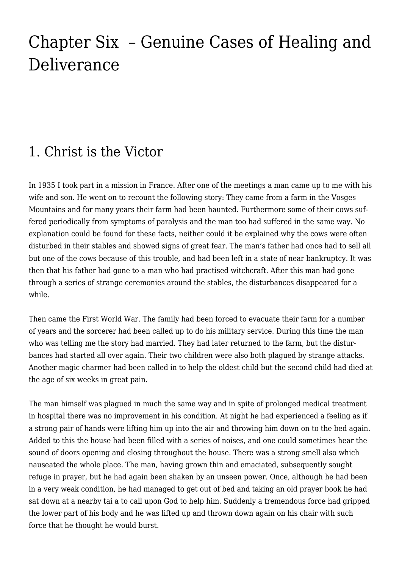# Chapter Six – Genuine Cases of Healing and Deliverance

#### 1. Christ is the Victor

In 1935 I took part in a mission in France. After one of the meetings a man came up to me with his wife and son. He went on to recount the following story: They came from a farm in the Vosges Mountains and for many years their farm had been haunted. Furthermore some of their cows suffered periodically from symptoms of paralysis and the man too had suffered in the same way. No explanation could be found for these facts, neither could it be explained why the cows were often disturbed in their stables and showed signs of great fear. The man's father had once had to sell all but one of the cows because of this trouble, and had been left in a state of near bankruptcy. It was then that his father had gone to a man who had practised witchcraft. After this man had gone through a series of strange ceremonies around the stables, the disturbances disappeared for a while.

Then came the First World War. The family had been forced to evacuate their farm for a number of years and the sorcerer had been called up to do his military service. During this time the man who was telling me the story had married. They had later returned to the farm, but the disturbances had started all over again. Their two children were also both plagued by strange attacks. Another magic charmer had been called in to help the oldest child but the second child had died at the age of six weeks in great pain.

The man himself was plagued in much the same way and in spite of prolonged medical treatment in hospital there was no improvement in his condition. At night he had experienced a feeling as if a strong pair of hands were lifting him up into the air and throwing him down on to the bed again. Added to this the house had been filled with a series of noises, and one could sometimes hear the sound of doors opening and closing throughout the house. There was a strong smell also which nauseated the whole place. The man, having grown thin and emaciated, subsequently sought refuge in prayer, but he had again been shaken by an unseen power. Once, although he had been in a very weak condition, he had managed to get out of bed and taking an old prayer book he had sat down at a nearby tai a to call upon God to help him. Suddenly a tremendous force had gripped the lower part of his body and he was lifted up and thrown down again on his chair with such force that he thought he would burst.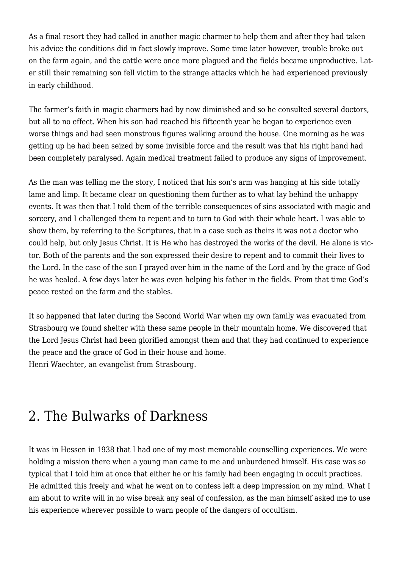As a final resort they had called in another magic charmer to help them and after they had taken his advice the conditions did in fact slowly improve. Some time later however, trouble broke out on the farm again, and the cattle were once more plagued and the fields became unproductive. Later still their remaining son fell victim to the strange attacks which he had experienced previously in early childhood.

The farmer's faith in magic charmers had by now diminished and so he consulted several doctors, but all to no effect. When his son had reached his fifteenth year he began to experience even worse things and had seen monstrous figures walking around the house. One morning as he was getting up he had been seized by some invisible force and the result was that his right hand had been completely paralysed. Again medical treatment failed to produce any signs of improvement.

As the man was telling me the story, I noticed that his son's arm was hanging at his side totally lame and limp. It became clear on questioning them further as to what lay behind the unhappy events. It was then that I told them of the terrible consequences of sins associated with magic and sorcery, and I challenged them to repent and to turn to God with their whole heart. I was able to show them, by referring to the Scriptures, that in a case such as theirs it was not a doctor who could help, but only Jesus Christ. It is He who has destroyed the works of the devil. He alone is victor. Both of the parents and the son expressed their desire to repent and to commit their lives to the Lord. In the case of the son I prayed over him in the name of the Lord and by the grace of God he was healed. A few days later he was even helping his father in the fields. From that time God's peace rested on the farm and the stables.

It so happened that later during the Second World War when my own family was evacuated from Strasbourg we found shelter with these same people in their mountain home. We discovered that the Lord Jesus Christ had been glorified amongst them and that they had continued to experience the peace and the grace of God in their house and home. Henri Waechter, an evangelist from Strasbourg.

#### 2. The Bulwarks of Darkness

It was in Hessen in 1938 that I had one of my most memorable counselling experiences. We were holding a mission there when a young man came to me and unburdened himself. His case was so typical that I told him at once that either he or his family had been engaging in occult practices. He admitted this freely and what he went on to confess left a deep impression on my mind. What I am about to write will in no wise break any seal of confession, as the man himself asked me to use his experience wherever possible to warn people of the dangers of occultism.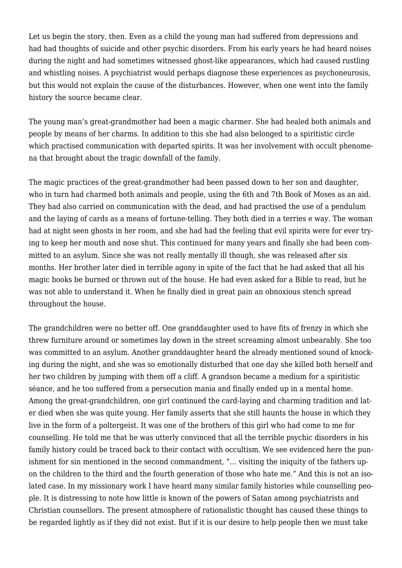Let us begin the story, then. Even as a child the young man had suffered from depressions and had had thoughts of suicide and other psychic disorders. From his early years he had heard noises during the night and had sometimes witnessed ghost-like appearances, which had caused rustling and whistling noises. A psychiatrist would perhaps diagnose these experiences as psychoneurosis, but this would not explain the cause of the disturbances. However, when one went into the family history the source became clear.

The young man's great-grandmother had been a magic charmer. She had healed both animals and people by means of her charms. In addition to this she had also belonged to a spiritistic circle which practised communication with departed spirits. It was her involvement with occult phenomena that brought about the tragic downfall of the family.

The magic practices of the great-grandmother had been passed down to her son and daughter, who in turn had charmed both animals and people, using the 6th and 7th Book of Moses as an aid. They had also carried on communication with the dead, and had practised the use of a pendulum and the laying of cards as a means of fortune-telling. They both died in a terries e way. The woman had at night seen ghosts in her room, and she had had the feeling that evil spirits were for ever trying to keep her mouth and nose shut. This continued for many years and finally she had been committed to an asylum. Since she was not really mentally ill though, she was released after six months. Her brother later died in terrible agony in spite of the fact that he had asked that all his magic books be burned or thrown out of the house. He had even asked for a Bible to read, but he was not able to understand it. When he finally died in great pain an obnoxious stench spread throughout the house.

The grandchildren were no better off. One granddaughter used to have fits of frenzy in which she threw furniture around or sometimes lay down in the street screaming almost unbearably. She too was committed to an asylum. Another granddaughter heard the already mentioned sound of knocking during the night, and she was so emotionally disturbed that one day she killed both herself and her two children by jumping with them off a cliff. A grandson became a medium for a spiritistic séance, and he too suffered from a persecution mania and finally ended up in a mental home. Among the great-grandchildren, one girl continued the card-laying and charming tradition and later died when she was quite young. Her family asserts that she still haunts the house in which they live in the form of a poltergeist. It was one of the brothers of this girl who had come to me for counselling. He told me that he was utterly convinced that all the terrible psychic disorders in his family history could be traced back to their contact with occultism. We see evidenced here the punishment for sin mentioned in the second commandment, "… visiting the iniquity of the fathers upon the children to the third and the fourth generation of those who hate me." And this is not an isolated case. In my missionary work I have heard many similar family histories while counselling people. It is distressing to note how little is known of the powers of Satan among psychiatrists and Christian counsellors. The present atmosphere of rationalistic thought has caused these things to be regarded lightly as if they did not exist. But if it is our desire to help people then we must take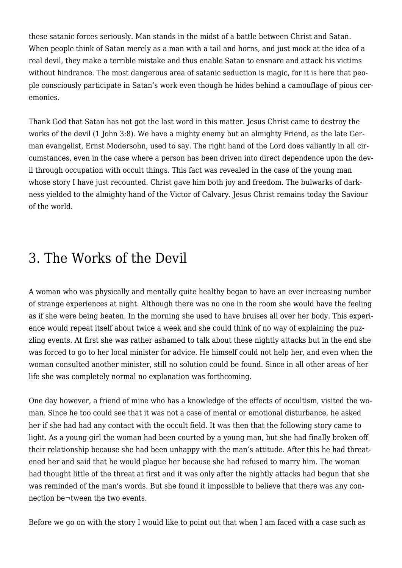these satanic forces seriously. Man stands in the midst of a battle between Christ and Satan. When people think of Satan merely as a man with a tail and horns, and just mock at the idea of a real devil, they make a terrible mistake and thus enable Satan to ensnare and attack his victims without hindrance. The most dangerous area of satanic seduction is magic, for it is here that people consciously participate in Satan's work even though he hides behind a camouflage of pious ceremonies.

Thank God that Satan has not got the last word in this matter. Jesus Christ came to destroy the works of the devil (1 John 3:8). We have a mighty enemy but an almighty Friend, as the late German evangelist, Ernst Modersohn, used to say. The right hand of the Lord does valiantly in all circumstances, even in the case where a person has been driven into direct dependence upon the devil through occupation with occult things. This fact was revealed in the case of the young man whose story I have just recounted. Christ gave him both joy and freedom. The bulwarks of darkness yielded to the almighty hand of the Victor of Calvary. Jesus Christ remains today the Saviour of the world.

## 3. The Works of the Devil

A woman who was physically and mentally quite healthy began to have an ever increasing number of strange experiences at night. Although there was no one in the room she would have the feeling as if she were being beaten. In the morning she used to have bruises all over her body. This experience would repeat itself about twice a week and she could think of no way of explaining the puzzling events. At first she was rather ashamed to talk about these nightly attacks but in the end she was forced to go to her local minister for advice. He himself could not help her, and even when the woman consulted another minister, still no solution could be found. Since in all other areas of her life she was completely normal no explanation was forthcoming.

One day however, a friend of mine who has a knowledge of the effects of occultism, visited the woman. Since he too could see that it was not a case of mental or emotional disturbance, he asked her if she had had any contact with the occult field. It was then that the following story came to light. As a young girl the woman had been courted by a young man, but she had finally broken off their relationship because she had been unhappy with the man's attitude. After this he had threatened her and said that he would plague her because she had refused to marry him. The woman had thought little of the threat at first and it was only after the nightly attacks had begun that she was reminded of the man's words. But she found it impossible to believe that there was any connection be¬tween the two events.

Before we go on with the story I would like to point out that when I am faced with a case such as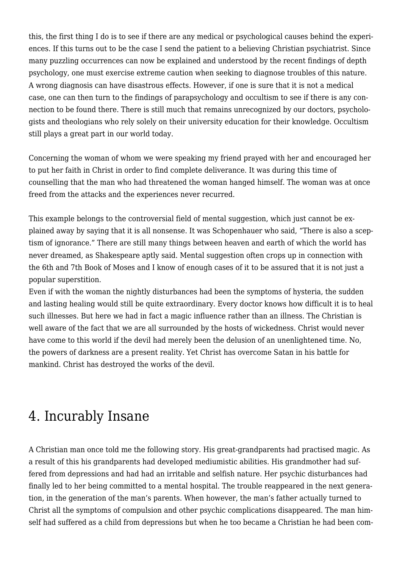this, the first thing I do is to see if there are any medical or psychological causes behind the experiences. If this turns out to be the case I send the patient to a believing Christian psychiatrist. Since many puzzling occurrences can now be explained and understood by the recent findings of depth psychology, one must exercise extreme caution when seeking to diagnose troubles of this nature. A wrong diagnosis can have disastrous effects. However, if one is sure that it is not a medical case, one can then turn to the findings of parapsychology and occultism to see if there is any connection to be found there. There is still much that remains unrecognized by our doctors, psychologists and theologians who rely solely on their university education for their knowledge. Occultism still plays a great part in our world today.

Concerning the woman of whom we were speaking my friend prayed with her and encouraged her to put her faith in Christ in order to find complete deliverance. It was during this time of counselling that the man who had threatened the woman hanged himself. The woman was at once freed from the attacks and the experiences never recurred.

This example belongs to the controversial field of mental suggestion, which just cannot be explained away by saying that it is all nonsense. It was Schopenhauer who said, "There is also a sceptism of ignorance." There are still many things between heaven and earth of which the world has never dreamed, as Shakespeare aptly said. Mental suggestion often crops up in connection with the 6th and 7th Book of Moses and I know of enough cases of it to be assured that it is not just a popular superstition.

Even if with the woman the nightly disturbances had been the symptoms of hysteria, the sudden and lasting healing would still be quite extraordinary. Every doctor knows how difficult it is to heal such illnesses. But here we had in fact a magic influence rather than an illness. The Christian is well aware of the fact that we are all surrounded by the hosts of wickedness. Christ would never have come to this world if the devil had merely been the delusion of an unenlightened time. No, the powers of darkness are a present reality. Yet Christ has overcome Satan in his battle for mankind. Christ has destroyed the works of the devil.

#### 4. Incurably Insane

A Christian man once told me the following story. His great-grandparents had practised magic. As a result of this his grandparents had developed mediumistic abilities. His grandmother had suffered from depressions and had had an irritable and selfish nature. Her psychic disturbances had finally led to her being committed to a mental hospital. The trouble reappeared in the next generation, in the generation of the man's parents. When however, the man's father actually turned to Christ all the symptoms of compulsion and other psychic complications disappeared. The man himself had suffered as a child from depressions but when he too became a Christian he had been com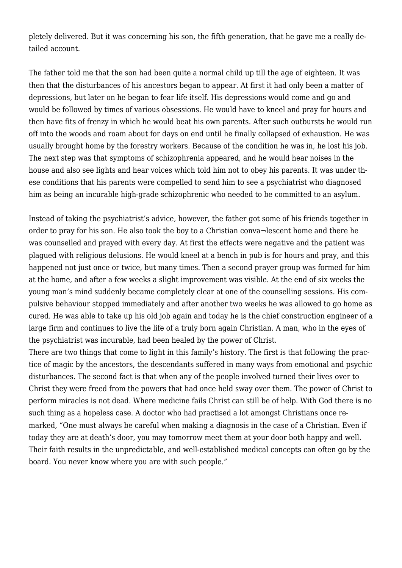pletely delivered. But it was concerning his son, the fifth generation, that he gave me a really detailed account.

The father told me that the son had been quite a normal child up till the age of eighteen. It was then that the disturbances of his ancestors began to appear. At first it had only been a matter of depressions, but later on he began to fear life itself. His depressions would come and go and would be followed by times of various obsessions. He would have to kneel and pray for hours and then have fits of frenzy in which he would beat his own parents. After such outbursts he would run off into the woods and roam about for days on end until he finally collapsed of exhaustion. He was usually brought home by the forestry workers. Because of the condition he was in, he lost his job. The next step was that symptoms of schizophrenia appeared, and he would hear noises in the house and also see lights and hear voices which told him not to obey his parents. It was under these conditions that his parents were compelled to send him to see a psychiatrist who diagnosed him as being an incurable high-grade schizophrenic who needed to be committed to an asylum.

Instead of taking the psychiatrist's advice, however, the father got some of his friends together in order to pray for his son. He also took the boy to a Christian conva¬lescent home and there he was counselled and prayed with every day. At first the effects were negative and the patient was plagued with religious delusions. He would kneel at a bench in pub is for hours and pray, and this happened not just once or twice, but many times. Then a second prayer group was formed for him at the home, and after a few weeks a slight improvement was visible. At the end of six weeks the young man's mind suddenly became completely clear at one of the counselling sessions. His compulsive behaviour stopped immediately and after another two weeks he was allowed to go home as cured. He was able to take up his old job again and today he is the chief construction engineer of a large firm and continues to live the life of a truly born again Christian. A man, who in the eyes of the psychiatrist was incurable, had been healed by the power of Christ.

There are two things that come to light in this family's history. The first is that following the practice of magic by the ancestors, the descendants suffered in many ways from emotional and psychic disturbances. The second fact is that when any of the people involved turned their lives over to Christ they were freed from the powers that had once held sway over them. The power of Christ to perform miracles is not dead. Where medicine fails Christ can still be of help. With God there is no such thing as a hopeless case. A doctor who had practised a lot amongst Christians once remarked, "One must always be careful when making a diagnosis in the case of a Christian. Even if today they are at death's door, you may tomorrow meet them at your door both happy and well. Their faith results in the unpredictable, and well-established medical concepts can often go by the board. You never know where you are with such people."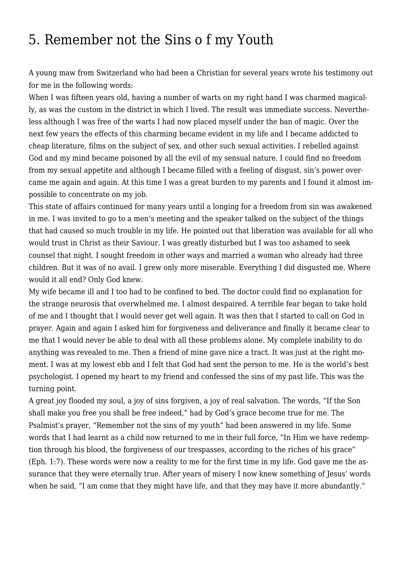#### 5. Remember not the Sins o f my Youth

A young maw from Switzerland who had been a Christian for several years wrote his testimony out for me in the following words:

When I was fifteen years old, having a number of warts on my right hand I was charmed magically, as was the custom in the district in which I lived. The result was immediate success. Nevertheless although I was free of the warts I had now placed myself under the ban of magic. Over the next few years the effects of this charming became evident in my life and I became addicted to cheap literature, films on the subject of sex, and other such sexual activities. I rebelled against God and my mind became poisoned by all the evil of my sensual nature. I could find no freedom from my sexual appetite and although I became filled with a feeling of disgust, sin's power overcame me again and again. At this time I was a great burden to my parents and I found it almost impossible to concentrate on my job.

This state of affairs continued for many years until a longing for a freedom from sin was awakened in me. I was invited to go to a men's meeting and the speaker talked on the subject of the things that had caused so much trouble in my life. He pointed out that liberation was available for all who would trust in Christ as their Saviour. I was greatly disturbed but I was too ashamed to seek counsel that night. I sought freedom in other ways and married a woman who already had three children. But it was of no avail. I grew only more miserable. Everything I did disgusted me. Where would it all end? Only God knew.

My wife became ill and I too had to be confined to bed. The doctor could find no explanation for the strange neurosis that overwhelmed me. I almost despaired. A terrible fear began to take hold of me and I thought that I would never get well again. It was then that I started to call on God in prayer. Again and again I asked him for forgiveness and deliverance and finally it became clear to me that I would never be able to deal with all these problems alone. My complete inability to do anything was revealed to me. Then a friend of mine gave nice a tract. It was just at the right moment. I was at my lowest ebb and I felt that God had sent the person to me. He is the world's best psychologist. I opened my heart to my friend and confessed the sins of my past life. This was the turning point.

A great joy flooded my soul, a joy of sins forgiven, a joy of real salvation. The words, "If the Son shall make you free you shall be free indeed," had by God's grace become true for me. The Psalmist's prayer, "Remember not the sins of my youth" had been answered in my life. Some words that I had learnt as a child now returned to me in their full force, "In Him we have redemption through his blood, the forgiveness of our trespasses, according to the riches of his grace" (Eph. 1:7). These words were now a reality to me for the first time in my life. God gave me the assurance that they were eternally true. After years of misery I now knew something of Jesus' words when he said, "I am come that they might have life, and that they may have it more abundantly."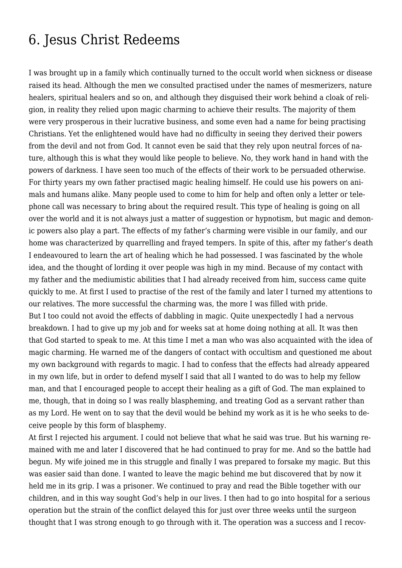#### 6. Jesus Christ Redeems

I was brought up in a family which continually turned to the occult world when sickness or disease raised its head. Although the men we consulted practised under the names of mesmerizers, nature healers, spiritual healers and so on, and although they disguised their work behind a cloak of religion, in reality they relied upon magic charming to achieve their results. The majority of them were very prosperous in their lucrative business, and some even had a name for being practising Christians. Yet the enlightened would have had no difficulty in seeing they derived their powers from the devil and not from God. It cannot even be said that they rely upon neutral forces of nature, although this is what they would like people to believe. No, they work hand in hand with the powers of darkness. I have seen too much of the effects of their work to be persuaded otherwise. For thirty years my own father practised magic healing himself. He could use his powers on animals and humans alike. Many people used to come to him for help and often only a letter or telephone call was necessary to bring about the required result. This type of healing is going on all over the world and it is not always just a matter of suggestion or hypnotism, but magic and demonic powers also play a part. The effects of my father's charming were visible in our family, and our home was characterized by quarrelling and frayed tempers. In spite of this, after my father's death I endeavoured to learn the art of healing which he had possessed. I was fascinated by the whole idea, and the thought of lording it over people was high in my mind. Because of my contact with my father and the mediumistic abilities that I had already received from him, success came quite quickly to me. At first I used to practise of the rest of the family and later I turned my attentions to our relatives. The more successful the charming was, the more I was filled with pride. But I too could not avoid the effects of dabbling in magic. Ouite unexpectedly I had a nervous breakdown. I had to give up my job and for weeks sat at home doing nothing at all. It was then that God started to speak to me. At this time I met a man who was also acquainted with the idea of magic charming. He warned me of the dangers of contact with occultism and questioned me about my own background with regards to magic. I had to confess that the effects had already appeared in my own life, but in order to defend myself I said that all I wanted to do was to help my fellow man, and that I encouraged people to accept their healing as a gift of God. The man explained to me, though, that in doing so I was really blaspheming, and treating God as a servant rather than as my Lord. He went on to say that the devil would be behind my work as it is he who seeks to deceive people by this form of blasphemy.

At first I rejected his argument. I could not believe that what he said was true. But his warning remained with me and later I discovered that he had continued to pray for me. And so the battle had begun. My wife joined me in this struggle and finally I was prepared to forsake my magic. But this was easier said than done. I wanted to leave the magic behind me but discovered that by now it held me in its grip. I was a prisoner. We continued to pray and read the Bible together with our children, and in this way sought God's help in our lives. I then had to go into hospital for a serious operation but the strain of the conflict delayed this for just over three weeks until the surgeon thought that I was strong enough to go through with it. The operation was a success and I recov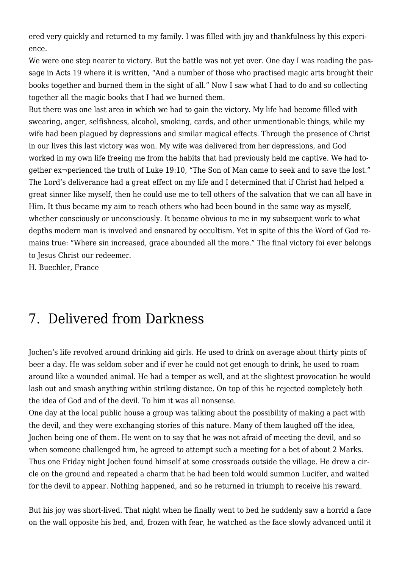ered very quickly and returned to my family. I was filled with joy and thankfulness by this experience.

We were one step nearer to victory. But the battle was not yet over. One day I was reading the passage in Acts 19 where it is written, "And a number of those who practised magic arts brought their books together and burned them in the sight of all." Now I saw what I had to do and so collecting together all the magic books that I had we burned them.

But there was one last area in which we had to gain the victory. My life had become filled with swearing, anger, selfishness, alcohol, smoking, cards, and other unmentionable things, while my wife had been plagued by depressions and similar magical effects. Through the presence of Christ in our lives this last victory was won. My wife was delivered from her depressions, and God worked in my own life freeing me from the habits that had previously held me captive. We had together ex¬perienced the truth of Luke 19:10, "The Son of Man came to seek and to save the lost." The Lord's deliverance had a great effect on my life and I determined that if Christ had helped a great sinner like myself, then he could use me to tell others of the salvation that we can all have in Him. It thus became my aim to reach others who had been bound in the same way as myself, whether consciously or unconsciously. It became obvious to me in my subsequent work to what depths modern man is involved and ensnared by occultism. Yet in spite of this the Word of God remains true: "Where sin increased, grace abounded all the more." The final victory foi ever belongs to Jesus Christ our redeemer.

H. Buechler, France

# 7. Delivered from Darkness

Jochen's life revolved around drinking aid girls. He used to drink on average about thirty pints of beer a day. He was seldom sober and if ever he could not get enough to drink, he used to roam around like a wounded animal. He had a temper as well, and at the slightest provocation he would lash out and smash anything within striking distance. On top of this he rejected completely both the idea of God and of the devil. To him it was all nonsense.

One day at the local public house a group was talking about the possibility of making a pact with the devil, and they were exchanging stories of this nature. Many of them laughed off the idea, Jochen being one of them. He went on to say that he was not afraid of meeting the devil, and so when someone challenged him, he agreed to attempt such a meeting for a bet of about 2 Marks. Thus one Friday night Jochen found himself at some crossroads outside the village. He drew a circle on the ground and repeated a charm that he had been told would summon Lucifer, and waited for the devil to appear. Nothing happened, and so he returned in triumph to receive his reward.

But his joy was short-lived. That night when he finally went to bed he suddenly saw a horrid a face on the wall opposite his bed, and, frozen with fear, he watched as the face slowly advanced until it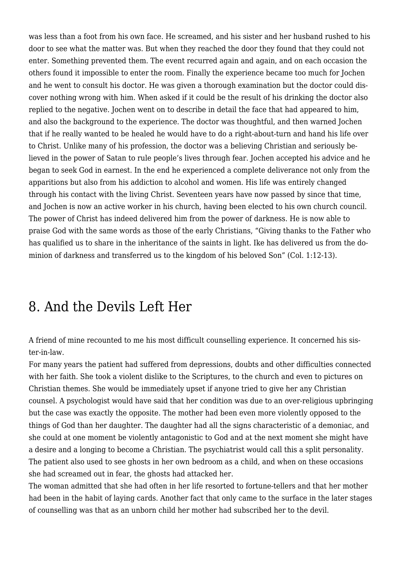was less than a foot from his own face. He screamed, and his sister and her husband rushed to his door to see what the matter was. But when they reached the door they found that they could not enter. Something prevented them. The event recurred again and again, and on each occasion the others found it impossible to enter the room. Finally the experience became too much for Jochen and he went to consult his doctor. He was given a thorough examination but the doctor could discover nothing wrong with him. When asked if it could be the result of his drinking the doctor also replied to the negative. Jochen went on to describe in detail the face that had appeared to him, and also the background to the experience. The doctor was thoughtful, and then warned Jochen that if he really wanted to be healed he would have to do a right-about-turn and hand his life over to Christ. Unlike many of his profession, the doctor was a believing Christian and seriously believed in the power of Satan to rule people's lives through fear. Jochen accepted his advice and he began to seek God in earnest. In the end he experienced a complete deliverance not only from the apparitions but also from his addiction to alcohol and women. His life was entirely changed through his contact with the living Christ. Seventeen years have now passed by since that time, and Jochen is now an active worker in his church, having been elected to his own church council. The power of Christ has indeed delivered him from the power of darkness. He is now able to praise God with the same words as those of the early Christians, "Giving thanks to the Father who has qualified us to share in the inheritance of the saints in light. Ike has delivered us from the dominion of darkness and transferred us to the kingdom of his beloved Son" (Col. 1:12-13).

#### 8. And the Devils Left Her

A friend of mine recounted to me his most difficult counselling experience. It concerned his sister-in-law.

For many years the patient had suffered from depressions, doubts and other difficulties connected with her faith. She took a violent dislike to the Scriptures, to the church and even to pictures on Christian themes. She would be immediately upset if anyone tried to give her any Christian counsel. A psychologist would have said that her condition was due to an over-religious upbringing but the case was exactly the opposite. The mother had been even more violently opposed to the things of God than her daughter. The daughter had all the signs characteristic of a demoniac, and she could at one moment be violently antagonistic to God and at the next moment she might have a desire and a longing to become a Christian. The psychiatrist would call this a split personality. The patient also used to see ghosts in her own bedroom as a child, and when on these occasions she had screamed out in fear, the ghosts had attacked her.

The woman admitted that she had often in her life resorted to fortune-tellers and that her mother had been in the habit of laying cards. Another fact that only came to the surface in the later stages of counselling was that as an unborn child her mother had subscribed her to the devil.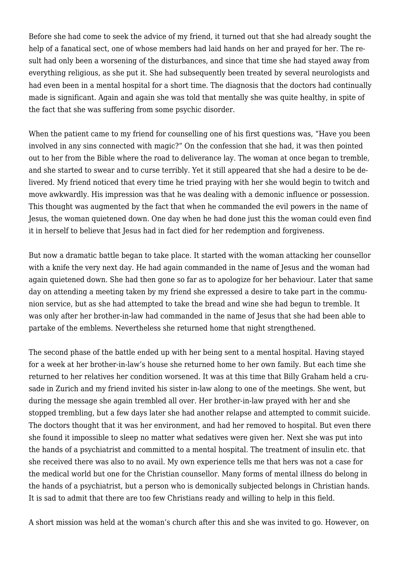Before she had come to seek the advice of my friend, it turned out that she had already sought the help of a fanatical sect, one of whose members had laid hands on her and prayed for her. The result had only been a worsening of the disturbances, and since that time she had stayed away from everything religious, as she put it. She had subsequently been treated by several neurologists and had even been in a mental hospital for a short time. The diagnosis that the doctors had continually made is significant. Again and again she was told that mentally she was quite healthy, in spite of the fact that she was suffering from some psychic disorder.

When the patient came to my friend for counselling one of his first questions was, "Have you been involved in any sins connected with magic?" On the confession that she had, it was then pointed out to her from the Bible where the road to deliverance lay. The woman at once began to tremble, and she started to swear and to curse terribly. Yet it still appeared that she had a desire to be delivered. My friend noticed that every time he tried praying with her she would begin to twitch and move awkwardly. His impression was that he was dealing with a demonic influence or possession. This thought was augmented by the fact that when he commanded the evil powers in the name of Jesus, the woman quietened down. One day when he had done just this the woman could even find it in herself to believe that Jesus had in fact died for her redemption and forgiveness.

But now a dramatic battle began to take place. It started with the woman attacking her counsellor with a knife the very next day. He had again commanded in the name of Jesus and the woman had again quietened down. She had then gone so far as to apologize for her behaviour. Later that same day on attending a meeting taken by my friend she expressed a desire to take part in the communion service, but as she had attempted to take the bread and wine she had begun to tremble. It was only after her brother-in-law had commanded in the name of Jesus that she had been able to partake of the emblems. Nevertheless she returned home that night strengthened.

The second phase of the battle ended up with her being sent to a mental hospital. Having stayed for a week at her brother-in-law's house she returned home to her own family. But each time she returned to her relatives her condition worsened. It was at this time that Billy Graham held a crusade in Zurich and my friend invited his sister in-law along to one of the meetings. She went, but during the message she again trembled all over. Her brother-in-law prayed with her and she stopped trembling, but a few days later she had another relapse and attempted to commit suicide. The doctors thought that it was her environment, and had her removed to hospital. But even there she found it impossible to sleep no matter what sedatives were given her. Next she was put into the hands of a psychiatrist and committed to a mental hospital. The treatment of insulin etc. that she received there was also to no avail. My own experience tells me that hers was not a case for the medical world but one for the Christian counsellor. Many forms of mental illness do belong in the hands of a psychiatrist, but a person who is demonically subjected belongs in Christian hands. It is sad to admit that there are too few Christians ready and willing to help in this field.

A short mission was held at the woman's church after this and she was invited to go. However, on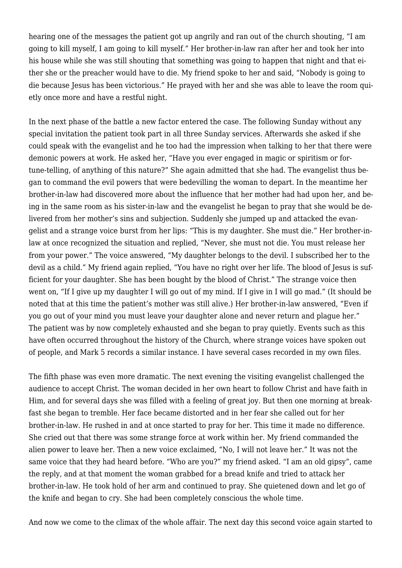hearing one of the messages the patient got up angrily and ran out of the church shouting, "I am going to kill myself, I am going to kill myself." Her brother-in-law ran after her and took her into his house while she was still shouting that something was going to happen that night and that either she or the preacher would have to die. My friend spoke to her and said, "Nobody is going to die because Jesus has been victorious." He prayed with her and she was able to leave the room quietly once more and have a restful night.

In the next phase of the battle a new factor entered the case. The following Sunday without any special invitation the patient took part in all three Sunday services. Afterwards she asked if she could speak with the evangelist and he too had the impression when talking to her that there were demonic powers at work. He asked her, "Have you ever engaged in magic or spiritism or fortune-telling, of anything of this nature?" She again admitted that she had. The evangelist thus began to command the evil powers that were bedevilling the woman to depart. In the meantime her brother-in-law had discovered more about the influence that her mother had had upon her, and being in the same room as his sister-in-law and the evangelist he began to pray that she would be delivered from her mother's sins and subjection. Suddenly she jumped up and attacked the evangelist and a strange voice burst from her lips: "This is my daughter. She must die." Her brother-inlaw at once recognized the situation and replied, "Never, she must not die. You must release her from your power." The voice answered, "My daughter belongs to the devil. I subscribed her to the devil as a child." My friend again replied, "You have no right over her life. The blood of Jesus is sufficient for your daughter. She has been bought by the blood of Christ." The strange voice then went on, "If I give up my daughter I will go out of my mind. If I give in I will go mad." (It should be noted that at this time the patient's mother was still alive.) Her brother-in-law answered, "Even if you go out of your mind you must leave your daughter alone and never return and plague her." The patient was by now completely exhausted and she began to pray quietly. Events such as this have often occurred throughout the history of the Church, where strange voices have spoken out of people, and Mark 5 records a similar instance. I have several cases recorded in my own files.

The fifth phase was even more dramatic. The next evening the visiting evangelist challenged the audience to accept Christ. The woman decided in her own heart to follow Christ and have faith in Him, and for several days she was filled with a feeling of great joy. But then one morning at breakfast she began to tremble. Her face became distorted and in her fear she called out for her brother-in-law. He rushed in and at once started to pray for her. This time it made no difference. She cried out that there was some strange force at work within her. My friend commanded the alien power to leave her. Then a new voice exclaimed, "No, I will not leave her." It was not the same voice that they had heard before. "Who are you?" my friend asked. "I am an old gipsy", came the reply, and at that moment the woman grabbed for a bread knife and tried to attack her brother-in-law. He took hold of her arm and continued to pray. She quietened down and let go of the knife and began to cry. She had been completely conscious the whole time.

And now we come to the climax of the whole affair. The next day this second voice again started to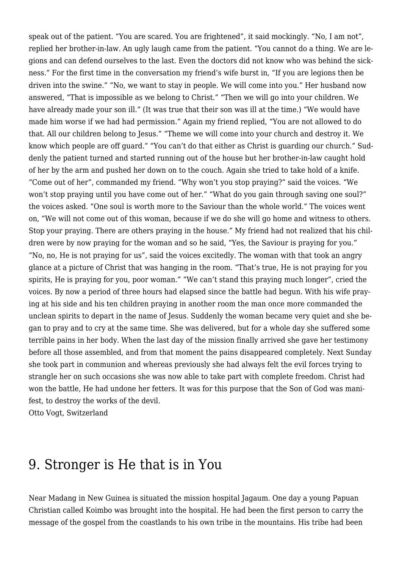speak out of the patient. "You are scared. You are frightened", it said mockingly. "No, I am not", replied her brother-in-law. An ugly laugh came from the patient. "You cannot do a thing. We are legions and can defend ourselves to the last. Even the doctors did not know who was behind the sickness." For the first time in the conversation my friend's wife burst in, "If you are legions then be driven into the swine." "No, we want to stay in people. We will come into you." Her husband now answered, "That is impossible as we belong to Christ." "Then we will go into your children. We have already made your son ill." (It was true that their son was ill at the time.) "We would have made him worse if we had had permission." Again my friend replied, "You are not allowed to do that. All our children belong to Jesus." "Theme we will come into your church and destroy it. We know which people are off guard." "You can't do that either as Christ is guarding our church." Suddenly the patient turned and started running out of the house but her brother-in-law caught hold of her by the arm and pushed her down on to the couch. Again she tried to take hold of a knife. "Come out of her", commanded my friend. "Why won't you stop praying?" said the voices. "We won't stop praying until you have come out of her." "What do you gain through saving one soul?" the voices asked. "One soul is worth more to the Saviour than the whole world." The voices went on, "We will not come out of this woman, because if we do she will go home and witness to others. Stop your praying. There are others praying in the house." My friend had not realized that his children were by now praying for the woman and so he said, "Yes, the Saviour is praying for you." "No, no, He is not praying for us", said the voices excitedly. The woman with that took an angry glance at a picture of Christ that was hanging in the room. "That's true, He is not praying for you spirits, He is praying for you, poor woman." "We can't stand this praying much longer", cried the voices. By now a period of three hours had elapsed since the battle had begun. With his wife praying at his side and his ten children praying in another room the man once more commanded the unclean spirits to depart in the name of Jesus. Suddenly the woman became very quiet and she began to pray and to cry at the same time. She was delivered, but for a whole day she suffered some terrible pains in her body. When the last day of the mission finally arrived she gave her testimony before all those assembled, and from that moment the pains disappeared completely. Next Sunday she took part in communion and whereas previously she had always felt the evil forces trying to strangle her on such occasions she was now able to take part with complete freedom. Christ had won the battle, He had undone her fetters. It was for this purpose that the Son of God was manifest, to destroy the works of the devil.

Otto Vogt, Switzerland

#### 9. Stronger is He that is in You

Near Madang in New Guinea is situated the mission hospital Jagaum. One day a young Papuan Christian called Koimbo was brought into the hospital. He had been the first person to carry the message of the gospel from the coastlands to his own tribe in the mountains. His tribe had been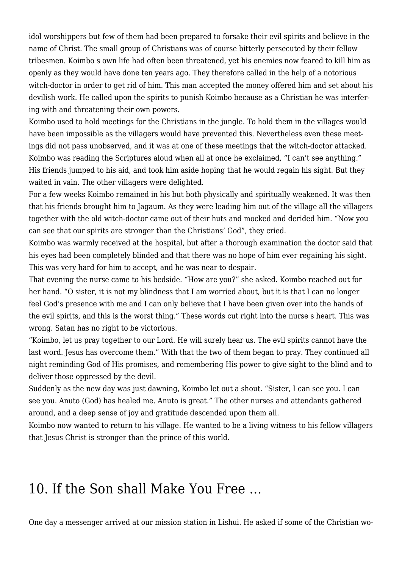idol worshippers but few of them had been prepared to forsake their evil spirits and believe in the name of Christ. The small group of Christians was of course bitterly persecuted by their fellow tribesmen. Koimbo s own life had often been threatened, yet his enemies now feared to kill him as openly as they would have done ten years ago. They therefore called in the help of a notorious witch-doctor in order to get rid of him. This man accepted the money offered him and set about his devilish work. He called upon the spirits to punish Koimbo because as a Christian he was interfering with and threatening their own powers.

Koimbo used to hold meetings for the Christians in the jungle. To hold them in the villages would have been impossible as the villagers would have prevented this. Nevertheless even these meetings did not pass unobserved, and it was at one of these meetings that the witch-doctor attacked. Koimbo was reading the Scriptures aloud when all at once he exclaimed, "I can't see anything." His friends jumped to his aid, and took him aside hoping that he would regain his sight. But they waited in vain. The other villagers were delighted.

For a few weeks Koimbo remained in his but both physically and spiritually weakened. It was then that his friends brought him to Jagaum. As they were leading him out of the village all the villagers together with the old witch-doctor came out of their huts and mocked and derided him. "Now you can see that our spirits are stronger than the Christians' God", they cried.

Koimbo was warmly received at the hospital, but after a thorough examination the doctor said that his eyes had been completely blinded and that there was no hope of him ever regaining his sight. This was very hard for him to accept, and he was near to despair.

That evening the nurse came to his bedside. "How are you?" she asked. Koimbo reached out for her hand. "O sister, it is not my blindness that I am worried about, but it is that I can no longer feel God's presence with me and I can only believe that I have been given over into the hands of the evil spirits, and this is the worst thing." These words cut right into the nurse s heart. This was wrong. Satan has no right to be victorious.

"Koimbo, let us pray together to our Lord. He will surely hear us. The evil spirits cannot have the last word. Jesus has overcome them." With that the two of them began to pray. They continued all night reminding God of His promises, and remembering His power to give sight to the blind and to deliver those oppressed by the devil.

Suddenly as the new day was just dawning, Koimbo let out a shout. "Sister, I can see you. I can see you. Anuto (God) has healed me. Anuto is great." The other nurses and attendants gathered around, and a deep sense of joy and gratitude descended upon them all.

Koimbo now wanted to return to his village. He wanted to be a living witness to his fellow villagers that Jesus Christ is stronger than the prince of this world.

## 10. If the Son shall Make You Free …

One day a messenger arrived at our mission station in Lishui. He asked if some of the Christian wo-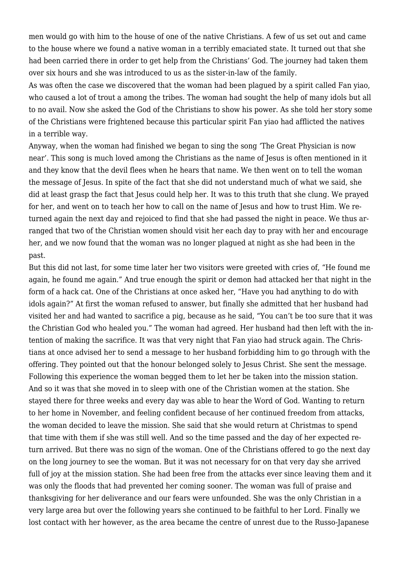men would go with him to the house of one of the native Christians. A few of us set out and came to the house where we found a native woman in a terribly emaciated state. It turned out that she had been carried there in order to get help from the Christians' God. The journey had taken them over six hours and she was introduced to us as the sister-in-law of the family.

As was often the case we discovered that the woman had been plagued by a spirit called Fan yiao, who caused a lot of trout a among the tribes. The woman had sought the help of many idols but all to no avail. Now she asked the God of the Christians to show his power. As she told her story some of the Christians were frightened because this particular spirit Fan yiao had afflicted the natives in a terrible way.

Anyway, when the woman had finished we began to sing the song 'The Great Physician is now near'. This song is much loved among the Christians as the name of Jesus is often mentioned in it and they know that the devil flees when he hears that name. We then went on to tell the woman the message of Jesus. In spite of the fact that she did not understand much of what we said, she did at least grasp the fact that Jesus could help her. It was to this truth that she clung. We prayed for her, and went on to teach her how to call on the name of Jesus and how to trust Him. We returned again the next day and rejoiced to find that she had passed the night in peace. We thus arranged that two of the Christian women should visit her each day to pray with her and encourage her, and we now found that the woman was no longer plagued at night as she had been in the past.

But this did not last, for some time later her two visitors were greeted with cries of, "He found me again, he found me again." And true enough the spirit or demon had attacked her that night in the form of a hack cat. One of the Christians at once asked her, "Have you had anything to do with idols again?" At first the woman refused to answer, but finally she admitted that her husband had visited her and had wanted to sacrifice a pig, because as he said, "You can't be too sure that it was the Christian God who healed you." The woman had agreed. Her husband had then left with the intention of making the sacrifice. It was that very night that Fan yiao had struck again. The Christians at once advised her to send a message to her husband forbidding him to go through with the offering. They pointed out that the honour belonged solely to Jesus Christ. She sent the message. Following this experience the woman begged them to let her be taken into the mission station. And so it was that she moved in to sleep with one of the Christian women at the station. She stayed there for three weeks and every day was able to hear the Word of God. Wanting to return to her home in November, and feeling confident because of her continued freedom from attacks, the woman decided to leave the mission. She said that she would return at Christmas to spend that time with them if she was still well. And so the time passed and the day of her expected return arrived. But there was no sign of the woman. One of the Christians offered to go the next day on the long journey to see the woman. But it was not necessary for on that very day she arrived full of joy at the mission station. She had been free from the attacks ever since leaving them and it was only the floods that had prevented her coming sooner. The woman was full of praise and thanksgiving for her deliverance and our fears were unfounded. She was the only Christian in a very large area but over the following years she continued to be faithful to her Lord. Finally we lost contact with her however, as the area became the centre of unrest due to the Russo-Japanese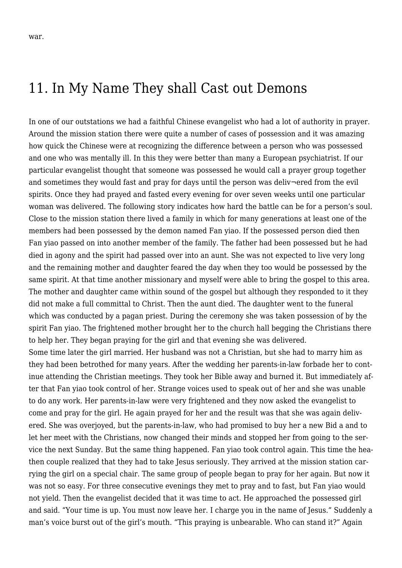#### 11. In My Name They shall Cast out Demons

In one of our outstations we had a faithful Chinese evangelist who had a lot of authority in prayer. Around the mission station there were quite a number of cases of possession and it was amazing how quick the Chinese were at recognizing the difference between a person who was possessed and one who was mentally ill. In this they were better than many a European psychiatrist. If our particular evangelist thought that someone was possessed he would call a prayer group together and sometimes they would fast and pray for days until the person was deliv¬ered from the evil spirits. Once they had prayed and fasted every evening for over seven weeks until one particular woman was delivered. The following story indicates how hard the battle can be for a person's soul. Close to the mission station there lived a family in which for many generations at least one of the members had been possessed by the demon named Fan yiao. If the possessed person died then Fan yiao passed on into another member of the family. The father had been possessed but he had died in agony and the spirit had passed over into an aunt. She was not expected to live very long and the remaining mother and daughter feared the day when they too would be possessed by the same spirit. At that time another missionary and myself were able to bring the gospel to this area. The mother and daughter came within sound of the gospel but although they responded to it they did not make a full committal to Christ. Then the aunt died. The daughter went to the funeral which was conducted by a pagan priest. During the ceremony she was taken possession of by the spirit Fan yiao. The frightened mother brought her to the church hall begging the Christians there to help her. They began praying for the girl and that evening she was delivered.

Some time later the girl married. Her husband was not a Christian, but she had to marry him as they had been betrothed for many years. After the wedding her parents-in-law forbade her to continue attending the Christian meetings. They took her Bible away and burned it. But immediately after that Fan yiao took control of her. Strange voices used to speak out of her and she was unable to do any work. Her parents-in-law were very frightened and they now asked the evangelist to come and pray for the girl. He again prayed for her and the result was that she was again delivered. She was overjoyed, but the parents-in-law, who had promised to buy her a new Bid a and to let her meet with the Christians, now changed their minds and stopped her from going to the service the next Sunday. But the same thing happened. Fan yiao took control again. This time the heathen couple realized that they had to take Jesus seriously. They arrived at the mission station carrying the girl on a special chair. The same group of people began to pray for her again. But now it was not so easy. For three consecutive evenings they met to pray and to fast, but Fan yiao would not yield. Then the evangelist decided that it was time to act. He approached the possessed girl and said. "Your time is up. You must now leave her. I charge you in the name of Jesus." Suddenly a man's voice burst out of the girl's mouth. "This praying is unbearable. Who can stand it?" Again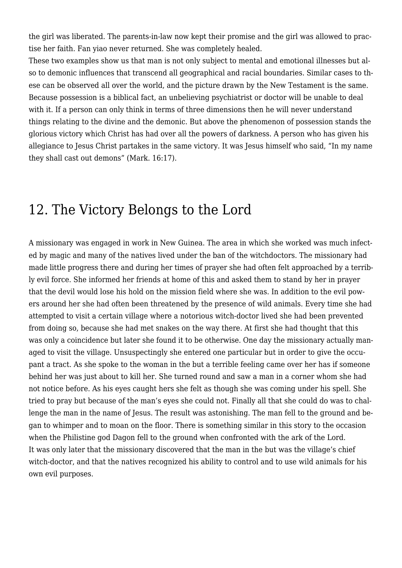the girl was liberated. The parents-in-law now kept their promise and the girl was allowed to practise her faith. Fan yiao never returned. She was completely healed.

These two examples show us that man is not only subject to mental and emotional illnesses but also to demonic influences that transcend all geographical and racial boundaries. Similar cases to these can be observed all over the world, and the picture drawn by the New Testament is the same. Because possession is a biblical fact, an unbelieving psychiatrist or doctor will be unable to deal with it. If a person can only think in terms of three dimensions then he will never understand things relating to the divine and the demonic. But above the phenomenon of possession stands the glorious victory which Christ has had over all the powers of darkness. A person who has given his allegiance to Jesus Christ partakes in the same victory. It was Jesus himself who said, "In my name they shall cast out demons" (Mark. 16:17).

#### 12. The Victory Belongs to the Lord

A missionary was engaged in work in New Guinea. The area in which she worked was much infected by magic and many of the natives lived under the ban of the witchdoctors. The missionary had made little progress there and during her times of prayer she had often felt approached by a terribly evil force. She informed her friends at home of this and asked them to stand by her in prayer that the devil would lose his hold on the mission field where she was. In addition to the evil powers around her she had often been threatened by the presence of wild animals. Every time she had attempted to visit a certain village where a notorious witch-doctor lived she had been prevented from doing so, because she had met snakes on the way there. At first she had thought that this was only a coincidence but later she found it to be otherwise. One day the missionary actually managed to visit the village. Unsuspectingly she entered one particular but in order to give the occupant a tract. As she spoke to the woman in the but a terrible feeling came over her has if someone behind her was just about to kill her. She turned round and saw a man in a corner whom she had not notice before. As his eyes caught hers she felt as though she was coming under his spell. She tried to pray but because of the man's eyes she could not. Finally all that she could do was to challenge the man in the name of Jesus. The result was astonishing. The man fell to the ground and began to whimper and to moan on the floor. There is something similar in this story to the occasion when the Philistine god Dagon fell to the ground when confronted with the ark of the Lord. It was only later that the missionary discovered that the man in the but was the village's chief witch-doctor, and that the natives recognized his ability to control and to use wild animals for his own evil purposes.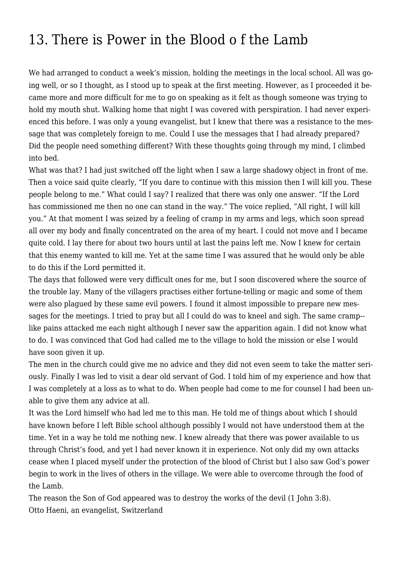## 13. There is Power in the Blood o f the Lamb

We had arranged to conduct a week's mission, holding the meetings in the local school. All was going well, or so I thought, as I stood up to speak at the first meeting. However, as I proceeded it became more and more difficult for me to go on speaking as it felt as though someone was trying to hold my mouth shut. Walking home that night I was covered with perspiration. I had never experienced this before. I was only a young evangelist, but I knew that there was a resistance to the message that was completely foreign to me. Could I use the messages that I had already prepared? Did the people need something different? With these thoughts going through my mind, I climbed into bed.

What was that? I had just switched off the light when I saw a large shadowy object in front of me. Then a voice said quite clearly, "If you dare to continue with this mission then I will kill you. These people belong to me." What could I say? I realized that there was only one answer. "If the Lord has commissioned me then no one can stand in the way." The voice replied, "All right, I will kill you." At that moment I was seized by a feeling of cramp in my arms and legs, which soon spread all over my body and finally concentrated on the area of my heart. I could not move and I became quite cold. I lay there for about two hours until at last the pains left me. Now I knew for certain that this enemy wanted to kill me. Yet at the same time I was assured that he would only be able to do this if the Lord permitted it.

The days that followed were very difficult ones for me, but I soon discovered where the source of the trouble lay. Many of the villagers practises either fortune-telling or magic and some of them were also plagued by these same evil powers. I found it almost impossible to prepare new messages for the meetings. I tried to pray but all I could do was to kneel and sigh. The same cramp- like pains attacked me each night although I never saw the apparition again. I did not know what to do. I was convinced that God had called me to the village to hold the mission or else I would have soon given it up.

The men in the church could give me no advice and they did not even seem to take the matter seriously. Finally I was led to visit a dear old servant of God. I told him of my experience and how that I was completely at a loss as to what to do. When people had come to me for counsel I had been unable to give them any advice at all.

It was the Lord himself who had led me to this man. He told me of things about which I should have known before I left Bible school although possibly I would not have understood them at the time. Yet in a way he told me nothing new. I knew already that there was power available to us through Christ's food, and yet I had never known it in experience. Not only did my own attacks cease when I placed myself under the protection of the blood of Christ but I also saw God's power begin to work in the lives of others in the village. We were able to overcome through the food of the Lamb.

The reason the Son of God appeared was to destroy the works of the devil (1 John 3:8). Otto Haeni, an evangelist, Switzerland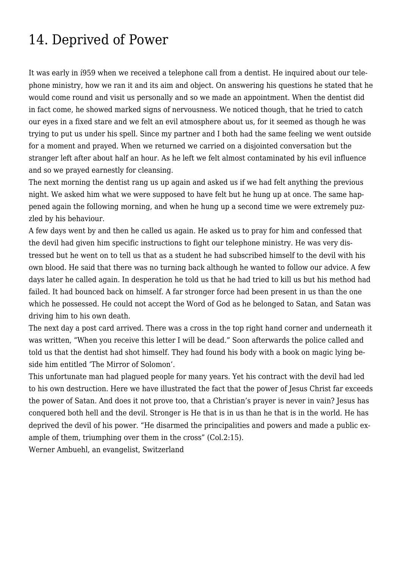## 14. Deprived of Power

It was early in í959 when we received a telephone call from a dentist. He inquired about our telephone ministry, how we ran it and its aim and object. On answering his questions he stated that he would come round and visit us personally and so we made an appointment. When the dentist did in fact come, he showed marked signs of nervousness. We noticed though, that he tried to catch our eyes in a fixed stare and we felt an evil atmosphere about us, for it seemed as though he was trying to put us under his spell. Since my partner and I both had the same feeling we went outside for a moment and prayed. When we returned we carried on a disjointed conversation but the stranger left after about half an hour. As he left we felt almost contaminated by his evil influence and so we prayed earnestly for cleansing.

The next morning the dentist rang us up again and asked us if we had felt anything the previous night. We asked him what we were supposed to have felt but he hung up at once. The same happened again the following morning, and when he hung up a second time we were extremely puzzled by his behaviour.

A few days went by and then he called us again. He asked us to pray for him and confessed that the devil had given him specific instructions to fight our telephone ministry. He was very distressed but he went on to tell us that as a student he had subscribed himself to the devil with his own blood. He said that there was no turning back although he wanted to follow our advice. A few days later he called again. In desperation he told us that he had tried to kill us but his method had failed. It had bounced back on himself. A far stronger force had been present in us than the one which he possessed. He could not accept the Word of God as he belonged to Satan, and Satan was driving him to his own death.

The next day a post card arrived. There was a cross in the top right hand corner and underneath it was written, "When you receive this letter I will be dead." Soon afterwards the police called and told us that the dentist had shot himself. They had found his body with a book on magic lying beside him entitled 'The Mirror of Solomon'.

This unfortunate man had plagued people for many years. Yet his contract with the devil had led to his own destruction. Here we have illustrated the fact that the power of Jesus Christ far exceeds the power of Satan. And does it not prove too, that a Christian's prayer is never in vain? Jesus has conquered both hell and the devil. Stronger is He that is in us than he that is in the world. He has deprived the devil of his power. "He disarmed the principalities and powers and made a public example of them, triumphing over them in the cross" (Col.2:15).

Werner Ambuehl, an evangelist, Switzerland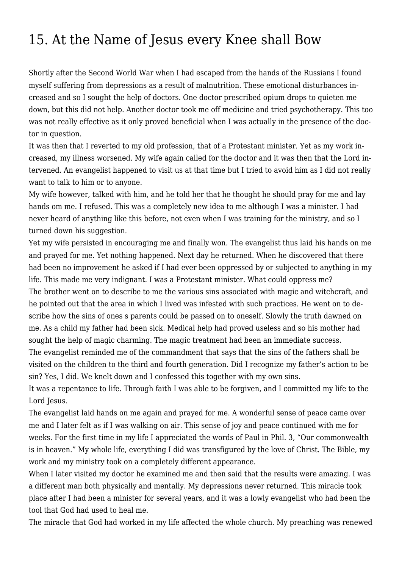## 15. At the Name of Jesus every Knee shall Bow

Shortly after the Second World War when I had escaped from the hands of the Russians I found myself suffering from depressions as a result of malnutrition. These emotional disturbances increased and so I sought the help of doctors. One doctor prescribed opium drops to quieten me down, but this did not help. Another doctor took me off medicine and tried psychotherapy. This too was not really effective as it only proved beneficial when I was actually in the presence of the doctor in question.

It was then that I reverted to my old profession, that of a Protestant minister. Yet as my work increased, my illness worsened. My wife again called for the doctor and it was then that the Lord intervened. An evangelist happened to visit us at that time but I tried to avoid him as I did not really want to talk to him or to anyone.

My wife however, talked with him, and he told her that he thought he should pray for me and lay hands om me. I refused. This was a completely new idea to me although I was a minister. I had never heard of anything like this before, not even when I was training for the ministry, and so I turned down his suggestion.

Yet my wife persisted in encouraging me and finally won. The evangelist thus laid his hands on me and prayed for me. Yet nothing happened. Next day he returned. When he discovered that there had been no improvement he asked if I had ever been oppressed by or subjected to anything in my life. This made me very indignant. I was a Protestant minister. What could oppress me? The brother went on to describe to me the various sins associated with magic and witchcraft, and he pointed out that the area in which I lived was infested with such practices. He went on to describe how the sins of ones s parents could be passed on to oneself. Slowly the truth dawned on me. As a child my father had been sick. Medical help had proved useless and so his mother had sought the help of magic charming. The magic treatment had been an immediate success. The evangelist reminded me of the commandment that says that the sins of the fathers shall be

visited on the children to the third and fourth generation. Did I recognize my father's action to be sin? Yes, I did. We knelt down and I confessed this together with my own sins.

It was a repentance to life. Through faith I was able to be forgiven, and I committed my life to the Lord Jesus.

The evangelist laid hands on me again and prayed for me. A wonderful sense of peace came over me and I later felt as if I was walking on air. This sense of joy and peace continued with me for weeks. For the first time in my life I appreciated the words of Paul in Phil. 3, "Our commonwealth is in heaven." My whole life, everything I did was transfigured by the love of Christ. The Bible, my work and my ministry took on a completely different appearance.

When I later visited my doctor he examined me and then said that the results were amazing. I was a different man both physically and mentally. My depressions never returned. This miracle took place after I had been a minister for several years, and it was a lowly evangelist who had been the tool that God had used to heal me.

The miracle that God had worked in my life affected the whole church. My preaching was renewed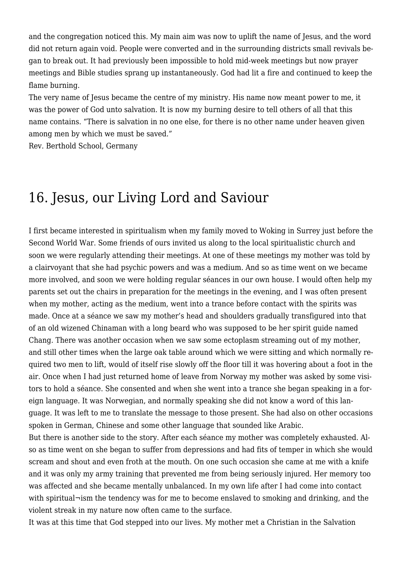and the congregation noticed this. My main aim was now to uplift the name of Jesus, and the word did not return again void. People were converted and in the surrounding districts small revivals began to break out. It had previously been impossible to hold mid-week meetings but now prayer meetings and Bible studies sprang up instantaneously. God had lit a fire and continued to keep the flame burning.

The very name of Jesus became the centre of my ministry. His name now meant power to me, it was the power of God unto salvation. It is now my burning desire to tell others of all that this name contains. "There is salvation in no one else, for there is no other name under heaven given among men by which we must be saved."

Rev. Berthold School, Germany

#### 16. Jesus, our Living Lord and Saviour

I first became interested in spiritualism when my family moved to Woking in Surrey just before the Second World War. Some friends of ours invited us along to the local spiritualistic church and soon we were regularly attending their meetings. At one of these meetings my mother was told by a clairvoyant that she had psychic powers and was a medium. And so as time went on we became more involved, and soon we were holding regular séances in our own house. I would often help my parents set out the chairs in preparation for the meetings in the evening, and I was often present when my mother, acting as the medium, went into a trance before contact with the spirits was made. Once at a séance we saw my mother's head and shoulders gradually transfigured into that of an old wizened Chinaman with a long beard who was supposed to be her spirit guide named Chang. There was another occasion when we saw some ectoplasm streaming out of my mother, and still other times when the large oak table around which we were sitting and which normally required two men to lift, would of itself rise slowly off the floor till it was hovering about a foot in the air. Once when I had just returned home of leave from Norway my mother was asked by some visitors to hold a séance. She consented and when she went into a trance she began speaking in a foreign language. It was Norwegian, and normally speaking she did not know a word of this language. It was left to me to translate the message to those present. She had also on other occasions spoken in German, Chinese and some other language that sounded like Arabic.

But there is another side to the story. After each séance my mother was completely exhausted. Also as time went on she began to suffer from depressions and had fits of temper in which she would scream and shout and even froth at the mouth. On one such occasion she came at me with a knife and it was only my army training that prevented me from being seriously injured. Her memory too was affected and she became mentally unbalanced. In my own life after I had come into contact with spiritual¬ism the tendency was for me to become enslaved to smoking and drinking, and the violent streak in my nature now often came to the surface.

It was at this time that God stepped into our lives. My mother met a Christian in the Salvation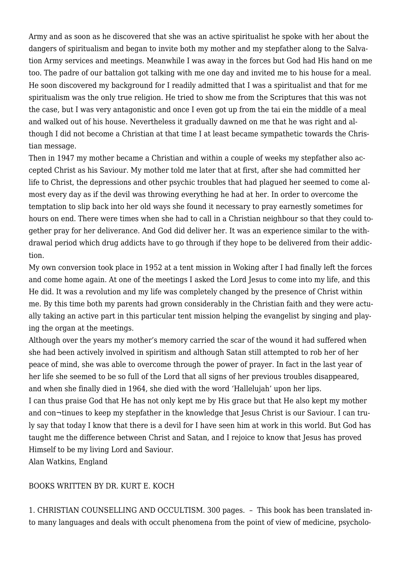Army and as soon as he discovered that she was an active spiritualist he spoke with her about the dangers of spiritualism and began to invite both my mother and my stepfather along to the Salvation Army services and meetings. Meanwhile I was away in the forces but God had His hand on me too. The padre of our battalion got talking with me one day and invited me to his house for a meal. He soon discovered my background for I readily admitted that I was a spiritualist and that for me spiritualism was the only true religion. He tried to show me from the Scriptures that this was not the case, but I was very antagonistic and once I even got up from the tai ein the middle of a meal and walked out of his house. Nevertheless it gradually dawned on me that he was right and although I did not become a Christian at that time I at least became sympathetic towards the Christian message.

Then in 1947 my mother became a Christian and within a couple of weeks my stepfather also accepted Christ as his Saviour. My mother told me later that at first, after she had committed her life to Christ, the depressions and other psychic troubles that had plagued her seemed to come almost every day as if the devil was throwing everything he had at her. In order to overcome the temptation to slip back into her old ways she found it necessary to pray earnestly sometimes for hours on end. There were times when she had to call in a Christian neighbour so that they could together pray for her deliverance. And God did deliver her. It was an experience similar to the withdrawal period which drug addicts have to go through if they hope to be delivered from their addiction.

My own conversion took place in 1952 at a tent mission in Woking after I had finally left the forces and come home again. At one of the meetings I asked the Lord Jesus to come into my life, and this He did. It was a revolution and my life was completely changed by the presence of Christ within me. By this time both my parents had grown considerably in the Christian faith and they were actually taking an active part in this particular tent mission helping the evangelist by singing and playing the organ at the meetings.

Although over the years my mother's memory carried the scar of the wound it had suffered when she had been actively involved in spiritism and although Satan still attempted to rob her of her peace of mind, she was able to overcome through the power of prayer. In fact in the last year of her life she seemed to be so full of the Lord that all signs of her previous troubles disappeared, and when she finally died in 1964, she died with the word 'Hallelujah' upon her lips. I can thus praise God that He has not only kept me by His grace but that He also kept my mother and con¬tinues to keep my stepfather in the knowledge that Jesus Christ is our Saviour. I can tru-

ly say that today I know that there is a devil for I have seen him at work in this world. But God has taught me the difference between Christ and Satan, and I rejoice to know that Jesus has proved Himself to be my living Lord and Saviour.

Alan Watkins, England

#### BOOKS WRITTEN BY DR. KURT E. KOCH

1. CHRISTIAN COUNSELLING AND OCCULTISM. 300 pages. – This book has been translated into many languages and deals with occult phenomena from the point of view of medicine, psycholo